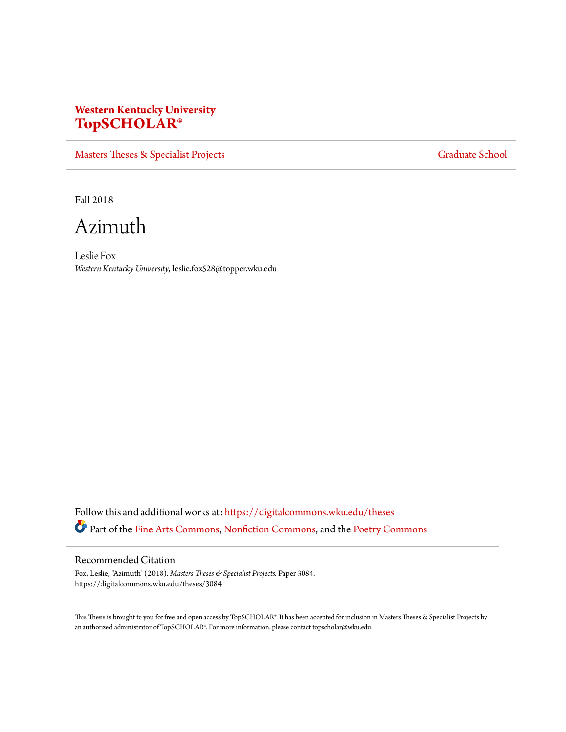## **Western Kentucky University [TopSCHOLAR®](https://digitalcommons.wku.edu?utm_source=digitalcommons.wku.edu%2Ftheses%2F3084&utm_medium=PDF&utm_campaign=PDFCoverPages)**

[Masters Theses & Specialist Projects](https://digitalcommons.wku.edu/theses?utm_source=digitalcommons.wku.edu%2Ftheses%2F3084&utm_medium=PDF&utm_campaign=PDFCoverPages) [Graduate School](https://digitalcommons.wku.edu/Graduate?utm_source=digitalcommons.wku.edu%2Ftheses%2F3084&utm_medium=PDF&utm_campaign=PDFCoverPages) Graduate School

Fall 2018

Azimuth

Leslie Fox *Western Kentucky University*, leslie.fox528@topper.wku.edu

Follow this and additional works at: [https://digitalcommons.wku.edu/theses](https://digitalcommons.wku.edu/theses?utm_source=digitalcommons.wku.edu%2Ftheses%2F3084&utm_medium=PDF&utm_campaign=PDFCoverPages) Part of the [Fine Arts Commons](http://network.bepress.com/hgg/discipline/1141?utm_source=digitalcommons.wku.edu%2Ftheses%2F3084&utm_medium=PDF&utm_campaign=PDFCoverPages), [Nonfiction Commons,](http://network.bepress.com/hgg/discipline/1152?utm_source=digitalcommons.wku.edu%2Ftheses%2F3084&utm_medium=PDF&utm_campaign=PDFCoverPages) and the [Poetry Commons](http://network.bepress.com/hgg/discipline/1153?utm_source=digitalcommons.wku.edu%2Ftheses%2F3084&utm_medium=PDF&utm_campaign=PDFCoverPages)

## Recommended Citation

Fox, Leslie, "Azimuth" (2018). *Masters Theses & Specialist Projects.* Paper 3084. https://digitalcommons.wku.edu/theses/3084

This Thesis is brought to you for free and open access by TopSCHOLAR®. It has been accepted for inclusion in Masters Theses & Specialist Projects by an authorized administrator of TopSCHOLAR®. For more information, please contact topscholar@wku.edu.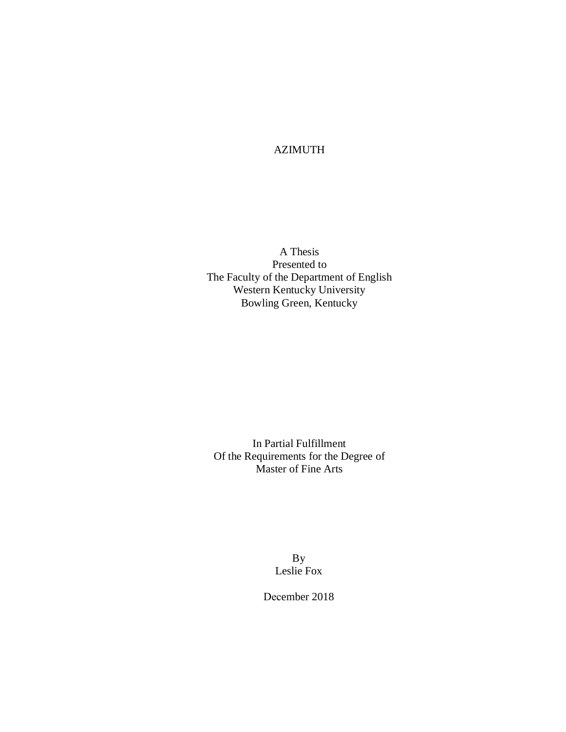AZIMUTH

A Thesis Presented to The Faculty of the Department of English Western Kentucky University Bowling Green, Kentucky

In Partial Fulfillment Of the Requirements for the Degree of Master of Fine Arts

> By Leslie Fox

December 2018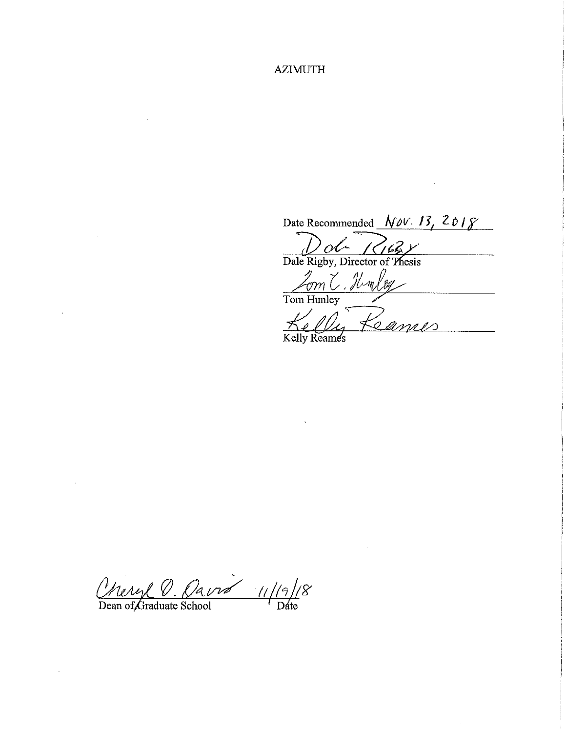**AZIMUTH** 

Date Recommended  $Nov. 13, 2018$ 

 $\mathcal{A}_\mathrm{c}$ 

 $\frac{D_0}{\text{Dale Rigby, Director of Thesis}}$ 

Zom C. Humley

Kelly Sames

Cheryl O. Oavré 11/19/1 /8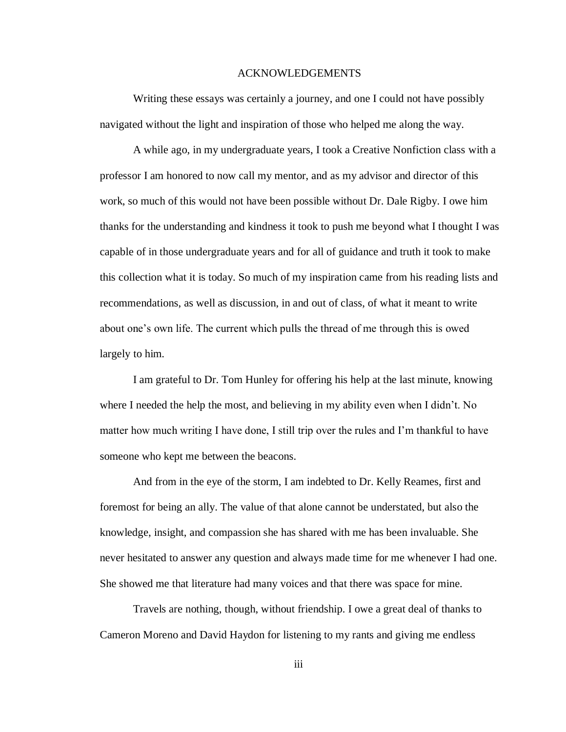### ACKNOWLEDGEMENTS

Writing these essays was certainly a journey, and one I could not have possibly navigated without the light and inspiration of those who helped me along the way.

A while ago, in my undergraduate years, I took a Creative Nonfiction class with a professor I am honored to now call my mentor, and as my advisor and director of this work, so much of this would not have been possible without Dr. Dale Rigby. I owe him thanks for the understanding and kindness it took to push me beyond what I thought I was capable of in those undergraduate years and for all of guidance and truth it took to make this collection what it is today. So much of my inspiration came from his reading lists and recommendations, as well as discussion, in and out of class, of what it meant to write about one's own life. The current which pulls the thread of me through this is owed largely to him.

I am grateful to Dr. Tom Hunley for offering his help at the last minute, knowing where I needed the help the most, and believing in my ability even when I didn't. No matter how much writing I have done, I still trip over the rules and I'm thankful to have someone who kept me between the beacons.

And from in the eye of the storm, I am indebted to Dr. Kelly Reames, first and foremost for being an ally. The value of that alone cannot be understated, but also the knowledge, insight, and compassion she has shared with me has been invaluable. She never hesitated to answer any question and always made time for me whenever I had one. She showed me that literature had many voices and that there was space for mine.

Travels are nothing, though, without friendship. I owe a great deal of thanks to Cameron Moreno and David Haydon for listening to my rants and giving me endless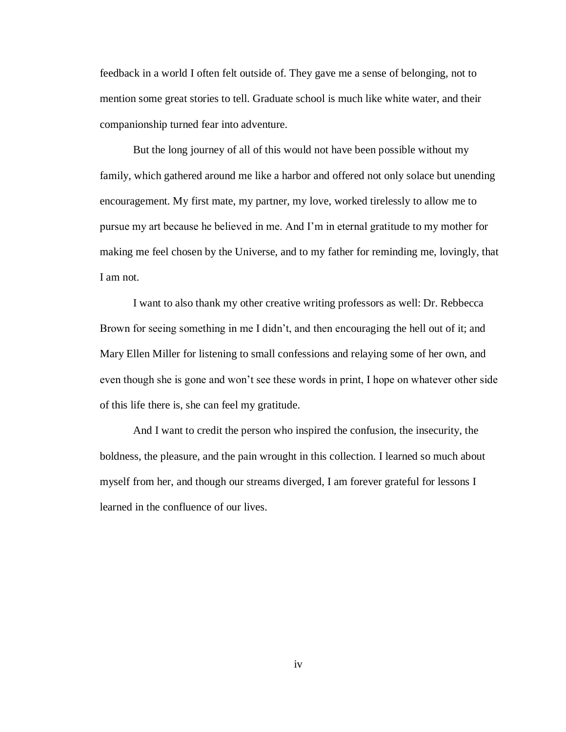feedback in a world I often felt outside of. They gave me a sense of belonging, not to mention some great stories to tell. Graduate school is much like white water, and their companionship turned fear into adventure.

But the long journey of all of this would not have been possible without my family, which gathered around me like a harbor and offered not only solace but unending encouragement. My first mate, my partner, my love, worked tirelessly to allow me to pursue my art because he believed in me. And I'm in eternal gratitude to my mother for making me feel chosen by the Universe, and to my father for reminding me, lovingly, that I am not.

I want to also thank my other creative writing professors as well: Dr. Rebbecca Brown for seeing something in me I didn't, and then encouraging the hell out of it; and Mary Ellen Miller for listening to small confessions and relaying some of her own, and even though she is gone and won't see these words in print, I hope on whatever other side of this life there is, she can feel my gratitude.

And I want to credit the person who inspired the confusion, the insecurity, the boldness, the pleasure, and the pain wrought in this collection. I learned so much about myself from her, and though our streams diverged, I am forever grateful for lessons I learned in the confluence of our lives.

iv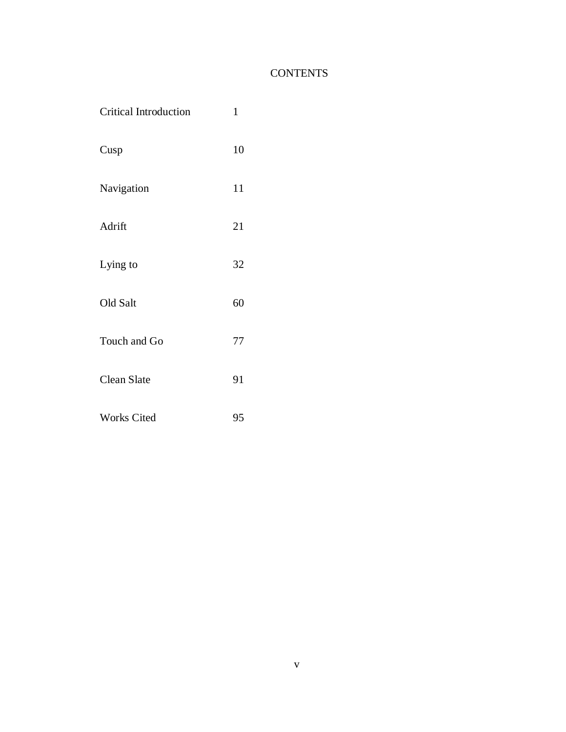## **CONTENTS**

| <b>Critical Introduction</b> | $\mathbf{1}$ |
|------------------------------|--------------|
| Cusp                         | 10           |
| Navigation                   | 11           |
| Adrift                       | 21           |
| Lying to                     | 32           |
| Old Salt                     | 60           |
| Touch and Go                 | 77           |
| Clean Slate                  | 91           |
| Works Cited                  | 95           |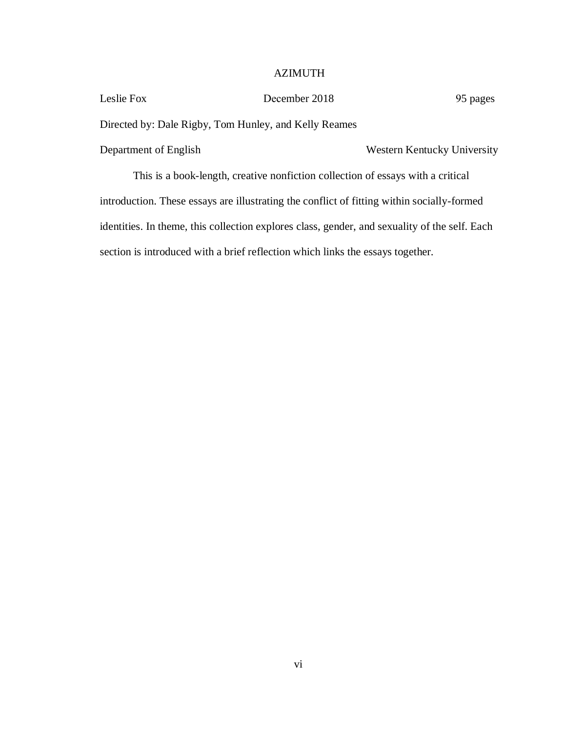## AZIMUTH

| December 2018                                                                              | 95 pages                    |  |
|--------------------------------------------------------------------------------------------|-----------------------------|--|
| Directed by: Dale Rigby, Tom Hunley, and Kelly Reames                                      |                             |  |
|                                                                                            | Western Kentucky University |  |
| This is a book-length, creative nonfiction collection of essays with a critical            |                             |  |
| introduction. These essays are illustrating the conflict of fitting within socially-formed |                             |  |
|                                                                                            |                             |  |

identities. In theme, this collection explores class, gender, and sexuality of the self. Each section is introduced with a brief reflection which links the essays together.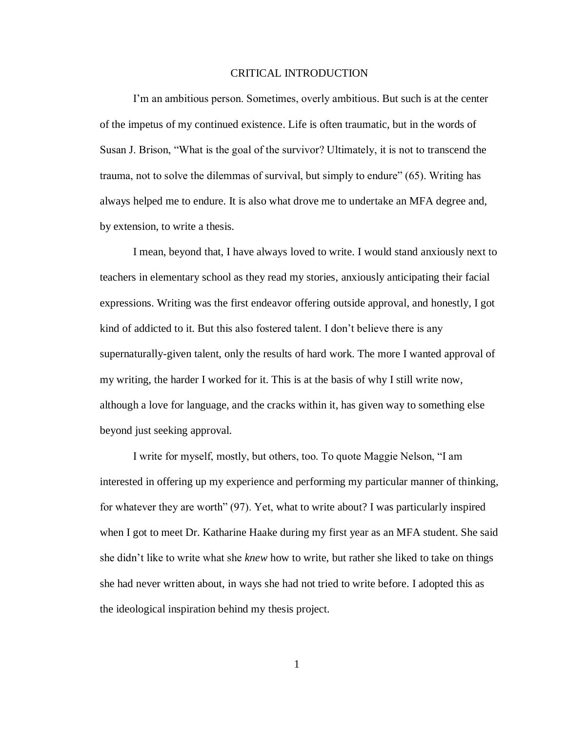### CRITICAL INTRODUCTION

I'm an ambitious person. Sometimes, overly ambitious. But such is at the center of the impetus of my continued existence. Life is often traumatic, but in the words of Susan J. Brison, "What is the goal of the survivor? Ultimately, it is not to transcend the trauma, not to solve the dilemmas of survival, but simply to endure" (65). Writing has always helped me to endure. It is also what drove me to undertake an MFA degree and, by extension, to write a thesis.

I mean, beyond that, I have always loved to write. I would stand anxiously next to teachers in elementary school as they read my stories, anxiously anticipating their facial expressions. Writing was the first endeavor offering outside approval, and honestly, I got kind of addicted to it. But this also fostered talent. I don't believe there is any supernaturally-given talent, only the results of hard work. The more I wanted approval of my writing, the harder I worked for it. This is at the basis of why I still write now, although a love for language, and the cracks within it, has given way to something else beyond just seeking approval.

I write for myself, mostly, but others, too. To quote Maggie Nelson, "I am interested in offering up my experience and performing my particular manner of thinking, for whatever they are worth" (97). Yet, what to write about? I was particularly inspired when I got to meet Dr. Katharine Haake during my first year as an MFA student. She said she didn't like to write what she *knew* how to write, but rather she liked to take on things she had never written about, in ways she had not tried to write before. I adopted this as the ideological inspiration behind my thesis project.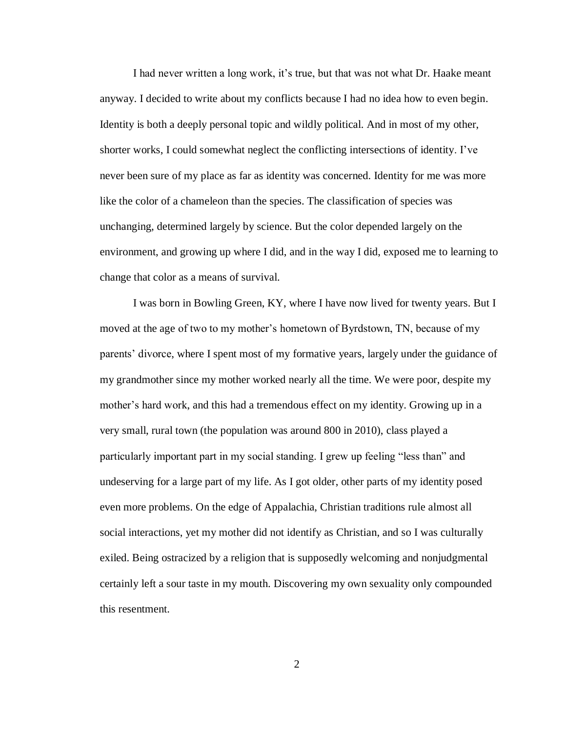I had never written a long work, it's true, but that was not what Dr. Haake meant anyway. I decided to write about my conflicts because I had no idea how to even begin. Identity is both a deeply personal topic and wildly political. And in most of my other, shorter works, I could somewhat neglect the conflicting intersections of identity. I've never been sure of my place as far as identity was concerned. Identity for me was more like the color of a chameleon than the species. The classification of species was unchanging, determined largely by science. But the color depended largely on the environment, and growing up where I did, and in the way I did, exposed me to learning to change that color as a means of survival.

I was born in Bowling Green, KY, where I have now lived for twenty years. But I moved at the age of two to my mother's hometown of Byrdstown, TN, because of my parents' divorce, where I spent most of my formative years, largely under the guidance of my grandmother since my mother worked nearly all the time. We were poor, despite my mother's hard work, and this had a tremendous effect on my identity. Growing up in a very small, rural town (the population was around 800 in 2010), class played a particularly important part in my social standing. I grew up feeling "less than" and undeserving for a large part of my life. As I got older, other parts of my identity posed even more problems. On the edge of Appalachia, Christian traditions rule almost all social interactions, yet my mother did not identify as Christian, and so I was culturally exiled. Being ostracized by a religion that is supposedly welcoming and nonjudgmental certainly left a sour taste in my mouth. Discovering my own sexuality only compounded this resentment.

 $\mathcal{L}$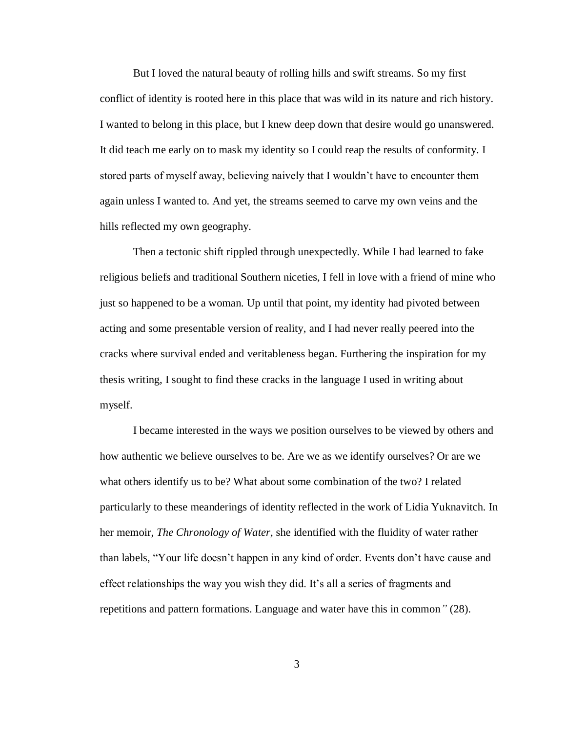But I loved the natural beauty of rolling hills and swift streams. So my first conflict of identity is rooted here in this place that was wild in its nature and rich history. I wanted to belong in this place, but I knew deep down that desire would go unanswered. It did teach me early on to mask my identity so I could reap the results of conformity. I stored parts of myself away, believing naively that I wouldn't have to encounter them again unless I wanted to. And yet, the streams seemed to carve my own veins and the hills reflected my own geography.

Then a tectonic shift rippled through unexpectedly. While I had learned to fake religious beliefs and traditional Southern niceties, I fell in love with a friend of mine who just so happened to be a woman. Up until that point, my identity had pivoted between acting and some presentable version of reality, and I had never really peered into the cracks where survival ended and veritableness began. Furthering the inspiration for my thesis writing, I sought to find these cracks in the language I used in writing about myself.

I became interested in the ways we position ourselves to be viewed by others and how authentic we believe ourselves to be. Are we as we identify ourselves? Or are we what others identify us to be? What about some combination of the two? I related particularly to these meanderings of identity reflected in the work of Lidia Yuknavitch. In her memoir, *The Chronology of Water,* she identified with the fluidity of water rather than labels, "Your life doesn't happen in any kind of order. Events don't have cause and effect relationships the way you wish they did. It's all a series of fragments and repetitions and pattern formations. Language and water have this in common*"* (28).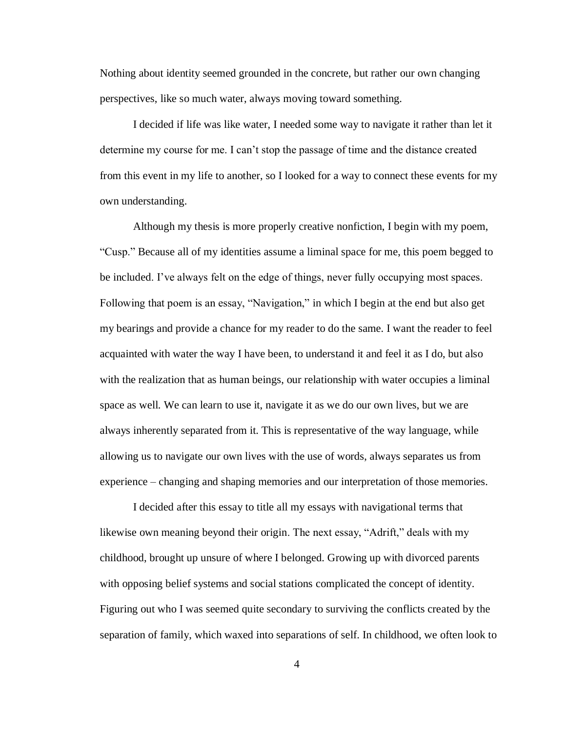Nothing about identity seemed grounded in the concrete, but rather our own changing perspectives, like so much water, always moving toward something.

I decided if life was like water, I needed some way to navigate it rather than let it determine my course for me. I can't stop the passage of time and the distance created from this event in my life to another, so I looked for a way to connect these events for my own understanding.

Although my thesis is more properly creative nonfiction, I begin with my poem, "Cusp." Because all of my identities assume a liminal space for me, this poem begged to be included. I've always felt on the edge of things, never fully occupying most spaces. Following that poem is an essay, "Navigation," in which I begin at the end but also get my bearings and provide a chance for my reader to do the same. I want the reader to feel acquainted with water the way I have been, to understand it and feel it as I do, but also with the realization that as human beings, our relationship with water occupies a liminal space as well. We can learn to use it, navigate it as we do our own lives, but we are always inherently separated from it. This is representative of the way language, while allowing us to navigate our own lives with the use of words, always separates us from experience – changing and shaping memories and our interpretation of those memories.

I decided after this essay to title all my essays with navigational terms that likewise own meaning beyond their origin. The next essay, "Adrift," deals with my childhood, brought up unsure of where I belonged. Growing up with divorced parents with opposing belief systems and social stations complicated the concept of identity. Figuring out who I was seemed quite secondary to surviving the conflicts created by the separation of family, which waxed into separations of self. In childhood, we often look to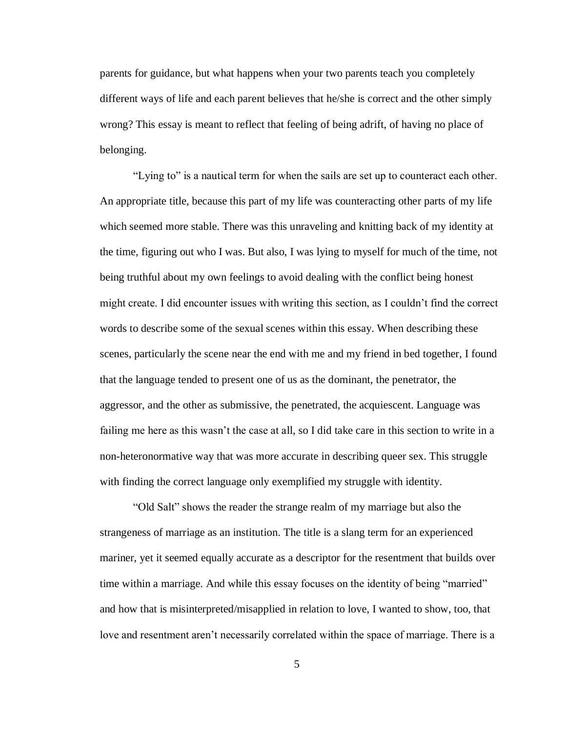parents for guidance, but what happens when your two parents teach you completely different ways of life and each parent believes that he/she is correct and the other simply wrong? This essay is meant to reflect that feeling of being adrift, of having no place of belonging.

"Lying to" is a nautical term for when the sails are set up to counteract each other. An appropriate title, because this part of my life was counteracting other parts of my life which seemed more stable. There was this unraveling and knitting back of my identity at the time, figuring out who I was. But also, I was lying to myself for much of the time, not being truthful about my own feelings to avoid dealing with the conflict being honest might create. I did encounter issues with writing this section, as I couldn't find the correct words to describe some of the sexual scenes within this essay. When describing these scenes, particularly the scene near the end with me and my friend in bed together, I found that the language tended to present one of us as the dominant, the penetrator, the aggressor, and the other as submissive, the penetrated, the acquiescent. Language was failing me here as this wasn't the case at all, so I did take care in this section to write in a non-heteronormative way that was more accurate in describing queer sex. This struggle with finding the correct language only exemplified my struggle with identity.

"Old Salt" shows the reader the strange realm of my marriage but also the strangeness of marriage as an institution. The title is a slang term for an experienced mariner, yet it seemed equally accurate as a descriptor for the resentment that builds over time within a marriage. And while this essay focuses on the identity of being "married" and how that is misinterpreted/misapplied in relation to love, I wanted to show, too, that love and resentment aren't necessarily correlated within the space of marriage. There is a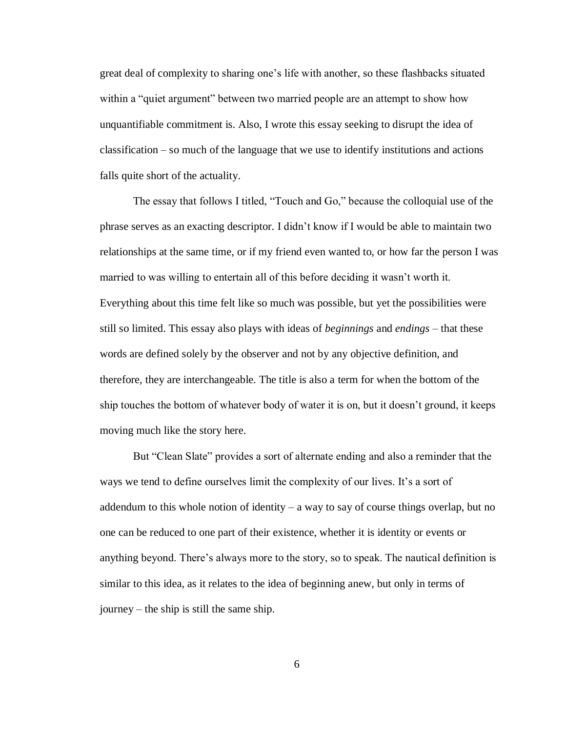great deal of complexity to sharing one's life with another, so these flashbacks situated within a "quiet argument" between two married people are an attempt to show how unquantifiable commitment is. Also, I wrote this essay seeking to disrupt the idea of classification – so much of the language that we use to identify institutions and actions falls quite short of the actuality.

The essay that follows I titled, "Touch and Go," because the colloquial use of the phrase serves as an exacting descriptor. I didn't know if I would be able to maintain two relationships at the same time, or if my friend even wanted to, or how far the person I was married to was willing to entertain all of this before deciding it wasn't worth it. Everything about this time felt like so much was possible, but yet the possibilities were still so limited. This essay also plays with ideas of *beginnings* and *endings* – that these words are defined solely by the observer and not by any objective definition, and therefore, they are interchangeable. The title is also a term for when the bottom of the ship touches the bottom of whatever body of water it is on, but it doesn't ground, it keeps moving much like the story here.

But "Clean Slate" provides a sort of alternate ending and also a reminder that the ways we tend to define ourselves limit the complexity of our lives. It's a sort of addendum to this whole notion of identity – a way to say of course things overlap, but no one can be reduced to one part of their existence, whether it is identity or events or anything beyond. There's always more to the story, so to speak. The nautical definition is similar to this idea, as it relates to the idea of beginning anew, but only in terms of journey – the ship is still the same ship.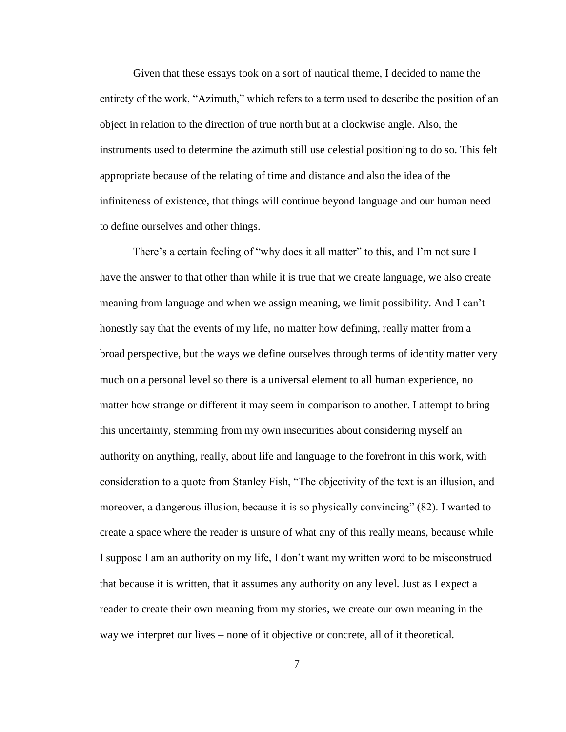Given that these essays took on a sort of nautical theme, I decided to name the entirety of the work, "Azimuth," which refers to a term used to describe the position of an object in relation to the direction of true north but at a clockwise angle. Also, the instruments used to determine the azimuth still use celestial positioning to do so. This felt appropriate because of the relating of time and distance and also the idea of the infiniteness of existence, that things will continue beyond language and our human need to define ourselves and other things.

There's a certain feeling of "why does it all matter" to this, and I'm not sure I have the answer to that other than while it is true that we create language, we also create meaning from language and when we assign meaning, we limit possibility. And I can't honestly say that the events of my life, no matter how defining, really matter from a broad perspective, but the ways we define ourselves through terms of identity matter very much on a personal level so there is a universal element to all human experience, no matter how strange or different it may seem in comparison to another. I attempt to bring this uncertainty, stemming from my own insecurities about considering myself an authority on anything, really, about life and language to the forefront in this work, with consideration to a quote from Stanley Fish, "The objectivity of the text is an illusion, and moreover, a dangerous illusion, because it is so physically convincing" (82). I wanted to create a space where the reader is unsure of what any of this really means, because while I suppose I am an authority on my life, I don't want my written word to be misconstrued that because it is written, that it assumes any authority on any level. Just as I expect a reader to create their own meaning from my stories, we create our own meaning in the way we interpret our lives – none of it objective or concrete, all of it theoretical.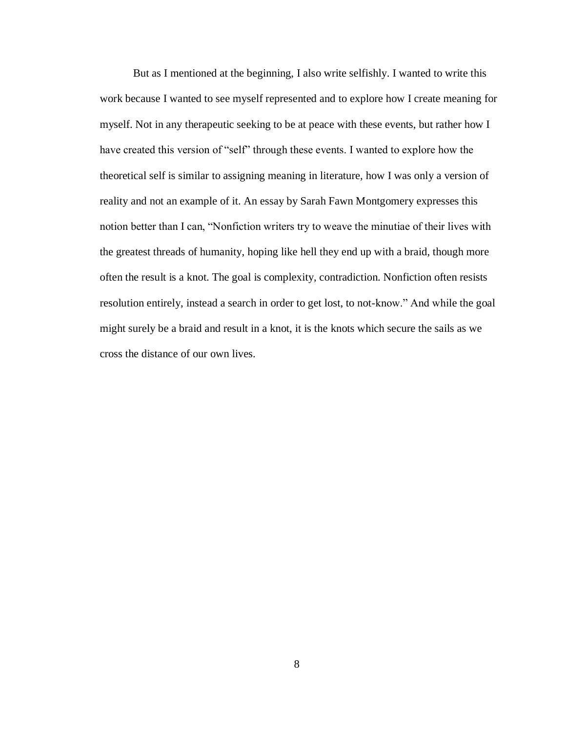But as I mentioned at the beginning, I also write selfishly. I wanted to write this work because I wanted to see myself represented and to explore how I create meaning for myself. Not in any therapeutic seeking to be at peace with these events, but rather how I have created this version of "self" through these events. I wanted to explore how the theoretical self is similar to assigning meaning in literature, how I was only a version of reality and not an example of it. An essay by Sarah Fawn Montgomery expresses this notion better than I can, "Nonfiction writers try to weave the minutiae of their lives with the greatest threads of humanity, hoping like hell they end up with a braid, though more often the result is a knot. The goal is complexity, contradiction. Nonfiction often resists resolution entirely, instead a search in order to get lost, to not-know." And while the goal might surely be a braid and result in a knot, it is the knots which secure the sails as we cross the distance of our own lives.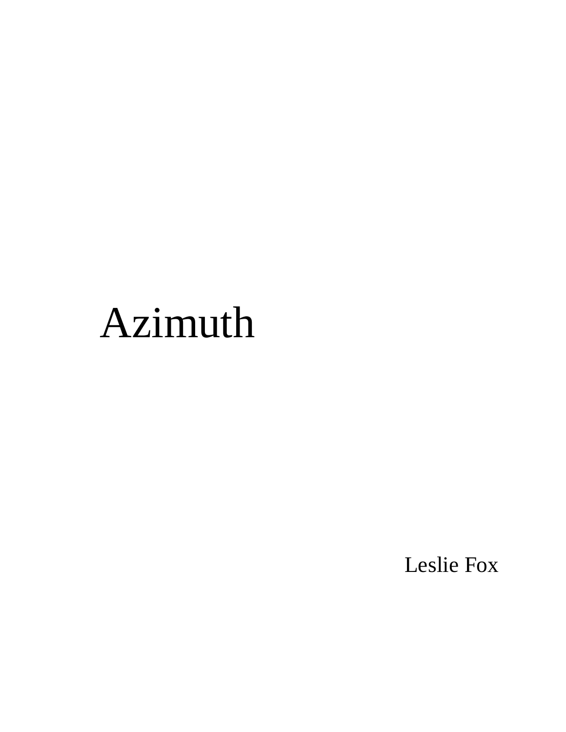# Azimuth

Leslie Fox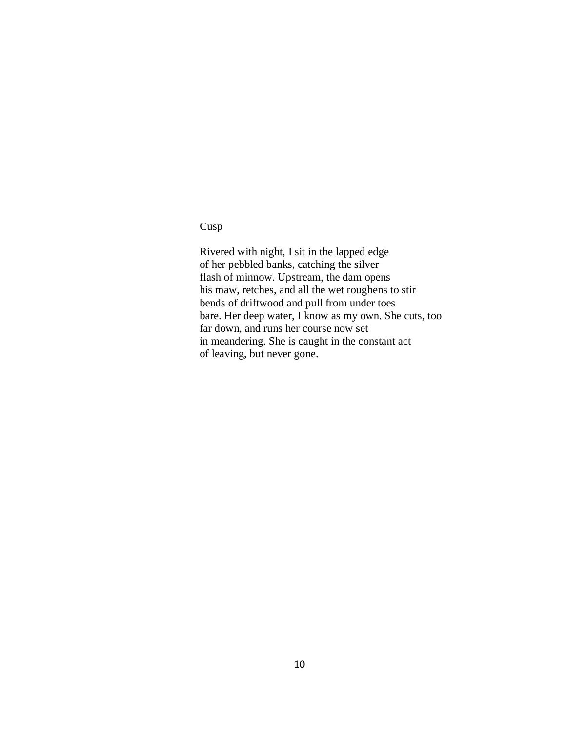Cusp

Rivered with night, I sit in the lapped edge of her pebbled banks, catching the silver flash of minnow. Upstream, the dam opens his maw, retches, and all the wet roughens to stir bends of driftwood and pull from under toes bare. Her deep water, I know as my own. She cuts, too far down, and runs her course now set in meandering. She is caught in the constant act of leaving, but never gone.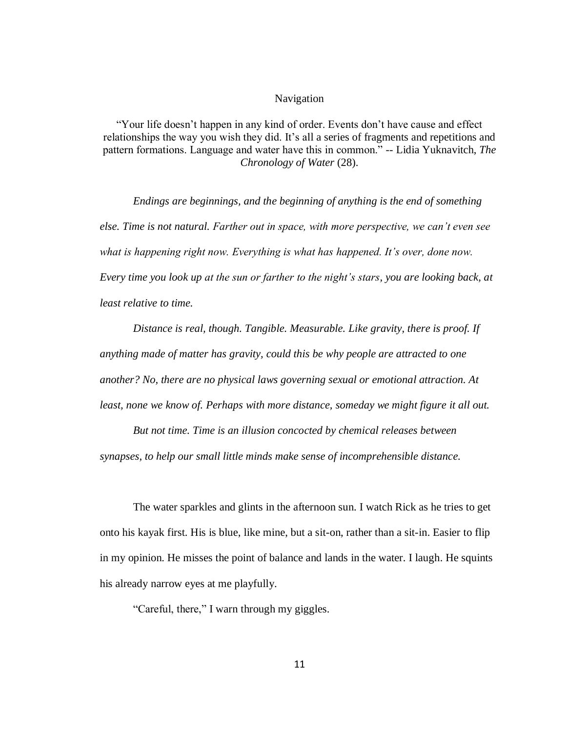## Navigation

"Your life doesn't happen in any kind of order. Events don't have cause and effect relationships the way you wish they did. It's all a series of fragments and repetitions and pattern formations. Language and water have this in common." -- Lidia Yuknavitch, *The Chronology of Water* (28).

*Endings are beginnings, and the beginning of anything is the end of something else. Time is not natural. Farther out in space, with more perspective, we can't even see what is happening right now. Everything is what has happened. It's over, done now. Every time you look up at the sun or farther to the night's stars, you are looking back, at least relative to time.*

*Distance is real, though. Tangible. Measurable. Like gravity, there is proof. If anything made of matter has gravity, could this be why people are attracted to one another? No, there are no physical laws governing sexual or emotional attraction. At least, none we know of. Perhaps with more distance, someday we might figure it all out.*

*But not time. Time is an illusion concocted by chemical releases between synapses, to help our small little minds make sense of incomprehensible distance.*

The water sparkles and glints in the afternoon sun. I watch Rick as he tries to get onto his kayak first. His is blue, like mine, but a sit-on, rather than a sit-in. Easier to flip in my opinion. He misses the point of balance and lands in the water. I laugh. He squints his already narrow eyes at me playfully.

"Careful, there," I warn through my giggles.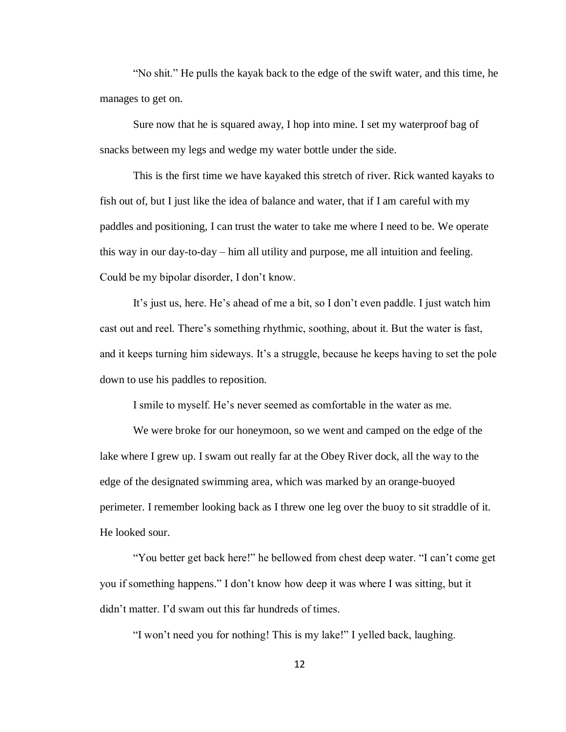"No shit." He pulls the kayak back to the edge of the swift water, and this time, he manages to get on.

Sure now that he is squared away, I hop into mine. I set my waterproof bag of snacks between my legs and wedge my water bottle under the side.

This is the first time we have kayaked this stretch of river. Rick wanted kayaks to fish out of, but I just like the idea of balance and water, that if I am careful with my paddles and positioning, I can trust the water to take me where I need to be. We operate this way in our day-to-day – him all utility and purpose, me all intuition and feeling. Could be my bipolar disorder, I don't know.

It's just us, here. He's ahead of me a bit, so I don't even paddle. I just watch him cast out and reel. There's something rhythmic, soothing, about it. But the water is fast, and it keeps turning him sideways. It's a struggle, because he keeps having to set the pole down to use his paddles to reposition.

I smile to myself. He's never seemed as comfortable in the water as me.

We were broke for our honeymoon, so we went and camped on the edge of the lake where I grew up. I swam out really far at the Obey River dock, all the way to the edge of the designated swimming area, which was marked by an orange-buoyed perimeter. I remember looking back as I threw one leg over the buoy to sit straddle of it. He looked sour.

"You better get back here!" he bellowed from chest deep water. "I can't come get you if something happens." I don't know how deep it was where I was sitting, but it didn't matter. I'd swam out this far hundreds of times.

"I won't need you for nothing! This is my lake!" I yelled back, laughing.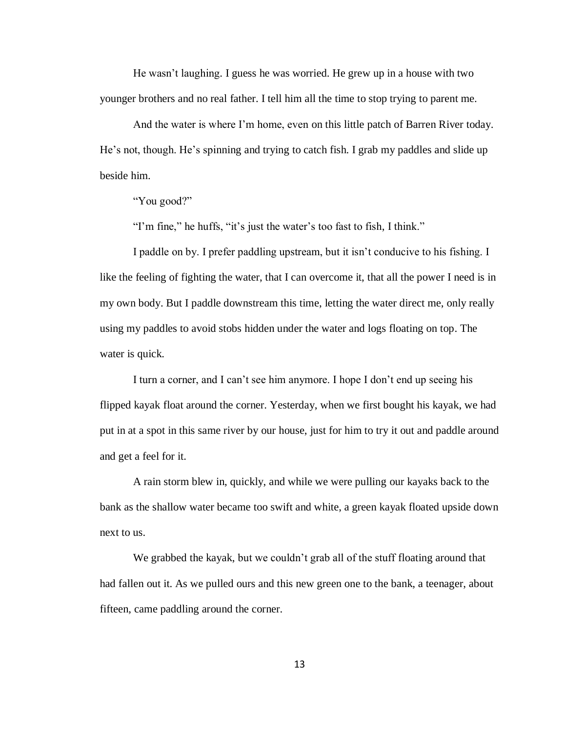He wasn't laughing. I guess he was worried. He grew up in a house with two younger brothers and no real father. I tell him all the time to stop trying to parent me.

And the water is where I'm home, even on this little patch of Barren River today. He's not, though. He's spinning and trying to catch fish. I grab my paddles and slide up beside him.

"You good?"

"I'm fine," he huffs, "it's just the water's too fast to fish, I think."

I paddle on by. I prefer paddling upstream, but it isn't conducive to his fishing. I like the feeling of fighting the water, that I can overcome it, that all the power I need is in my own body. But I paddle downstream this time, letting the water direct me, only really using my paddles to avoid stobs hidden under the water and logs floating on top. The water is quick.

I turn a corner, and I can't see him anymore. I hope I don't end up seeing his flipped kayak float around the corner. Yesterday, when we first bought his kayak, we had put in at a spot in this same river by our house, just for him to try it out and paddle around and get a feel for it.

A rain storm blew in, quickly, and while we were pulling our kayaks back to the bank as the shallow water became too swift and white, a green kayak floated upside down next to us.

We grabbed the kayak, but we couldn't grab all of the stuff floating around that had fallen out it. As we pulled ours and this new green one to the bank, a teenager, about fifteen, came paddling around the corner.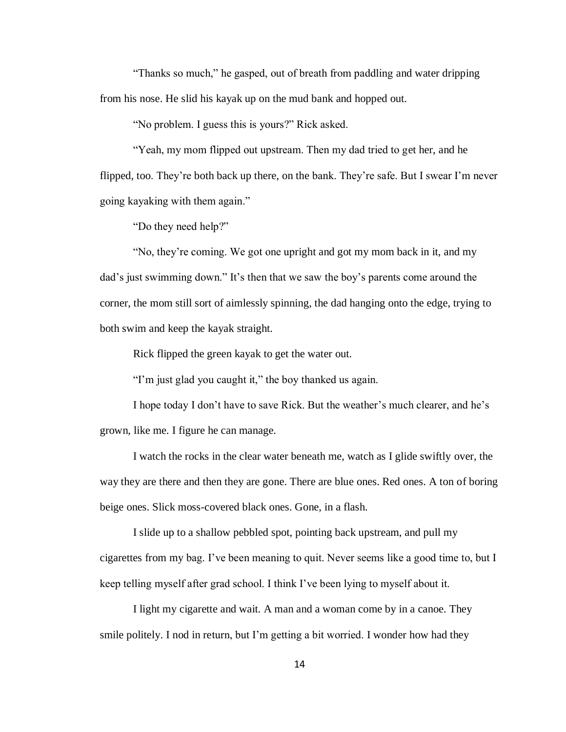"Thanks so much," he gasped, out of breath from paddling and water dripping from his nose. He slid his kayak up on the mud bank and hopped out.

"No problem. I guess this is yours?" Rick asked.

"Yeah, my mom flipped out upstream. Then my dad tried to get her, and he flipped, too. They're both back up there, on the bank. They're safe. But I swear I'm never going kayaking with them again."

"Do they need help?"

"No, they're coming. We got one upright and got my mom back in it, and my dad's just swimming down." It's then that we saw the boy's parents come around the corner, the mom still sort of aimlessly spinning, the dad hanging onto the edge, trying to both swim and keep the kayak straight.

Rick flipped the green kayak to get the water out.

"I'm just glad you caught it," the boy thanked us again.

I hope today I don't have to save Rick. But the weather's much clearer, and he's grown, like me. I figure he can manage.

I watch the rocks in the clear water beneath me, watch as I glide swiftly over, the way they are there and then they are gone. There are blue ones. Red ones. A ton of boring beige ones. Slick moss-covered black ones. Gone, in a flash.

I slide up to a shallow pebbled spot, pointing back upstream, and pull my cigarettes from my bag. I've been meaning to quit. Never seems like a good time to, but I keep telling myself after grad school. I think I've been lying to myself about it.

I light my cigarette and wait. A man and a woman come by in a canoe. They smile politely. I nod in return, but I'm getting a bit worried. I wonder how had they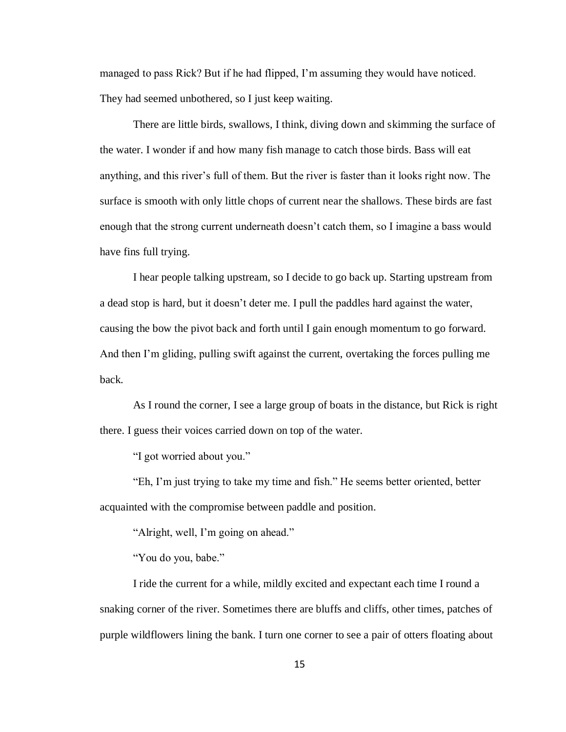managed to pass Rick? But if he had flipped, I'm assuming they would have noticed. They had seemed unbothered, so I just keep waiting.

There are little birds, swallows, I think, diving down and skimming the surface of the water. I wonder if and how many fish manage to catch those birds. Bass will eat anything, and this river's full of them. But the river is faster than it looks right now. The surface is smooth with only little chops of current near the shallows. These birds are fast enough that the strong current underneath doesn't catch them, so I imagine a bass would have fins full trying.

I hear people talking upstream, so I decide to go back up. Starting upstream from a dead stop is hard, but it doesn't deter me. I pull the paddles hard against the water, causing the bow the pivot back and forth until I gain enough momentum to go forward. And then I'm gliding, pulling swift against the current, overtaking the forces pulling me back.

As I round the corner, I see a large group of boats in the distance, but Rick is right there. I guess their voices carried down on top of the water.

"I got worried about you."

"Eh, I'm just trying to take my time and fish." He seems better oriented, better acquainted with the compromise between paddle and position.

"Alright, well, I'm going on ahead."

"You do you, babe."

I ride the current for a while, mildly excited and expectant each time I round a snaking corner of the river. Sometimes there are bluffs and cliffs, other times, patches of purple wildflowers lining the bank. I turn one corner to see a pair of otters floating about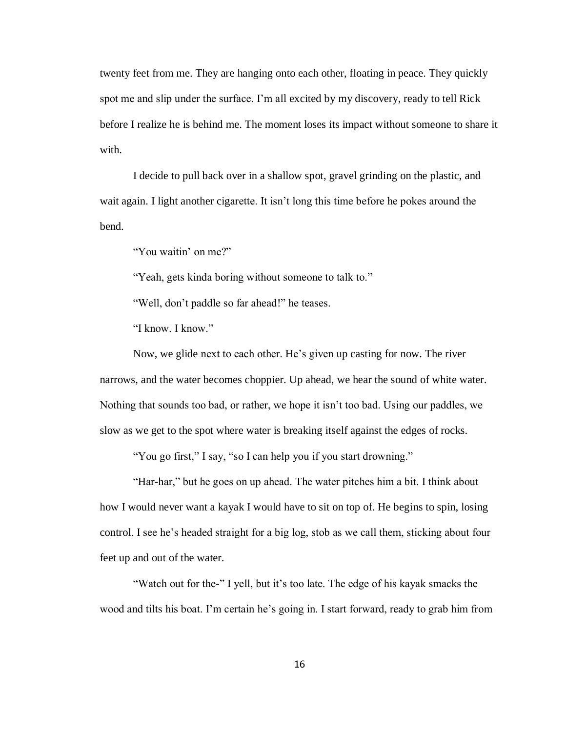twenty feet from me. They are hanging onto each other, floating in peace. They quickly spot me and slip under the surface. I'm all excited by my discovery, ready to tell Rick before I realize he is behind me. The moment loses its impact without someone to share it with.

I decide to pull back over in a shallow spot, gravel grinding on the plastic, and wait again. I light another cigarette. It isn't long this time before he pokes around the bend.

"You waitin' on me?"

"Yeah, gets kinda boring without someone to talk to."

"Well, don't paddle so far ahead!" he teases.

"I know. I know."

Now, we glide next to each other. He's given up casting for now. The river narrows, and the water becomes choppier. Up ahead, we hear the sound of white water. Nothing that sounds too bad, or rather, we hope it isn't too bad. Using our paddles, we slow as we get to the spot where water is breaking itself against the edges of rocks.

"You go first," I say, "so I can help you if you start drowning."

"Har-har," but he goes on up ahead. The water pitches him a bit. I think about how I would never want a kayak I would have to sit on top of. He begins to spin, losing control. I see he's headed straight for a big log, stob as we call them, sticking about four feet up and out of the water.

"Watch out for the-" I yell, but it's too late. The edge of his kayak smacks the wood and tilts his boat. I'm certain he's going in. I start forward, ready to grab him from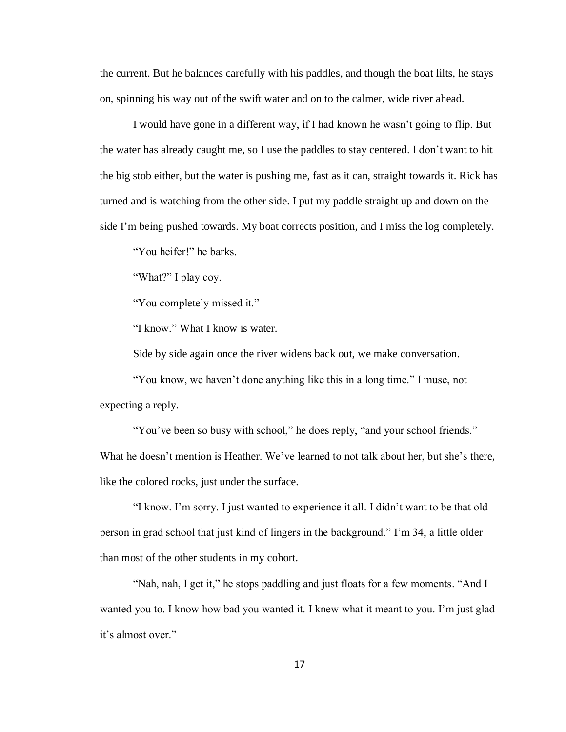the current. But he balances carefully with his paddles, and though the boat lilts, he stays on, spinning his way out of the swift water and on to the calmer, wide river ahead.

I would have gone in a different way, if I had known he wasn't going to flip. But the water has already caught me, so I use the paddles to stay centered. I don't want to hit the big stob either, but the water is pushing me, fast as it can, straight towards it. Rick has turned and is watching from the other side. I put my paddle straight up and down on the side I'm being pushed towards. My boat corrects position, and I miss the log completely.

"You heifer!" he barks.

"What?" I play coy.

"You completely missed it."

"I know." What I know is water.

Side by side again once the river widens back out, we make conversation.

"You know, we haven't done anything like this in a long time." I muse, not expecting a reply.

"You've been so busy with school," he does reply, "and your school friends." What he doesn't mention is Heather. We've learned to not talk about her, but she's there, like the colored rocks, just under the surface.

"I know. I'm sorry. I just wanted to experience it all. I didn't want to be that old person in grad school that just kind of lingers in the background." I'm 34, a little older than most of the other students in my cohort.

"Nah, nah, I get it," he stops paddling and just floats for a few moments. "And I wanted you to. I know how bad you wanted it. I knew what it meant to you. I'm just glad it's almost over."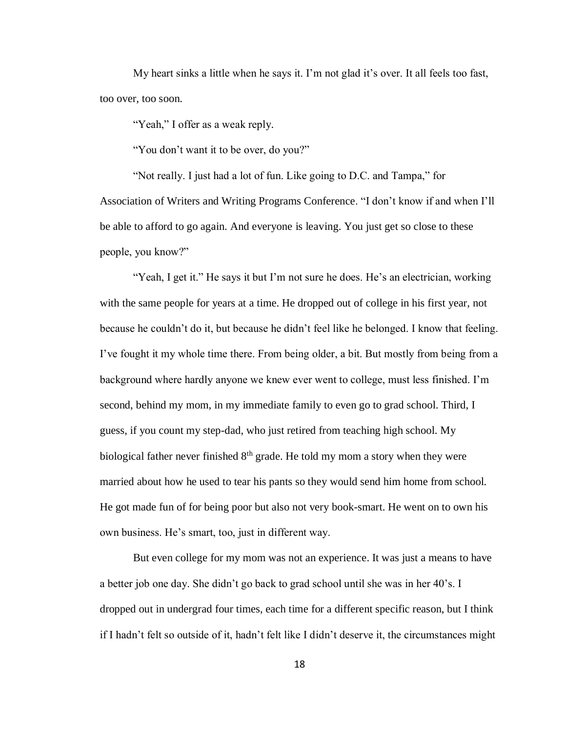My heart sinks a little when he says it. I'm not glad it's over. It all feels too fast, too over, too soon.

"Yeah," I offer as a weak reply.

"You don't want it to be over, do you?"

"Not really. I just had a lot of fun. Like going to D.C. and Tampa," for Association of Writers and Writing Programs Conference. "I don't know if and when I'll be able to afford to go again. And everyone is leaving. You just get so close to these people, you know?"

"Yeah, I get it." He says it but I'm not sure he does. He's an electrician, working with the same people for years at a time. He dropped out of college in his first year, not because he couldn't do it, but because he didn't feel like he belonged. I know that feeling. I've fought it my whole time there. From being older, a bit. But mostly from being from a background where hardly anyone we knew ever went to college, must less finished. I'm second, behind my mom, in my immediate family to even go to grad school. Third, I guess, if you count my step-dad, who just retired from teaching high school. My biological father never finished  $8<sup>th</sup>$  grade. He told my mom a story when they were married about how he used to tear his pants so they would send him home from school. He got made fun of for being poor but also not very book-smart. He went on to own his own business. He's smart, too, just in different way.

But even college for my mom was not an experience. It was just a means to have a better job one day. She didn't go back to grad school until she was in her 40's. I dropped out in undergrad four times, each time for a different specific reason, but I think if I hadn't felt so outside of it, hadn't felt like I didn't deserve it, the circumstances might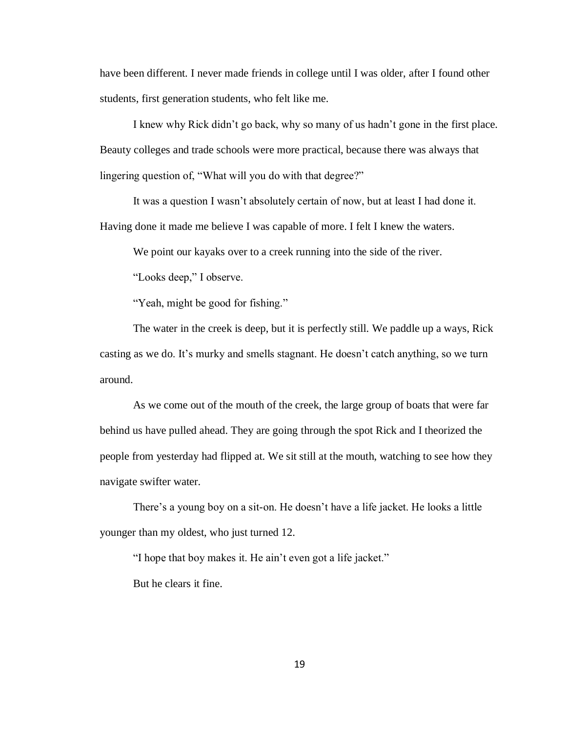have been different. I never made friends in college until I was older, after I found other students, first generation students, who felt like me.

I knew why Rick didn't go back, why so many of us hadn't gone in the first place. Beauty colleges and trade schools were more practical, because there was always that lingering question of, "What will you do with that degree?"

It was a question I wasn't absolutely certain of now, but at least I had done it. Having done it made me believe I was capable of more. I felt I knew the waters.

We point our kayaks over to a creek running into the side of the river.

"Looks deep," I observe.

"Yeah, might be good for fishing."

The water in the creek is deep, but it is perfectly still. We paddle up a ways, Rick casting as we do. It's murky and smells stagnant. He doesn't catch anything, so we turn around.

As we come out of the mouth of the creek, the large group of boats that were far behind us have pulled ahead. They are going through the spot Rick and I theorized the people from yesterday had flipped at. We sit still at the mouth, watching to see how they navigate swifter water.

There's a young boy on a sit-on. He doesn't have a life jacket. He looks a little younger than my oldest, who just turned 12.

"I hope that boy makes it. He ain't even got a life jacket."

But he clears it fine.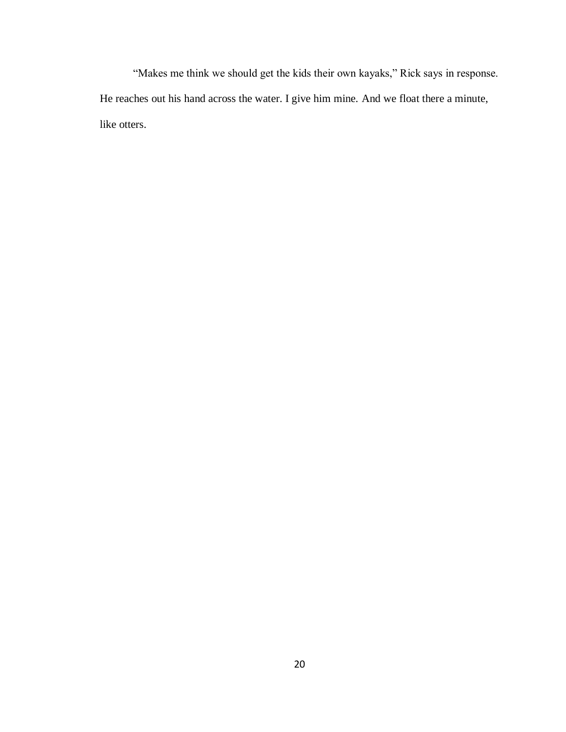"Makes me think we should get the kids their own kayaks," Rick says in response. He reaches out his hand across the water. I give him mine. And we float there a minute, like otters.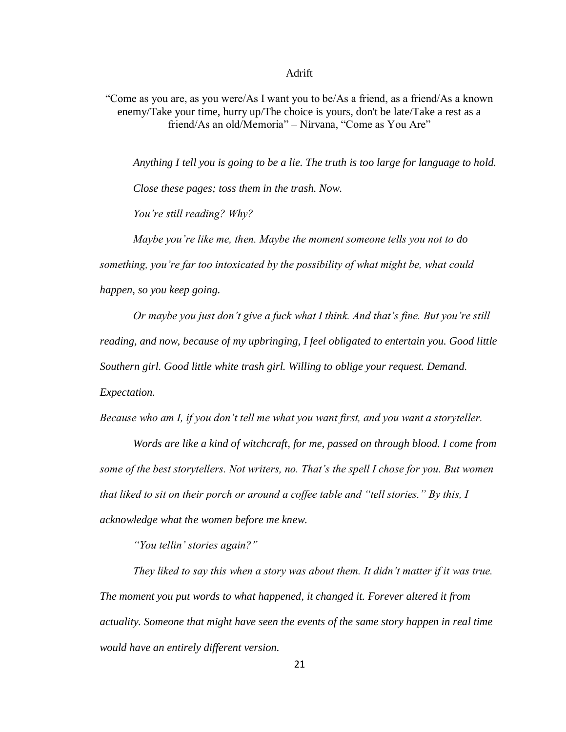### Adrift

"Come as you are, as you were/As I want you to be/As a friend, as a friend/As a known enemy/Take your time, hurry up/The choice is yours, don't be late/Take a rest as a friend/As an old/Memoria" – Nirvana, "Come as You Are"

*Anything I tell you is going to be a lie. The truth is too large for language to hold. Close these pages; toss them in the trash. Now. You're still reading? Why?*

*Maybe you're like me, then. Maybe the moment someone tells you not to do something, you're far too intoxicated by the possibility of what might be, what could happen, so you keep going.*

*Or maybe you just don't give a fuck what I think. And that's fine. But you're still reading, and now, because of my upbringing, I feel obligated to entertain you. Good little Southern girl. Good little white trash girl. Willing to oblige your request. Demand. Expectation.*

*Because who am I, if you don't tell me what you want first, and you want a storyteller.*

*Words are like a kind of witchcraft, for me, passed on through blood. I come from some of the best storytellers. Not writers, no. That's the spell I chose for you. But women that liked to sit on their porch or around a coffee table and "tell stories." By this, I acknowledge what the women before me knew.*

*"You tellin' stories again?"*

*They liked to say this when a story was about them. It didn't matter if it was true. The moment you put words to what happened, it changed it. Forever altered it from actuality. Someone that might have seen the events of the same story happen in real time would have an entirely different version.*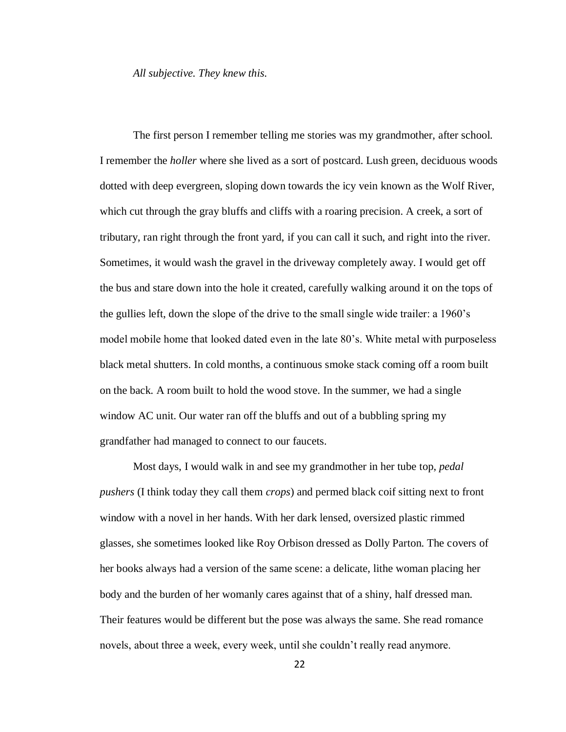*All subjective. They knew this.*

The first person I remember telling me stories was my grandmother, after school. I remember the *holler* where she lived as a sort of postcard. Lush green, deciduous woods dotted with deep evergreen, sloping down towards the icy vein known as the Wolf River, which cut through the gray bluffs and cliffs with a roaring precision. A creek, a sort of tributary, ran right through the front yard, if you can call it such, and right into the river. Sometimes, it would wash the gravel in the driveway completely away. I would get off the bus and stare down into the hole it created, carefully walking around it on the tops of the gullies left, down the slope of the drive to the small single wide trailer: a 1960's model mobile home that looked dated even in the late 80's. White metal with purposeless black metal shutters. In cold months, a continuous smoke stack coming off a room built on the back. A room built to hold the wood stove. In the summer, we had a single window AC unit. Our water ran off the bluffs and out of a bubbling spring my grandfather had managed to connect to our faucets.

Most days, I would walk in and see my grandmother in her tube top, *pedal pushers* (I think today they call them *crops*) and permed black coif sitting next to front window with a novel in her hands. With her dark lensed, oversized plastic rimmed glasses, she sometimes looked like Roy Orbison dressed as Dolly Parton. The covers of her books always had a version of the same scene: a delicate, lithe woman placing her body and the burden of her womanly cares against that of a shiny, half dressed man. Their features would be different but the pose was always the same. She read romance novels, about three a week, every week, until she couldn't really read anymore.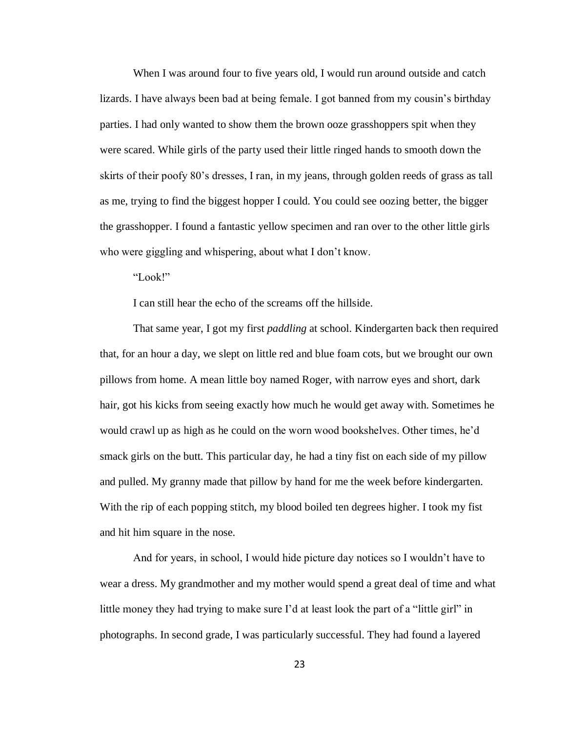When I was around four to five years old, I would run around outside and catch lizards. I have always been bad at being female. I got banned from my cousin's birthday parties. I had only wanted to show them the brown ooze grasshoppers spit when they were scared. While girls of the party used their little ringed hands to smooth down the skirts of their poofy 80's dresses, I ran, in my jeans, through golden reeds of grass as tall as me, trying to find the biggest hopper I could. You could see oozing better, the bigger the grasshopper. I found a fantastic yellow specimen and ran over to the other little girls who were giggling and whispering, about what I don't know.

"Look!"

I can still hear the echo of the screams off the hillside.

That same year, I got my first *paddling* at school. Kindergarten back then required that, for an hour a day, we slept on little red and blue foam cots, but we brought our own pillows from home. A mean little boy named Roger, with narrow eyes and short, dark hair, got his kicks from seeing exactly how much he would get away with. Sometimes he would crawl up as high as he could on the worn wood bookshelves. Other times, he'd smack girls on the butt. This particular day, he had a tiny fist on each side of my pillow and pulled. My granny made that pillow by hand for me the week before kindergarten. With the rip of each popping stitch, my blood boiled ten degrees higher. I took my fist and hit him square in the nose.

And for years, in school, I would hide picture day notices so I wouldn't have to wear a dress. My grandmother and my mother would spend a great deal of time and what little money they had trying to make sure I'd at least look the part of a "little girl" in photographs. In second grade, I was particularly successful. They had found a layered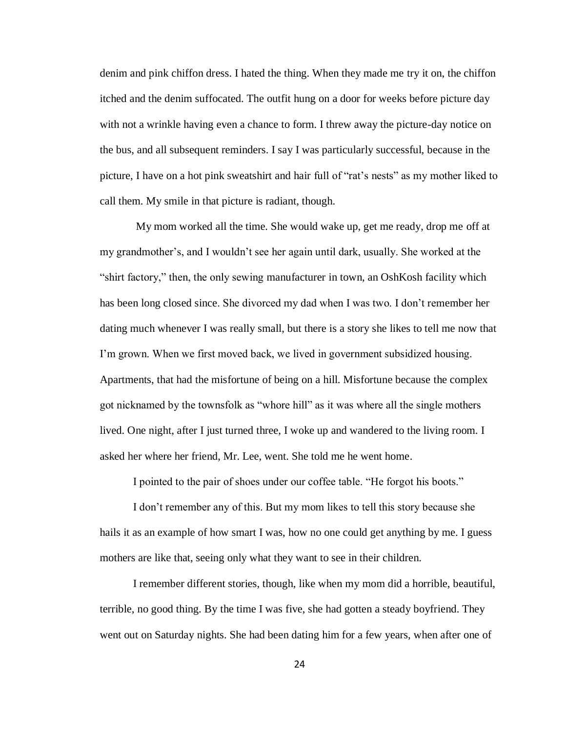denim and pink chiffon dress. I hated the thing. When they made me try it on, the chiffon itched and the denim suffocated. The outfit hung on a door for weeks before picture day with not a wrinkle having even a chance to form. I threw away the picture-day notice on the bus, and all subsequent reminders. I say I was particularly successful, because in the picture, I have on a hot pink sweatshirt and hair full of "rat's nests" as my mother liked to call them. My smile in that picture is radiant, though.

My mom worked all the time. She would wake up, get me ready, drop me off at my grandmother's, and I wouldn't see her again until dark, usually. She worked at the "shirt factory," then, the only sewing manufacturer in town, an OshKosh facility which has been long closed since. She divorced my dad when I was two. I don't remember her dating much whenever I was really small, but there is a story she likes to tell me now that I'm grown. When we first moved back, we lived in government subsidized housing. Apartments, that had the misfortune of being on a hill. Misfortune because the complex got nicknamed by the townsfolk as "whore hill" as it was where all the single mothers lived. One night, after I just turned three, I woke up and wandered to the living room. I asked her where her friend, Mr. Lee, went. She told me he went home.

I pointed to the pair of shoes under our coffee table. "He forgot his boots."

I don't remember any of this. But my mom likes to tell this story because she hails it as an example of how smart I was, how no one could get anything by me. I guess mothers are like that, seeing only what they want to see in their children.

I remember different stories, though, like when my mom did a horrible, beautiful, terrible, no good thing. By the time I was five, she had gotten a steady boyfriend. They went out on Saturday nights. She had been dating him for a few years, when after one of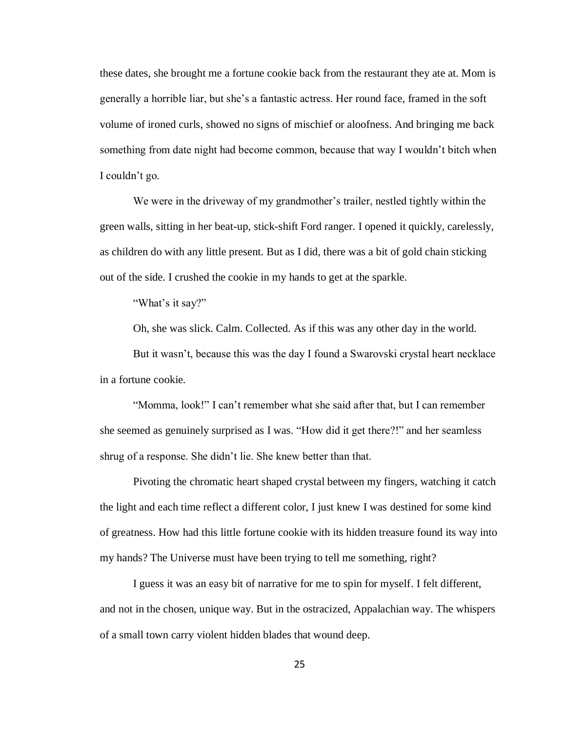these dates, she brought me a fortune cookie back from the restaurant they ate at. Mom is generally a horrible liar, but she's a fantastic actress. Her round face, framed in the soft volume of ironed curls, showed no signs of mischief or aloofness. And bringing me back something from date night had become common, because that way I wouldn't bitch when I couldn't go.

We were in the driveway of my grandmother's trailer, nestled tightly within the green walls, sitting in her beat-up, stick-shift Ford ranger. I opened it quickly, carelessly, as children do with any little present. But as I did, there was a bit of gold chain sticking out of the side. I crushed the cookie in my hands to get at the sparkle.

"What's it say?"

Oh, she was slick. Calm. Collected. As if this was any other day in the world.

But it wasn't, because this was the day I found a Swarovski crystal heart necklace in a fortune cookie.

"Momma, look!" I can't remember what she said after that, but I can remember she seemed as genuinely surprised as I was. "How did it get there?!" and her seamless shrug of a response. She didn't lie. She knew better than that.

Pivoting the chromatic heart shaped crystal between my fingers, watching it catch the light and each time reflect a different color, I just knew I was destined for some kind of greatness. How had this little fortune cookie with its hidden treasure found its way into my hands? The Universe must have been trying to tell me something, right?

I guess it was an easy bit of narrative for me to spin for myself. I felt different, and not in the chosen, unique way. But in the ostracized, Appalachian way. The whispers of a small town carry violent hidden blades that wound deep.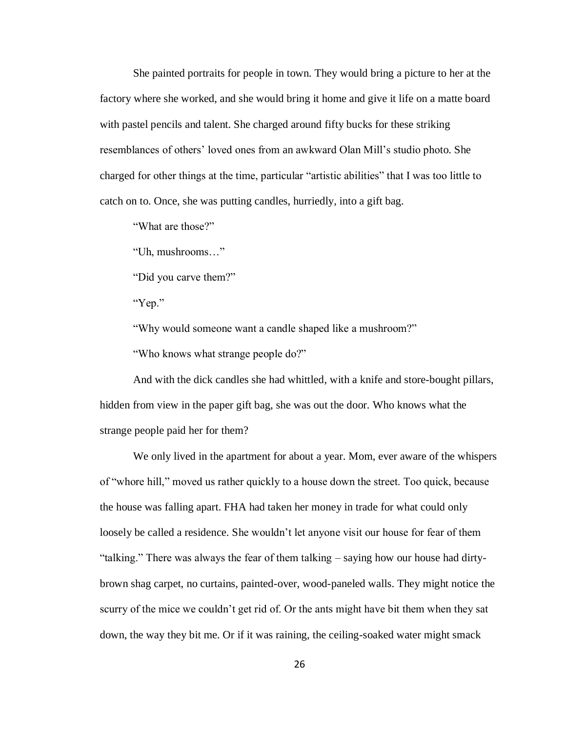She painted portraits for people in town. They would bring a picture to her at the factory where she worked, and she would bring it home and give it life on a matte board with pastel pencils and talent. She charged around fifty bucks for these striking resemblances of others' loved ones from an awkward Olan Mill's studio photo. She charged for other things at the time, particular "artistic abilities" that I was too little to catch on to. Once, she was putting candles, hurriedly, into a gift bag.

"What are those?"

"Uh, mushrooms…"

"Did you carve them?"

"Yep."

"Why would someone want a candle shaped like a mushroom?"

"Who knows what strange people do?"

And with the dick candles she had whittled, with a knife and store-bought pillars, hidden from view in the paper gift bag, she was out the door. Who knows what the strange people paid her for them?

We only lived in the apartment for about a year. Mom, ever aware of the whispers of "whore hill," moved us rather quickly to a house down the street. Too quick, because the house was falling apart. FHA had taken her money in trade for what could only loosely be called a residence. She wouldn't let anyone visit our house for fear of them "talking." There was always the fear of them talking – saying how our house had dirtybrown shag carpet, no curtains, painted-over, wood-paneled walls. They might notice the scurry of the mice we couldn't get rid of. Or the ants might have bit them when they sat down, the way they bit me. Or if it was raining, the ceiling-soaked water might smack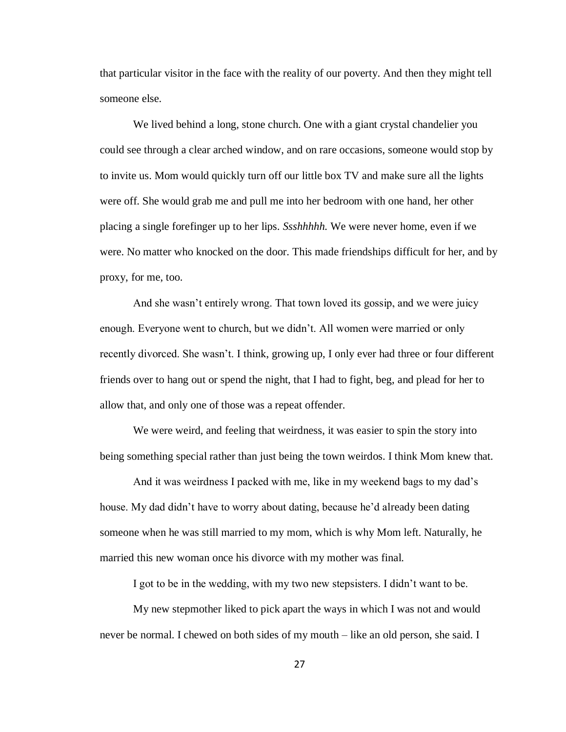that particular visitor in the face with the reality of our poverty. And then they might tell someone else.

We lived behind a long, stone church. One with a giant crystal chandelier you could see through a clear arched window, and on rare occasions, someone would stop by to invite us. Mom would quickly turn off our little box TV and make sure all the lights were off. She would grab me and pull me into her bedroom with one hand, her other placing a single forefinger up to her lips. *Ssshhhhh.* We were never home, even if we were. No matter who knocked on the door. This made friendships difficult for her, and by proxy, for me, too.

And she wasn't entirely wrong. That town loved its gossip, and we were juicy enough. Everyone went to church, but we didn't. All women were married or only recently divorced. She wasn't. I think, growing up, I only ever had three or four different friends over to hang out or spend the night, that I had to fight, beg, and plead for her to allow that, and only one of those was a repeat offender.

We were weird, and feeling that weirdness, it was easier to spin the story into being something special rather than just being the town weirdos. I think Mom knew that.

And it was weirdness I packed with me, like in my weekend bags to my dad's house. My dad didn't have to worry about dating, because he'd already been dating someone when he was still married to my mom, which is why Mom left. Naturally, he married this new woman once his divorce with my mother was final.

I got to be in the wedding, with my two new stepsisters. I didn't want to be.

My new stepmother liked to pick apart the ways in which I was not and would never be normal. I chewed on both sides of my mouth – like an old person, she said. I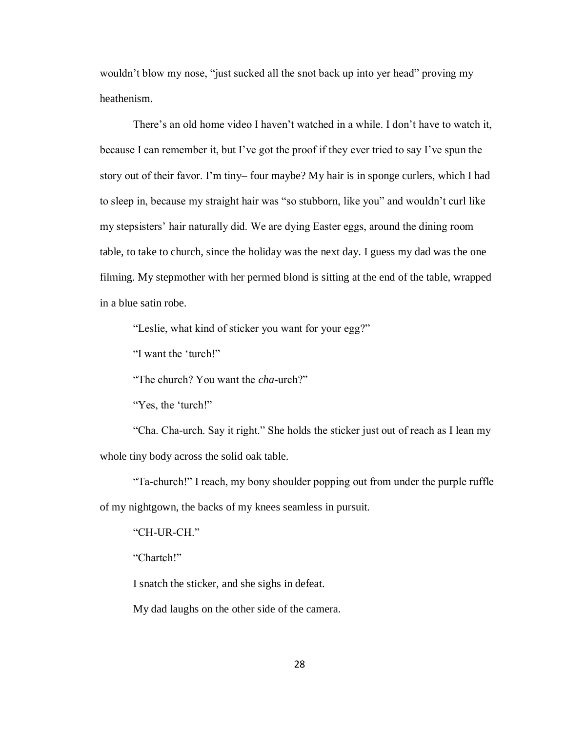wouldn't blow my nose, "just sucked all the snot back up into yer head" proving my heathenism.

There's an old home video I haven't watched in a while. I don't have to watch it, because I can remember it, but I've got the proof if they ever tried to say I've spun the story out of their favor. I'm tiny– four maybe? My hair is in sponge curlers, which I had to sleep in, because my straight hair was "so stubborn, like you" and wouldn't curl like my stepsisters' hair naturally did. We are dying Easter eggs, around the dining room table, to take to church, since the holiday was the next day. I guess my dad was the one filming. My stepmother with her permed blond is sitting at the end of the table, wrapped in a blue satin robe.

"Leslie, what kind of sticker you want for your egg?"

"I want the 'turch!"

"The church? You want the *cha*-urch?"

"Yes, the 'turch!"

"Cha. Cha-urch. Say it right." She holds the sticker just out of reach as I lean my whole tiny body across the solid oak table.

"Ta-church!" I reach, my bony shoulder popping out from under the purple ruffle of my nightgown, the backs of my knees seamless in pursuit.

"CH-UR-CH."

"Chartch!"

I snatch the sticker, and she sighs in defeat.

My dad laughs on the other side of the camera.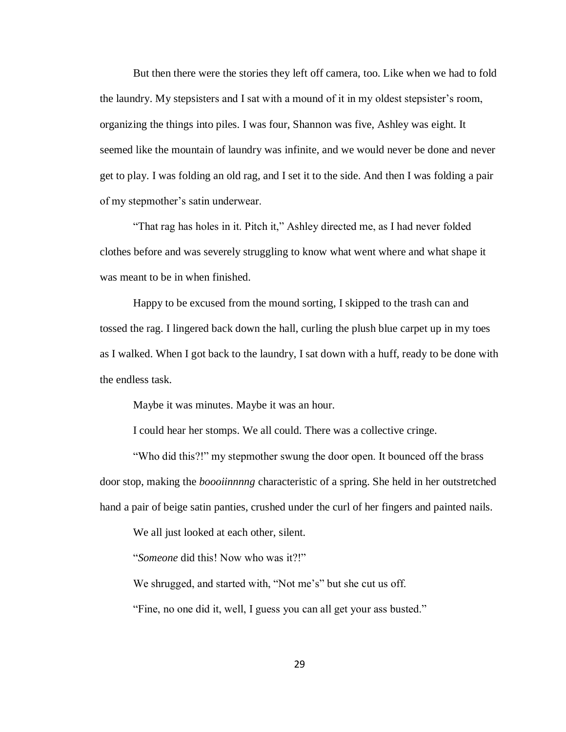But then there were the stories they left off camera, too. Like when we had to fold the laundry. My stepsisters and I sat with a mound of it in my oldest stepsister's room, organizing the things into piles. I was four, Shannon was five, Ashley was eight. It seemed like the mountain of laundry was infinite, and we would never be done and never get to play. I was folding an old rag, and I set it to the side. And then I was folding a pair of my stepmother's satin underwear.

"That rag has holes in it. Pitch it," Ashley directed me, as I had never folded clothes before and was severely struggling to know what went where and what shape it was meant to be in when finished.

Happy to be excused from the mound sorting, I skipped to the trash can and tossed the rag. I lingered back down the hall, curling the plush blue carpet up in my toes as I walked. When I got back to the laundry, I sat down with a huff, ready to be done with the endless task.

Maybe it was minutes. Maybe it was an hour.

I could hear her stomps. We all could. There was a collective cringe.

"Who did this?!" my stepmother swung the door open. It bounced off the brass door stop, making the *boooiinnnng* characteristic of a spring. She held in her outstretched hand a pair of beige satin panties, crushed under the curl of her fingers and painted nails.

We all just looked at each other, silent.

"*Someone* did this! Now who was it?!"

We shrugged, and started with, "Not me's" but she cut us off.

"Fine, no one did it, well, I guess you can all get your ass busted."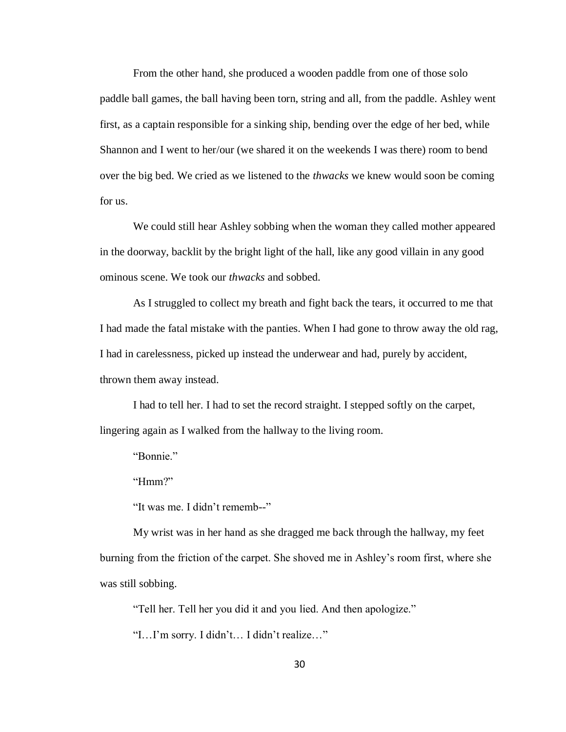From the other hand, she produced a wooden paddle from one of those solo paddle ball games, the ball having been torn, string and all, from the paddle. Ashley went first, as a captain responsible for a sinking ship, bending over the edge of her bed, while Shannon and I went to her/our (we shared it on the weekends I was there) room to bend over the big bed. We cried as we listened to the *thwacks* we knew would soon be coming for us.

We could still hear Ashley sobbing when the woman they called mother appeared in the doorway, backlit by the bright light of the hall, like any good villain in any good ominous scene. We took our *thwacks* and sobbed.

As I struggled to collect my breath and fight back the tears, it occurred to me that I had made the fatal mistake with the panties. When I had gone to throw away the old rag, I had in carelessness, picked up instead the underwear and had, purely by accident, thrown them away instead.

I had to tell her. I had to set the record straight. I stepped softly on the carpet, lingering again as I walked from the hallway to the living room.

"Bonnie."

"Hmm?"

"It was me. I didn't rememb--"

My wrist was in her hand as she dragged me back through the hallway, my feet burning from the friction of the carpet. She shoved me in Ashley's room first, where she was still sobbing.

"Tell her. Tell her you did it and you lied. And then apologize."

"I…I'm sorry. I didn't… I didn't realize…"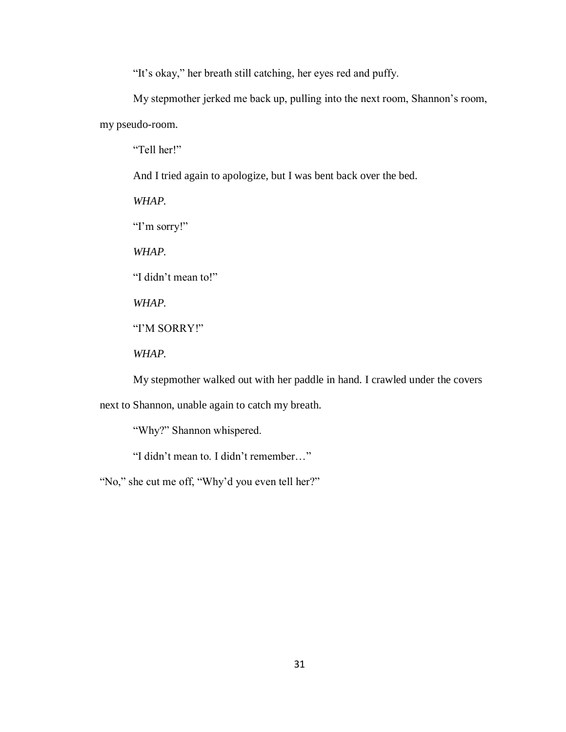"It's okay," her breath still catching, her eyes red and puffy.

My stepmother jerked me back up, pulling into the next room, Shannon's room, my pseudo-room.

"Tell her!"

And I tried again to apologize, but I was bent back over the bed.

*WHAP.*

"I'm sorry!"

*WHAP.*

"I didn't mean to!"

*WHAP.*

"I'M SORRY!"

*WHAP.*

My stepmother walked out with her paddle in hand. I crawled under the covers

next to Shannon, unable again to catch my breath.

"Why?" Shannon whispered.

"I didn't mean to. I didn't remember…"

"No," she cut me off, "Why'd you even tell her?"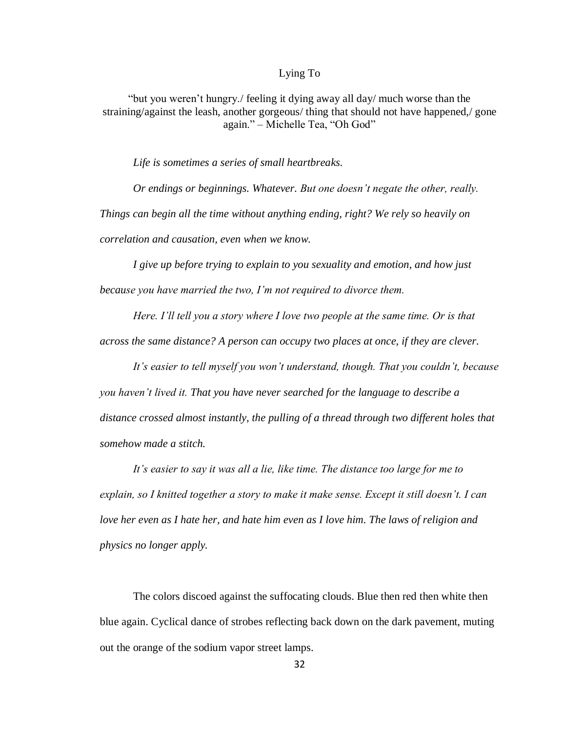## Lying To

"but you weren't hungry./ feeling it dying away all day/ much worse than the straining/against the leash, another gorgeous/ thing that should not have happened,/ gone again." – Michelle Tea, "Oh God"

*Life is sometimes a series of small heartbreaks.*

*Or endings or beginnings. Whatever. But one doesn't negate the other, really. Things can begin all the time without anything ending, right? We rely so heavily on correlation and causation, even when we know.* 

*I give up before trying to explain to you sexuality and emotion, and how just because you have married the two, I'm not required to divorce them.* 

*Here. I'll tell you a story where I love two people at the same time. Or is that across the same distance? A person can occupy two places at once, if they are clever.* 

*It's easier to tell myself you won't understand, though. That you couldn't, because you haven't lived it. That you have never searched for the language to describe a distance crossed almost instantly, the pulling of a thread through two different holes that somehow made a stitch.*

*It's easier to say it was all a lie, like time. The distance too large for me to explain, so I knitted together a story to make it make sense. Except it still doesn't. I can love her even as I hate her, and hate him even as I love him. The laws of religion and physics no longer apply.*

The colors discoed against the suffocating clouds. Blue then red then white then blue again. Cyclical dance of strobes reflecting back down on the dark pavement, muting out the orange of the sodium vapor street lamps.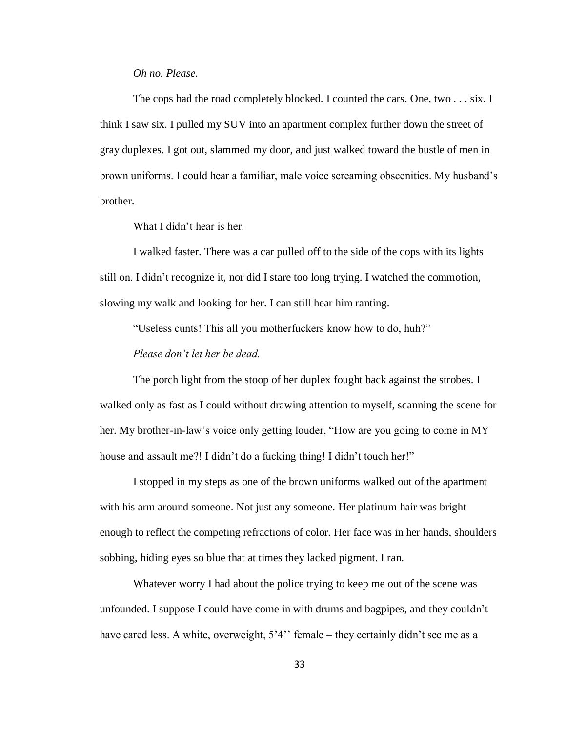## *Oh no. Please.*

The cops had the road completely blocked. I counted the cars. One, two . . . six. I think I saw six. I pulled my SUV into an apartment complex further down the street of gray duplexes. I got out, slammed my door, and just walked toward the bustle of men in brown uniforms. I could hear a familiar, male voice screaming obscenities. My husband's brother.

What I didn't hear is her.

I walked faster. There was a car pulled off to the side of the cops with its lights still on. I didn't recognize it, nor did I stare too long trying. I watched the commotion, slowing my walk and looking for her. I can still hear him ranting.

"Useless cunts! This all you motherfuckers know how to do, huh?"

*Please don't let her be dead.*

The porch light from the stoop of her duplex fought back against the strobes. I walked only as fast as I could without drawing attention to myself, scanning the scene for her. My brother-in-law's voice only getting louder, "How are you going to come in MY house and assault me?! I didn't do a fucking thing! I didn't touch her!"

I stopped in my steps as one of the brown uniforms walked out of the apartment with his arm around someone. Not just any someone. Her platinum hair was bright enough to reflect the competing refractions of color. Her face was in her hands, shoulders sobbing, hiding eyes so blue that at times they lacked pigment. I ran.

Whatever worry I had about the police trying to keep me out of the scene was unfounded. I suppose I could have come in with drums and bagpipes, and they couldn't have cared less. A white, overweight, 5'4'' female – they certainly didn't see me as a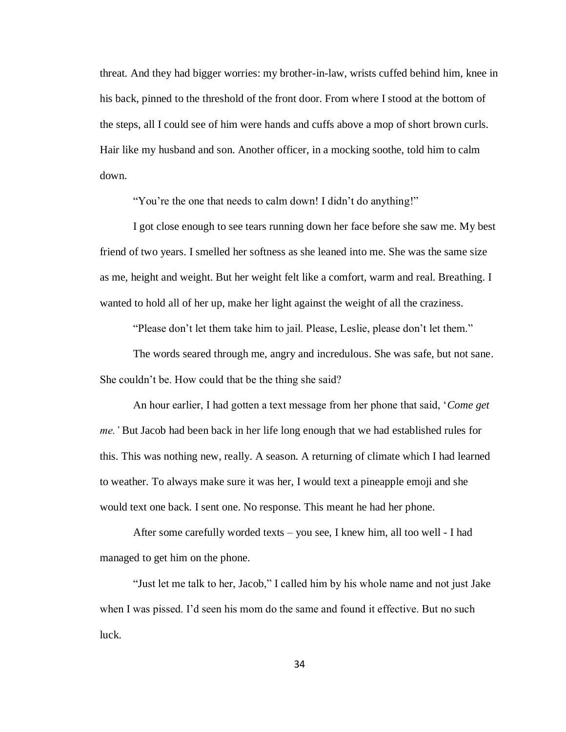threat. And they had bigger worries: my brother-in-law, wrists cuffed behind him, knee in his back, pinned to the threshold of the front door. From where I stood at the bottom of the steps, all I could see of him were hands and cuffs above a mop of short brown curls. Hair like my husband and son. Another officer, in a mocking soothe, told him to calm down.

"You're the one that needs to calm down! I didn't do anything!"

I got close enough to see tears running down her face before she saw me. My best friend of two years. I smelled her softness as she leaned into me. She was the same size as me, height and weight. But her weight felt like a comfort, warm and real. Breathing. I wanted to hold all of her up, make her light against the weight of all the craziness.

"Please don't let them take him to jail. Please, Leslie, please don't let them."

The words seared through me, angry and incredulous. She was safe, but not sane. She couldn't be. How could that be the thing she said?

An hour earlier, I had gotten a text message from her phone that said, '*Come get me.'* But Jacob had been back in her life long enough that we had established rules for this. This was nothing new, really. A season. A returning of climate which I had learned to weather. To always make sure it was her, I would text a pineapple emoji and she would text one back. I sent one. No response. This meant he had her phone.

After some carefully worded texts – you see, I knew him, all too well - I had managed to get him on the phone.

"Just let me talk to her, Jacob," I called him by his whole name and not just Jake when I was pissed. I'd seen his mom do the same and found it effective. But no such luck.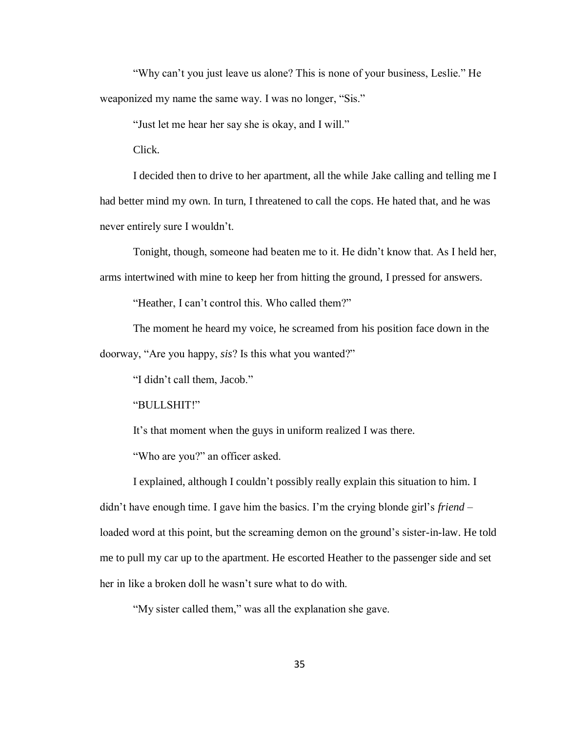"Why can't you just leave us alone? This is none of your business, Leslie." He weaponized my name the same way. I was no longer, "Sis."

"Just let me hear her say she is okay, and I will."

Click.

I decided then to drive to her apartment, all the while Jake calling and telling me I had better mind my own. In turn, I threatened to call the cops. He hated that, and he was never entirely sure I wouldn't.

Tonight, though, someone had beaten me to it. He didn't know that. As I held her, arms intertwined with mine to keep her from hitting the ground, I pressed for answers.

"Heather, I can't control this. Who called them?"

The moment he heard my voice, he screamed from his position face down in the doorway, "Are you happy, *sis*? Is this what you wanted?"

"I didn't call them, Jacob."

"BULLSHIT!"

It's that moment when the guys in uniform realized I was there.

"Who are you?" an officer asked.

I explained, although I couldn't possibly really explain this situation to him. I didn't have enough time. I gave him the basics. I'm the crying blonde girl's *friend* – loaded word at this point, but the screaming demon on the ground's sister-in-law. He told me to pull my car up to the apartment. He escorted Heather to the passenger side and set her in like a broken doll he wasn't sure what to do with.

"My sister called them," was all the explanation she gave.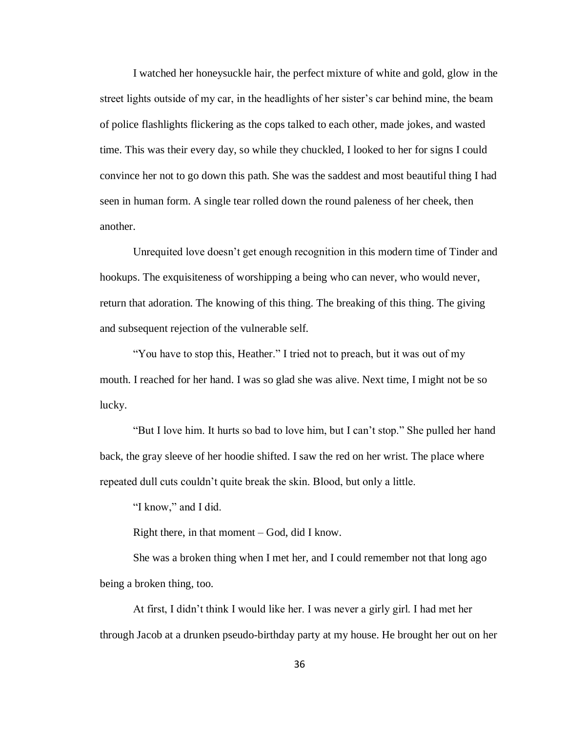I watched her honeysuckle hair, the perfect mixture of white and gold, glow in the street lights outside of my car, in the headlights of her sister's car behind mine, the beam of police flashlights flickering as the cops talked to each other, made jokes, and wasted time. This was their every day, so while they chuckled, I looked to her for signs I could convince her not to go down this path. She was the saddest and most beautiful thing I had seen in human form. A single tear rolled down the round paleness of her cheek, then another.

Unrequited love doesn't get enough recognition in this modern time of Tinder and hookups. The exquisiteness of worshipping a being who can never, who would never, return that adoration. The knowing of this thing. The breaking of this thing. The giving and subsequent rejection of the vulnerable self.

"You have to stop this, Heather." I tried not to preach, but it was out of my mouth. I reached for her hand. I was so glad she was alive. Next time, I might not be so lucky.

"But I love him. It hurts so bad to love him, but I can't stop." She pulled her hand back, the gray sleeve of her hoodie shifted. I saw the red on her wrist. The place where repeated dull cuts couldn't quite break the skin. Blood, but only a little.

"I know," and I did.

Right there, in that moment – God, did I know.

She was a broken thing when I met her, and I could remember not that long ago being a broken thing, too.

At first, I didn't think I would like her. I was never a girly girl. I had met her through Jacob at a drunken pseudo-birthday party at my house. He brought her out on her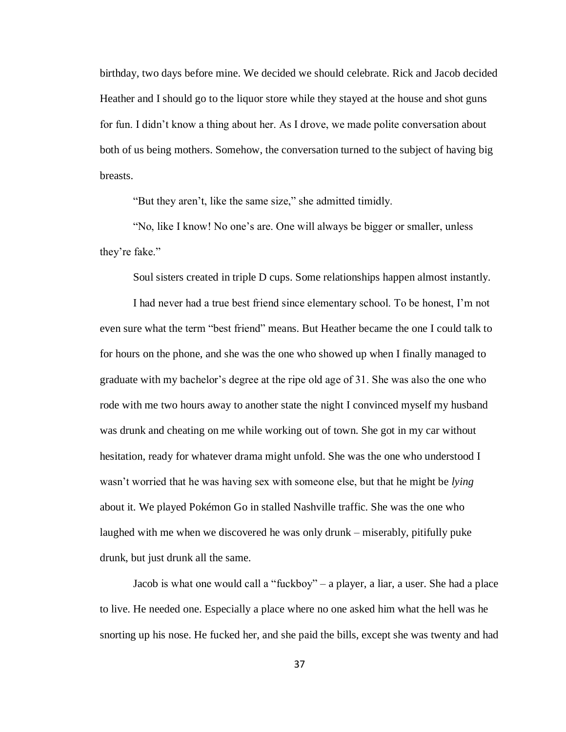birthday, two days before mine. We decided we should celebrate. Rick and Jacob decided Heather and I should go to the liquor store while they stayed at the house and shot guns for fun. I didn't know a thing about her. As I drove, we made polite conversation about both of us being mothers. Somehow, the conversation turned to the subject of having big breasts.

"But they aren't, like the same size," she admitted timidly.

"No, like I know! No one's are. One will always be bigger or smaller, unless they're fake."

Soul sisters created in triple D cups. Some relationships happen almost instantly.

I had never had a true best friend since elementary school. To be honest, I'm not even sure what the term "best friend" means. But Heather became the one I could talk to for hours on the phone, and she was the one who showed up when I finally managed to graduate with my bachelor's degree at the ripe old age of 31. She was also the one who rode with me two hours away to another state the night I convinced myself my husband was drunk and cheating on me while working out of town. She got in my car without hesitation, ready for whatever drama might unfold. She was the one who understood I wasn't worried that he was having sex with someone else, but that he might be *lying*  about it. We played Pokémon Go in stalled Nashville traffic. She was the one who laughed with me when we discovered he was only drunk – miserably, pitifully puke drunk, but just drunk all the same.

Jacob is what one would call a "fuckboy" – a player, a liar, a user. She had a place to live. He needed one. Especially a place where no one asked him what the hell was he snorting up his nose. He fucked her, and she paid the bills, except she was twenty and had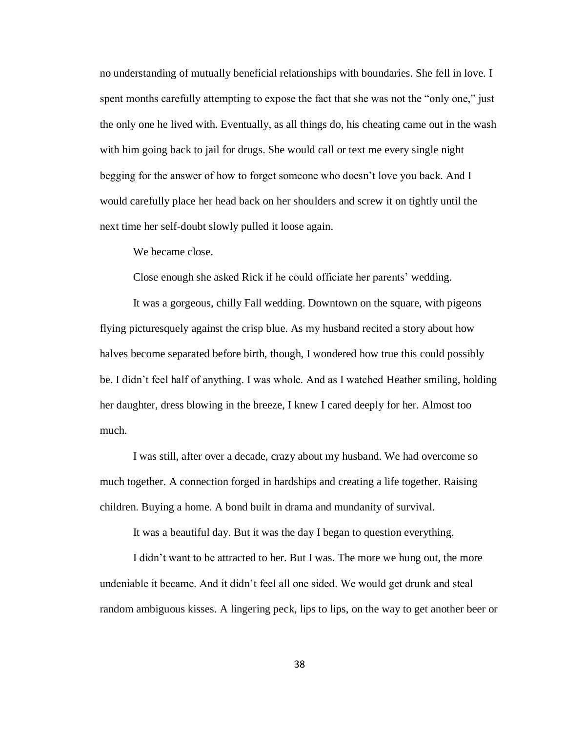no understanding of mutually beneficial relationships with boundaries. She fell in love. I spent months carefully attempting to expose the fact that she was not the "only one," just the only one he lived with. Eventually, as all things do, his cheating came out in the wash with him going back to jail for drugs. She would call or text me every single night begging for the answer of how to forget someone who doesn't love you back. And I would carefully place her head back on her shoulders and screw it on tightly until the next time her self-doubt slowly pulled it loose again.

We became close.

Close enough she asked Rick if he could officiate her parents' wedding.

It was a gorgeous, chilly Fall wedding. Downtown on the square, with pigeons flying picturesquely against the crisp blue. As my husband recited a story about how halves become separated before birth, though, I wondered how true this could possibly be. I didn't feel half of anything. I was whole. And as I watched Heather smiling, holding her daughter, dress blowing in the breeze, I knew I cared deeply for her. Almost too much.

I was still, after over a decade, crazy about my husband. We had overcome so much together. A connection forged in hardships and creating a life together. Raising children. Buying a home. A bond built in drama and mundanity of survival.

It was a beautiful day. But it was the day I began to question everything.

I didn't want to be attracted to her. But I was. The more we hung out, the more undeniable it became. And it didn't feel all one sided. We would get drunk and steal random ambiguous kisses. A lingering peck, lips to lips, on the way to get another beer or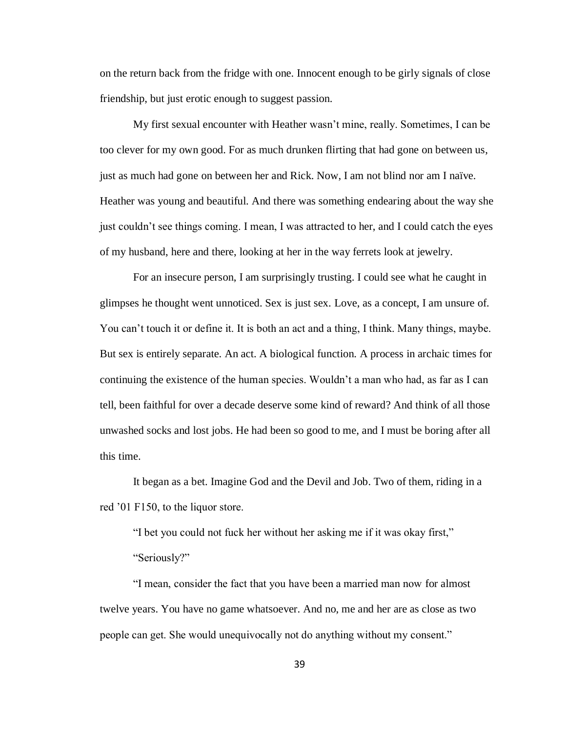on the return back from the fridge with one. Innocent enough to be girly signals of close friendship, but just erotic enough to suggest passion.

My first sexual encounter with Heather wasn't mine, really. Sometimes, I can be too clever for my own good. For as much drunken flirting that had gone on between us, just as much had gone on between her and Rick. Now, I am not blind nor am I naïve. Heather was young and beautiful. And there was something endearing about the way she just couldn't see things coming. I mean, I was attracted to her, and I could catch the eyes of my husband, here and there, looking at her in the way ferrets look at jewelry.

For an insecure person, I am surprisingly trusting. I could see what he caught in glimpses he thought went unnoticed. Sex is just sex. Love, as a concept, I am unsure of. You can't touch it or define it. It is both an act and a thing, I think. Many things, maybe. But sex is entirely separate. An act. A biological function. A process in archaic times for continuing the existence of the human species. Wouldn't a man who had, as far as I can tell, been faithful for over a decade deserve some kind of reward? And think of all those unwashed socks and lost jobs. He had been so good to me, and I must be boring after all this time.

It began as a bet. Imagine God and the Devil and Job. Two of them, riding in a red '01 F150, to the liquor store.

"I bet you could not fuck her without her asking me if it was okay first,"

"Seriously?"

"I mean, consider the fact that you have been a married man now for almost twelve years. You have no game whatsoever. And no, me and her are as close as two people can get. She would unequivocally not do anything without my consent."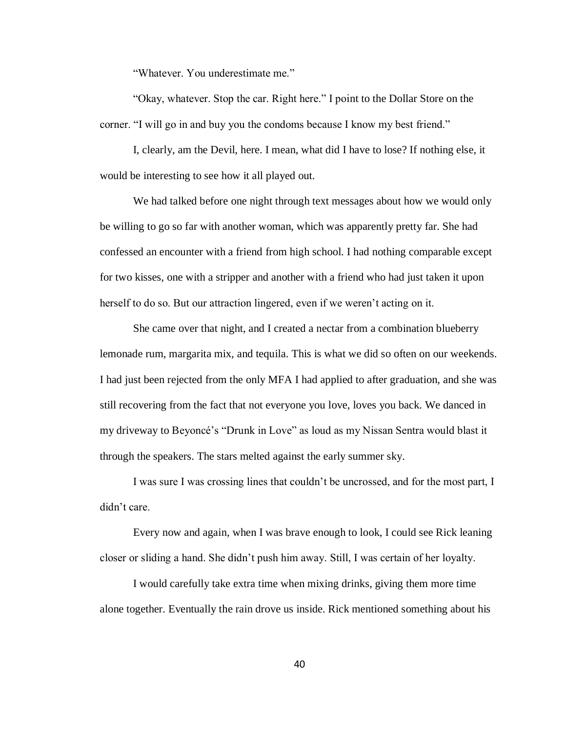"Whatever. You underestimate me."

"Okay, whatever. Stop the car. Right here." I point to the Dollar Store on the corner. "I will go in and buy you the condoms because I know my best friend."

I, clearly, am the Devil, here. I mean, what did I have to lose? If nothing else, it would be interesting to see how it all played out.

We had talked before one night through text messages about how we would only be willing to go so far with another woman, which was apparently pretty far. She had confessed an encounter with a friend from high school. I had nothing comparable except for two kisses, one with a stripper and another with a friend who had just taken it upon herself to do so. But our attraction lingered, even if we weren't acting on it.

She came over that night, and I created a nectar from a combination blueberry lemonade rum, margarita mix, and tequila. This is what we did so often on our weekends. I had just been rejected from the only MFA I had applied to after graduation, and she was still recovering from the fact that not everyone you love, loves you back. We danced in my driveway to Beyoncé's "Drunk in Love" as loud as my Nissan Sentra would blast it through the speakers. The stars melted against the early summer sky.

I was sure I was crossing lines that couldn't be uncrossed, and for the most part, I didn't care.

Every now and again, when I was brave enough to look, I could see Rick leaning closer or sliding a hand. She didn't push him away. Still, I was certain of her loyalty.

I would carefully take extra time when mixing drinks, giving them more time alone together. Eventually the rain drove us inside. Rick mentioned something about his

40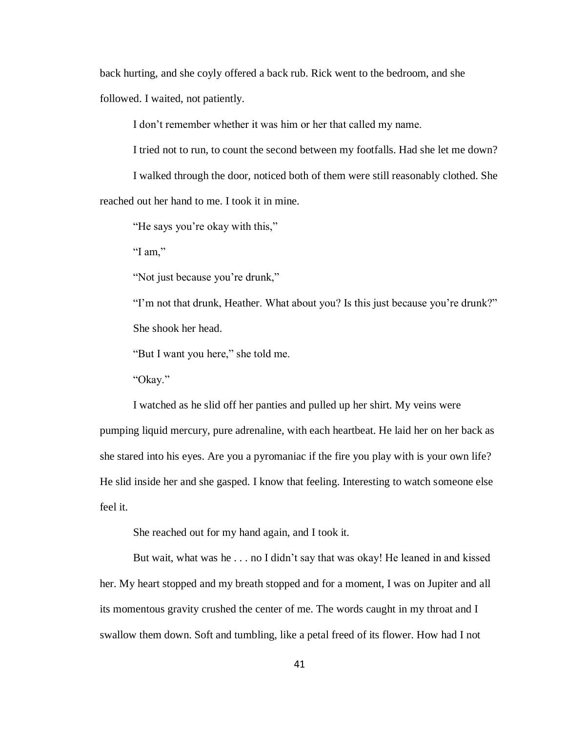back hurting, and she coyly offered a back rub. Rick went to the bedroom, and she followed. I waited, not patiently.

I don't remember whether it was him or her that called my name.

I tried not to run, to count the second between my footfalls. Had she let me down?

I walked through the door, noticed both of them were still reasonably clothed. She reached out her hand to me. I took it in mine.

"He says you're okay with this,"

"I am,"

"Not just because you're drunk,"

"I'm not that drunk, Heather. What about you? Is this just because you're drunk?" She shook her head.

"But I want you here," she told me.

"Okay."

I watched as he slid off her panties and pulled up her shirt. My veins were pumping liquid mercury, pure adrenaline, with each heartbeat. He laid her on her back as she stared into his eyes. Are you a pyromaniac if the fire you play with is your own life? He slid inside her and she gasped. I know that feeling. Interesting to watch someone else feel it.

She reached out for my hand again, and I took it.

But wait, what was he . . . no I didn't say that was okay! He leaned in and kissed her. My heart stopped and my breath stopped and for a moment, I was on Jupiter and all its momentous gravity crushed the center of me. The words caught in my throat and I swallow them down. Soft and tumbling, like a petal freed of its flower. How had I not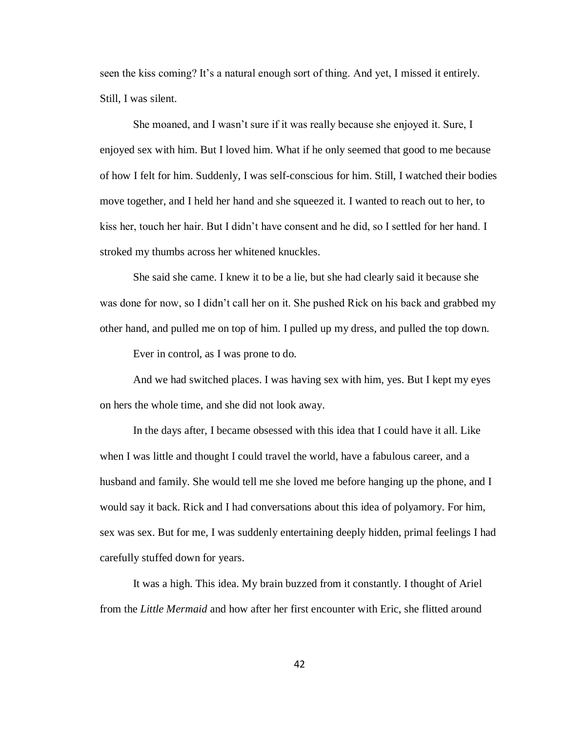seen the kiss coming? It's a natural enough sort of thing. And yet, I missed it entirely. Still, I was silent.

She moaned, and I wasn't sure if it was really because she enjoyed it. Sure, I enjoyed sex with him. But I loved him. What if he only seemed that good to me because of how I felt for him. Suddenly, I was self-conscious for him. Still, I watched their bodies move together, and I held her hand and she squeezed it. I wanted to reach out to her, to kiss her, touch her hair. But I didn't have consent and he did, so I settled for her hand. I stroked my thumbs across her whitened knuckles.

She said she came. I knew it to be a lie, but she had clearly said it because she was done for now, so I didn't call her on it. She pushed Rick on his back and grabbed my other hand, and pulled me on top of him. I pulled up my dress, and pulled the top down.

Ever in control, as I was prone to do.

And we had switched places. I was having sex with him, yes. But I kept my eyes on hers the whole time, and she did not look away.

In the days after, I became obsessed with this idea that I could have it all. Like when I was little and thought I could travel the world, have a fabulous career, and a husband and family. She would tell me she loved me before hanging up the phone, and I would say it back. Rick and I had conversations about this idea of polyamory. For him, sex was sex. But for me, I was suddenly entertaining deeply hidden, primal feelings I had carefully stuffed down for years.

It was a high. This idea. My brain buzzed from it constantly. I thought of Ariel from the *Little Mermaid* and how after her first encounter with Eric, she flitted around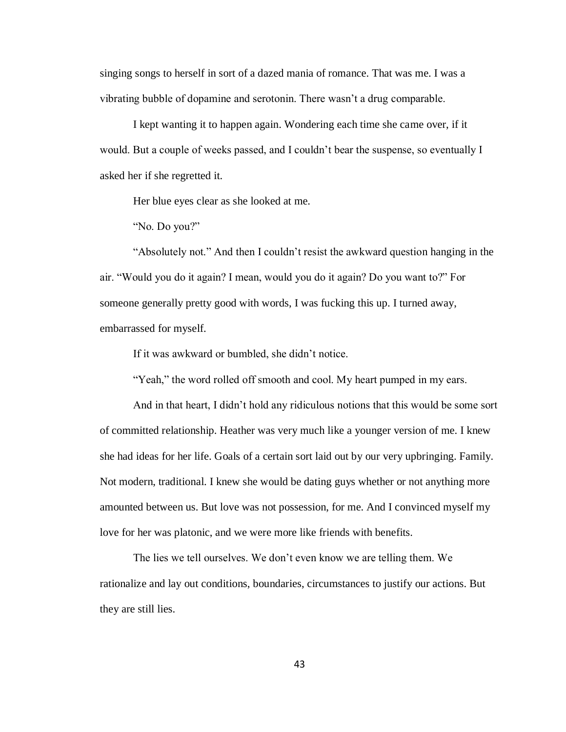singing songs to herself in sort of a dazed mania of romance. That was me. I was a vibrating bubble of dopamine and serotonin. There wasn't a drug comparable.

I kept wanting it to happen again. Wondering each time she came over, if it would. But a couple of weeks passed, and I couldn't bear the suspense, so eventually I asked her if she regretted it.

Her blue eyes clear as she looked at me.

"No. Do you?"

"Absolutely not." And then I couldn't resist the awkward question hanging in the air. "Would you do it again? I mean, would you do it again? Do you want to?" For someone generally pretty good with words, I was fucking this up. I turned away, embarrassed for myself.

If it was awkward or bumbled, she didn't notice.

"Yeah," the word rolled off smooth and cool. My heart pumped in my ears.

And in that heart, I didn't hold any ridiculous notions that this would be some sort of committed relationship. Heather was very much like a younger version of me. I knew she had ideas for her life. Goals of a certain sort laid out by our very upbringing. Family. Not modern, traditional. I knew she would be dating guys whether or not anything more amounted between us. But love was not possession, for me. And I convinced myself my love for her was platonic, and we were more like friends with benefits.

The lies we tell ourselves. We don't even know we are telling them. We rationalize and lay out conditions, boundaries, circumstances to justify our actions. But they are still lies.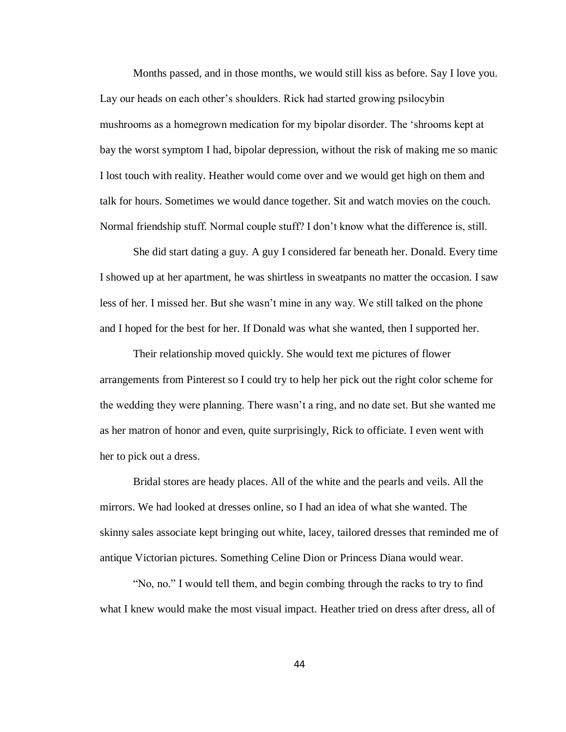Months passed, and in those months, we would still kiss as before. Say I love you. Lay our heads on each other's shoulders. Rick had started growing psilocybin mushrooms as a homegrown medication for my bipolar disorder. The 'shrooms kept at bay the worst symptom I had, bipolar depression, without the risk of making me so manic I lost touch with reality. Heather would come over and we would get high on them and talk for hours. Sometimes we would dance together. Sit and watch movies on the couch. Normal friendship stuff. Normal couple stuff? I don't know what the difference is, still.

She did start dating a guy. A guy I considered far beneath her. Donald. Every time I showed up at her apartment, he was shirtless in sweatpants no matter the occasion. I saw less of her. I missed her. But she wasn't mine in any way. We still talked on the phone and I hoped for the best for her. If Donald was what she wanted, then I supported her.

Their relationship moved quickly. She would text me pictures of flower arrangements from Pinterest so I could try to help her pick out the right color scheme for the wedding they were planning. There wasn't a ring, and no date set. But she wanted me as her matron of honor and even, quite surprisingly, Rick to officiate. I even went with her to pick out a dress.

Bridal stores are heady places. All of the white and the pearls and veils. All the mirrors. We had looked at dresses online, so I had an idea of what she wanted. The skinny sales associate kept bringing out white, lacey, tailored dresses that reminded me of antique Victorian pictures. Something Celine Dion or Princess Diana would wear.

"No, no." I would tell them, and begin combing through the racks to try to find what I knew would make the most visual impact. Heather tried on dress after dress, all of

44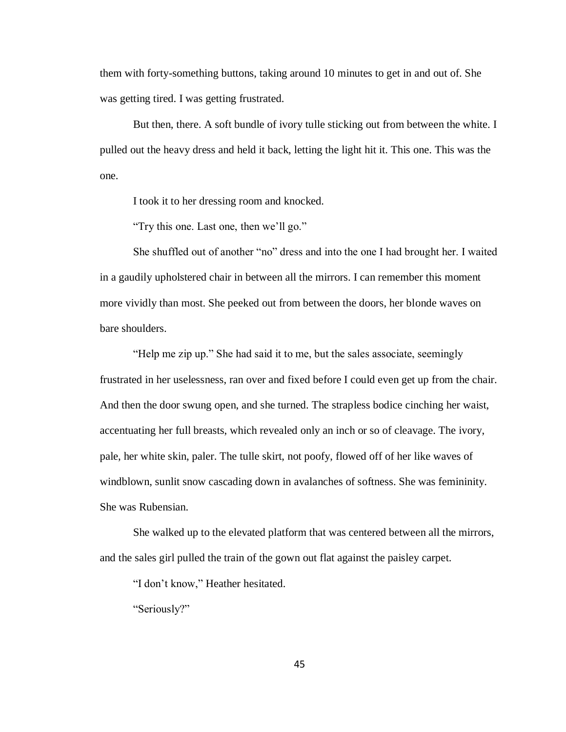them with forty-something buttons, taking around 10 minutes to get in and out of. She was getting tired. I was getting frustrated.

But then, there. A soft bundle of ivory tulle sticking out from between the white. I pulled out the heavy dress and held it back, letting the light hit it. This one. This was the one.

I took it to her dressing room and knocked.

"Try this one. Last one, then we'll go."

She shuffled out of another "no" dress and into the one I had brought her. I waited in a gaudily upholstered chair in between all the mirrors. I can remember this moment more vividly than most. She peeked out from between the doors, her blonde waves on bare shoulders.

"Help me zip up." She had said it to me, but the sales associate, seemingly frustrated in her uselessness, ran over and fixed before I could even get up from the chair. And then the door swung open, and she turned. The strapless bodice cinching her waist, accentuating her full breasts, which revealed only an inch or so of cleavage. The ivory, pale, her white skin, paler. The tulle skirt, not poofy, flowed off of her like waves of windblown, sunlit snow cascading down in avalanches of softness. She was femininity. She was Rubensian.

She walked up to the elevated platform that was centered between all the mirrors, and the sales girl pulled the train of the gown out flat against the paisley carpet.

"I don't know," Heather hesitated.

"Seriously?"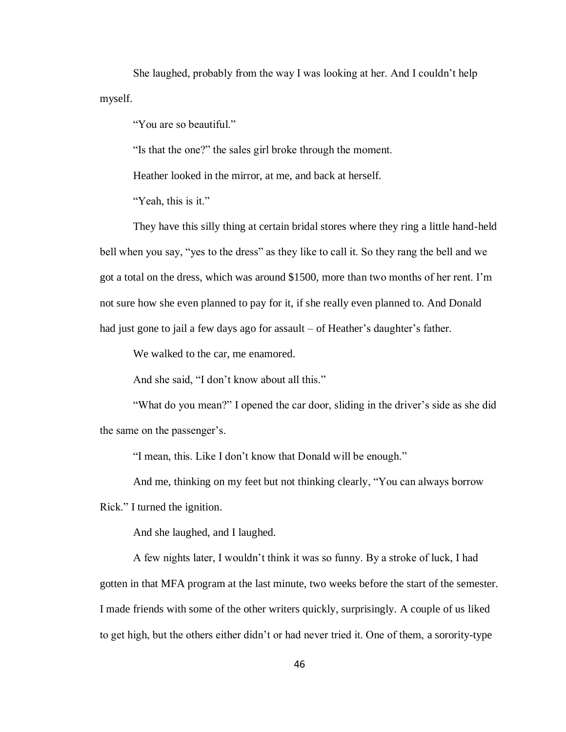She laughed, probably from the way I was looking at her. And I couldn't help myself.

"You are so beautiful."

"Is that the one?" the sales girl broke through the moment.

Heather looked in the mirror, at me, and back at herself.

"Yeah, this is it."

They have this silly thing at certain bridal stores where they ring a little hand-held bell when you say, "yes to the dress" as they like to call it. So they rang the bell and we got a total on the dress, which was around \$1500, more than two months of her rent. I'm not sure how she even planned to pay for it, if she really even planned to. And Donald had just gone to jail a few days ago for assault – of Heather's daughter's father.

We walked to the car, me enamored.

And she said, "I don't know about all this."

"What do you mean?" I opened the car door, sliding in the driver's side as she did the same on the passenger's.

"I mean, this. Like I don't know that Donald will be enough."

And me, thinking on my feet but not thinking clearly, "You can always borrow

Rick." I turned the ignition.

And she laughed, and I laughed.

A few nights later, I wouldn't think it was so funny. By a stroke of luck, I had gotten in that MFA program at the last minute, two weeks before the start of the semester. I made friends with some of the other writers quickly, surprisingly. A couple of us liked to get high, but the others either didn't or had never tried it. One of them, a sorority-type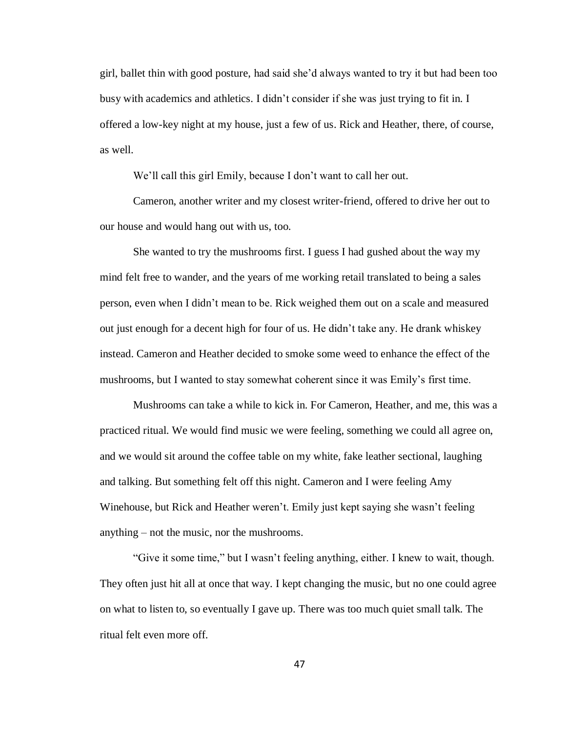girl, ballet thin with good posture, had said she'd always wanted to try it but had been too busy with academics and athletics. I didn't consider if she was just trying to fit in. I offered a low-key night at my house, just a few of us. Rick and Heather, there, of course, as well.

We'll call this girl Emily, because I don't want to call her out.

Cameron, another writer and my closest writer-friend, offered to drive her out to our house and would hang out with us, too.

She wanted to try the mushrooms first. I guess I had gushed about the way my mind felt free to wander, and the years of me working retail translated to being a sales person, even when I didn't mean to be. Rick weighed them out on a scale and measured out just enough for a decent high for four of us. He didn't take any. He drank whiskey instead. Cameron and Heather decided to smoke some weed to enhance the effect of the mushrooms, but I wanted to stay somewhat coherent since it was Emily's first time.

Mushrooms can take a while to kick in. For Cameron, Heather, and me, this was a practiced ritual. We would find music we were feeling, something we could all agree on, and we would sit around the coffee table on my white, fake leather sectional, laughing and talking. But something felt off this night. Cameron and I were feeling Amy Winehouse, but Rick and Heather weren't. Emily just kept saying she wasn't feeling anything – not the music, nor the mushrooms.

"Give it some time," but I wasn't feeling anything, either. I knew to wait, though. They often just hit all at once that way. I kept changing the music, but no one could agree on what to listen to, so eventually I gave up. There was too much quiet small talk. The ritual felt even more off.

47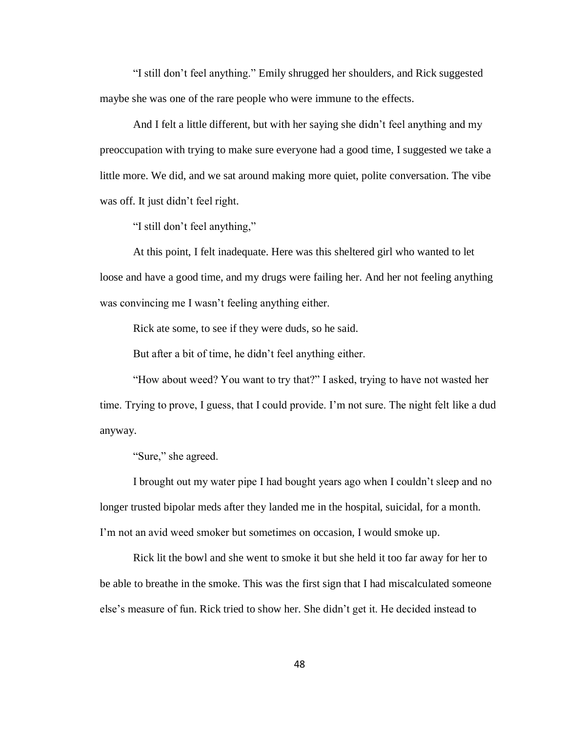"I still don't feel anything." Emily shrugged her shoulders, and Rick suggested maybe she was one of the rare people who were immune to the effects.

And I felt a little different, but with her saying she didn't feel anything and my preoccupation with trying to make sure everyone had a good time, I suggested we take a little more. We did, and we sat around making more quiet, polite conversation. The vibe was off. It just didn't feel right.

"I still don't feel anything,"

At this point, I felt inadequate. Here was this sheltered girl who wanted to let loose and have a good time, and my drugs were failing her. And her not feeling anything was convincing me I wasn't feeling anything either.

Rick ate some, to see if they were duds, so he said.

But after a bit of time, he didn't feel anything either.

"How about weed? You want to try that?" I asked, trying to have not wasted her time. Trying to prove, I guess, that I could provide. I'm not sure. The night felt like a dud anyway.

"Sure," she agreed.

I brought out my water pipe I had bought years ago when I couldn't sleep and no longer trusted bipolar meds after they landed me in the hospital, suicidal, for a month. I'm not an avid weed smoker but sometimes on occasion, I would smoke up.

Rick lit the bowl and she went to smoke it but she held it too far away for her to be able to breathe in the smoke. This was the first sign that I had miscalculated someone else's measure of fun. Rick tried to show her. She didn't get it. He decided instead to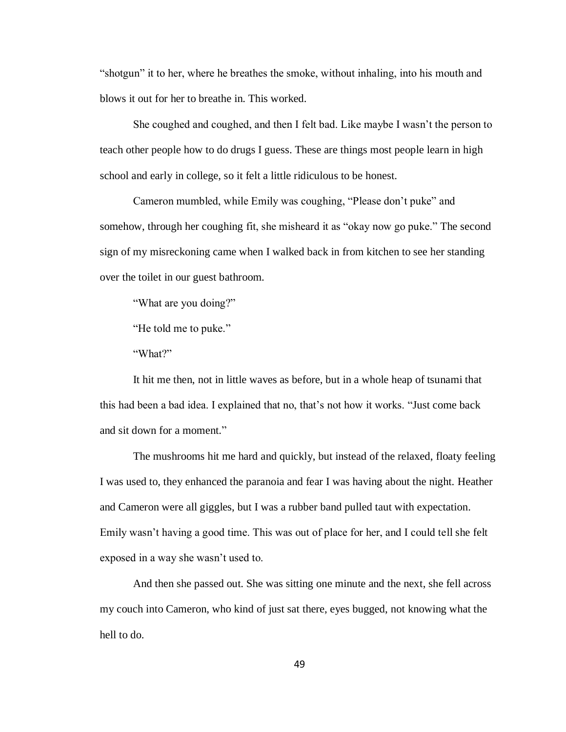"shotgun" it to her, where he breathes the smoke, without inhaling, into his mouth and blows it out for her to breathe in. This worked.

She coughed and coughed, and then I felt bad. Like maybe I wasn't the person to teach other people how to do drugs I guess. These are things most people learn in high school and early in college, so it felt a little ridiculous to be honest.

Cameron mumbled, while Emily was coughing, "Please don't puke" and somehow, through her coughing fit, she misheard it as "okay now go puke." The second sign of my misreckoning came when I walked back in from kitchen to see her standing over the toilet in our guest bathroom.

"What are you doing?"

"He told me to puke."

"What?"

It hit me then, not in little waves as before, but in a whole heap of tsunami that this had been a bad idea. I explained that no, that's not how it works. "Just come back and sit down for a moment."

The mushrooms hit me hard and quickly, but instead of the relaxed, floaty feeling I was used to, they enhanced the paranoia and fear I was having about the night. Heather and Cameron were all giggles, but I was a rubber band pulled taut with expectation. Emily wasn't having a good time. This was out of place for her, and I could tell she felt exposed in a way she wasn't used to.

And then she passed out. She was sitting one minute and the next, she fell across my couch into Cameron, who kind of just sat there, eyes bugged, not knowing what the hell to do.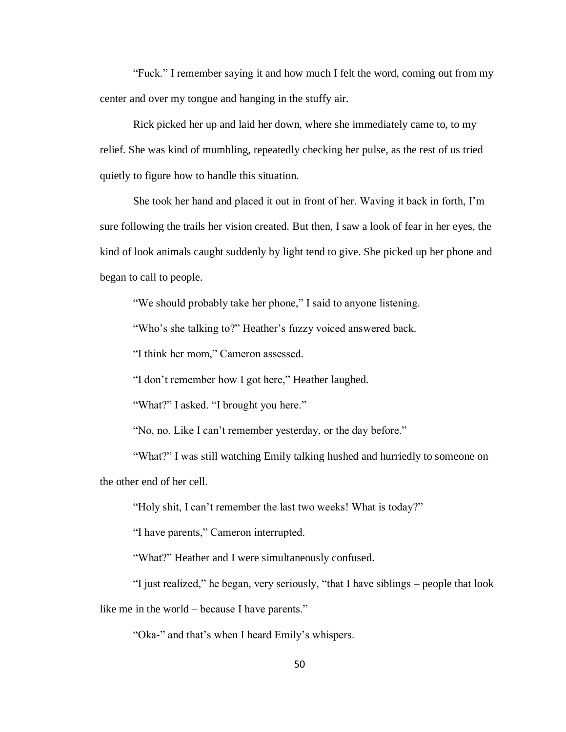"Fuck." I remember saying it and how much I felt the word, coming out from my center and over my tongue and hanging in the stuffy air.

Rick picked her up and laid her down, where she immediately came to, to my relief. She was kind of mumbling, repeatedly checking her pulse, as the rest of us tried quietly to figure how to handle this situation.

She took her hand and placed it out in front of her. Waving it back in forth, I'm sure following the trails her vision created. But then, I saw a look of fear in her eyes, the kind of look animals caught suddenly by light tend to give. She picked up her phone and began to call to people.

"We should probably take her phone," I said to anyone listening.

"Who's she talking to?" Heather's fuzzy voiced answered back.

"I think her mom," Cameron assessed.

"I don't remember how I got here," Heather laughed.

"What?" I asked. "I brought you here."

"No, no. Like I can't remember yesterday, or the day before."

"What?" I was still watching Emily talking hushed and hurriedly to someone on the other end of her cell.

"Holy shit, I can't remember the last two weeks! What is today?"

"I have parents," Cameron interrupted.

"What?" Heather and I were simultaneously confused.

"I just realized," he began, very seriously, "that I have siblings – people that look like me in the world – because I have parents."

"Oka-" and that's when I heard Emily's whispers.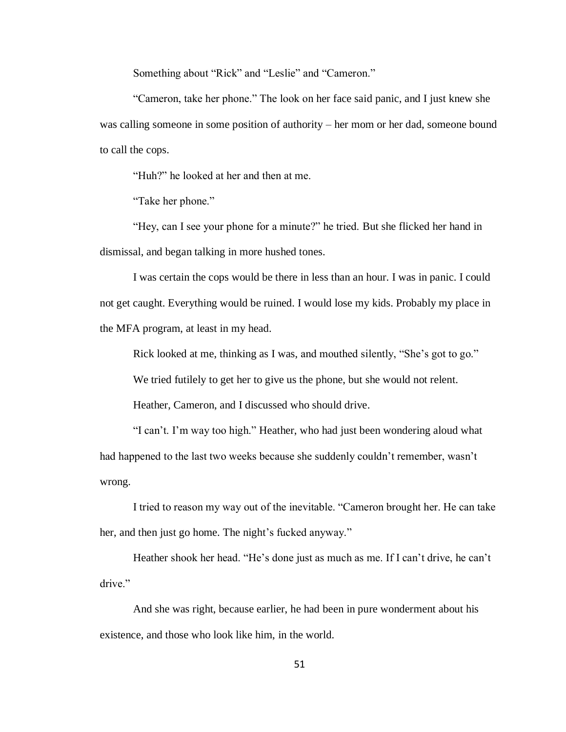Something about "Rick" and "Leslie" and "Cameron."

"Cameron, take her phone." The look on her face said panic, and I just knew she was calling someone in some position of authority – her mom or her dad, someone bound to call the cops.

"Huh?" he looked at her and then at me.

"Take her phone."

"Hey, can I see your phone for a minute?" he tried. But she flicked her hand in dismissal, and began talking in more hushed tones.

I was certain the cops would be there in less than an hour. I was in panic. I could not get caught. Everything would be ruined. I would lose my kids. Probably my place in the MFA program, at least in my head.

Rick looked at me, thinking as I was, and mouthed silently, "She's got to go."

We tried futilely to get her to give us the phone, but she would not relent.

Heather, Cameron, and I discussed who should drive.

"I can't. I'm way too high." Heather, who had just been wondering aloud what had happened to the last two weeks because she suddenly couldn't remember, wasn't wrong.

I tried to reason my way out of the inevitable. "Cameron brought her. He can take her, and then just go home. The night's fucked anyway."

Heather shook her head. "He's done just as much as me. If I can't drive, he can't drive."

And she was right, because earlier, he had been in pure wonderment about his existence, and those who look like him, in the world.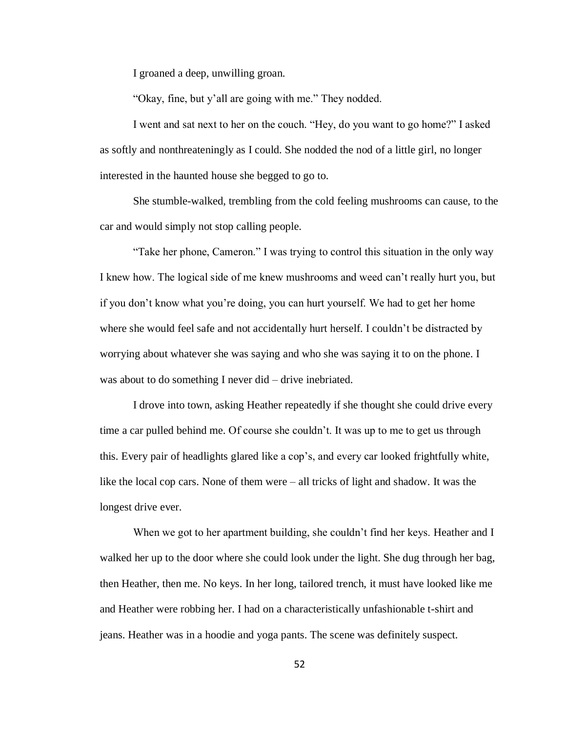I groaned a deep, unwilling groan.

"Okay, fine, but y'all are going with me." They nodded.

I went and sat next to her on the couch. "Hey, do you want to go home?" I asked as softly and nonthreateningly as I could. She nodded the nod of a little girl, no longer interested in the haunted house she begged to go to.

She stumble-walked, trembling from the cold feeling mushrooms can cause, to the car and would simply not stop calling people.

"Take her phone, Cameron." I was trying to control this situation in the only way I knew how. The logical side of me knew mushrooms and weed can't really hurt you, but if you don't know what you're doing, you can hurt yourself. We had to get her home where she would feel safe and not accidentally hurt herself. I couldn't be distracted by worrying about whatever she was saying and who she was saying it to on the phone. I was about to do something I never did – drive inebriated.

I drove into town, asking Heather repeatedly if she thought she could drive every time a car pulled behind me. Of course she couldn't. It was up to me to get us through this. Every pair of headlights glared like a cop's, and every car looked frightfully white, like the local cop cars. None of them were – all tricks of light and shadow. It was the longest drive ever.

When we got to her apartment building, she couldn't find her keys. Heather and I walked her up to the door where she could look under the light. She dug through her bag, then Heather, then me. No keys. In her long, tailored trench, it must have looked like me and Heather were robbing her. I had on a characteristically unfashionable t-shirt and jeans. Heather was in a hoodie and yoga pants. The scene was definitely suspect.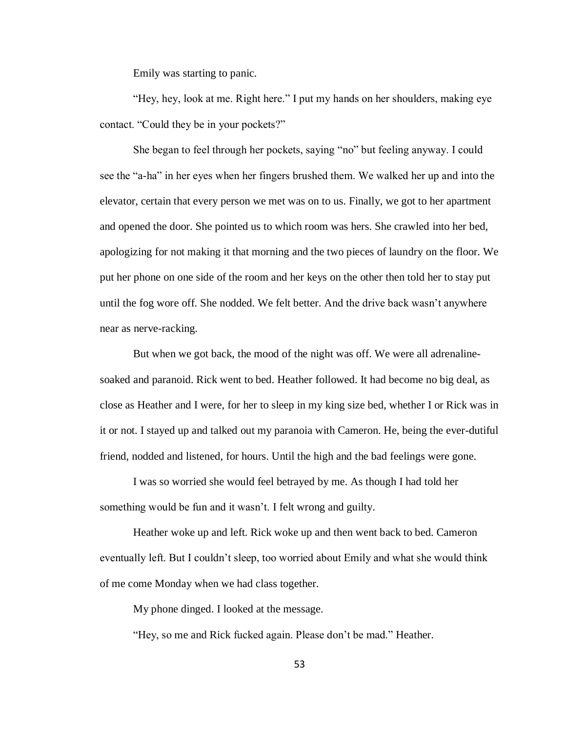Emily was starting to panic.

"Hey, hey, look at me. Right here." I put my hands on her shoulders, making eye contact. "Could they be in your pockets?"

She began to feel through her pockets, saying "no" but feeling anyway. I could see the "a-ha" in her eyes when her fingers brushed them. We walked her up and into the elevator, certain that every person we met was on to us. Finally, we got to her apartment and opened the door. She pointed us to which room was hers. She crawled into her bed, apologizing for not making it that morning and the two pieces of laundry on the floor. We put her phone on one side of the room and her keys on the other then told her to stay put until the fog wore off. She nodded. We felt better. And the drive back wasn't anywhere near as nerve-racking.

But when we got back, the mood of the night was off. We were all adrenalinesoaked and paranoid. Rick went to bed. Heather followed. It had become no big deal, as close as Heather and I were, for her to sleep in my king size bed, whether I or Rick was in it or not. I stayed up and talked out my paranoia with Cameron. He, being the ever-dutiful friend, nodded and listened, for hours. Until the high and the bad feelings were gone.

I was so worried she would feel betrayed by me. As though I had told her something would be fun and it wasn't. I felt wrong and guilty.

Heather woke up and left. Rick woke up and then went back to bed. Cameron eventually left. But I couldn't sleep, too worried about Emily and what she would think of me come Monday when we had class together.

My phone dinged. I looked at the message.

"Hey, so me and Rick fucked again. Please don't be mad." Heather.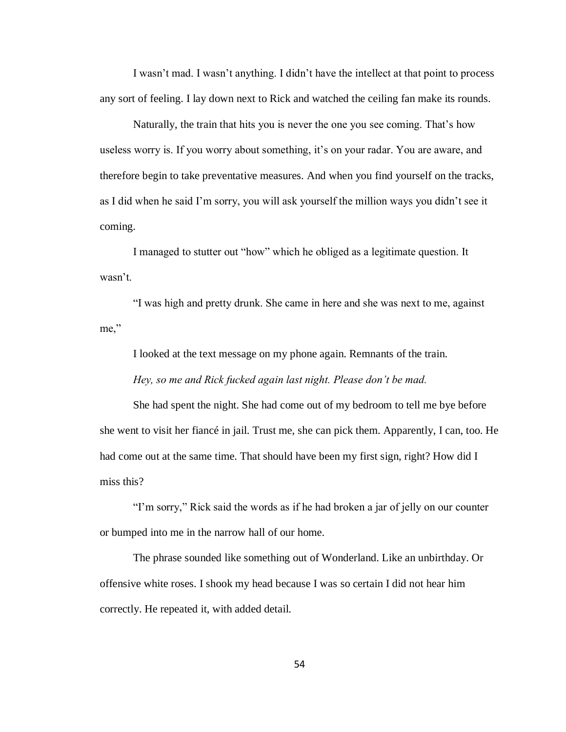I wasn't mad. I wasn't anything. I didn't have the intellect at that point to process any sort of feeling. I lay down next to Rick and watched the ceiling fan make its rounds.

Naturally, the train that hits you is never the one you see coming. That's how useless worry is. If you worry about something, it's on your radar. You are aware, and therefore begin to take preventative measures. And when you find yourself on the tracks, as I did when he said I'm sorry, you will ask yourself the million ways you didn't see it coming.

I managed to stutter out "how" which he obliged as a legitimate question. It wasn't.

"I was high and pretty drunk. She came in here and she was next to me, against me,"

I looked at the text message on my phone again. Remnants of the train.

*Hey, so me and Rick fucked again last night. Please don't be mad.*

She had spent the night. She had come out of my bedroom to tell me bye before she went to visit her fiancé in jail. Trust me, she can pick them. Apparently, I can, too. He had come out at the same time. That should have been my first sign, right? How did I miss this?

"I'm sorry," Rick said the words as if he had broken a jar of jelly on our counter or bumped into me in the narrow hall of our home.

The phrase sounded like something out of Wonderland. Like an unbirthday. Or offensive white roses. I shook my head because I was so certain I did not hear him correctly. He repeated it, with added detail.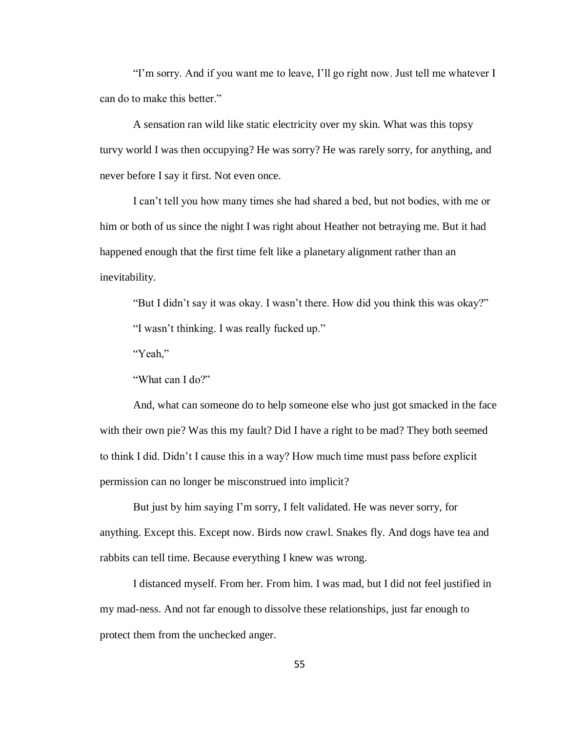"I'm sorry. And if you want me to leave, I'll go right now. Just tell me whatever I can do to make this better."

A sensation ran wild like static electricity over my skin. What was this topsy turvy world I was then occupying? He was sorry? He was rarely sorry, for anything, and never before I say it first. Not even once.

I can't tell you how many times she had shared a bed, but not bodies, with me or him or both of us since the night I was right about Heather not betraying me. But it had happened enough that the first time felt like a planetary alignment rather than an inevitability.

"But I didn't say it was okay. I wasn't there. How did you think this was okay?"

"I wasn't thinking. I was really fucked up."

"Yeah,"

"What can I do?"

And, what can someone do to help someone else who just got smacked in the face with their own pie? Was this my fault? Did I have a right to be mad? They both seemed to think I did. Didn't I cause this in a way? How much time must pass before explicit permission can no longer be misconstrued into implicit?

But just by him saying I'm sorry, I felt validated. He was never sorry, for anything. Except this. Except now. Birds now crawl. Snakes fly. And dogs have tea and rabbits can tell time. Because everything I knew was wrong.

I distanced myself. From her. From him. I was mad, but I did not feel justified in my mad-ness. And not far enough to dissolve these relationships, just far enough to protect them from the unchecked anger.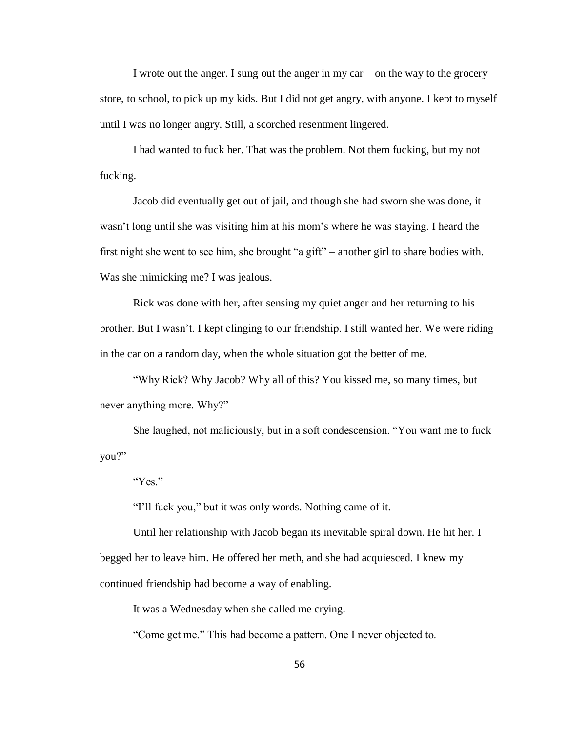I wrote out the anger. I sung out the anger in my car – on the way to the grocery store, to school, to pick up my kids. But I did not get angry, with anyone. I kept to myself until I was no longer angry. Still, a scorched resentment lingered.

I had wanted to fuck her. That was the problem. Not them fucking, but my not fucking.

Jacob did eventually get out of jail, and though she had sworn she was done, it wasn't long until she was visiting him at his mom's where he was staying. I heard the first night she went to see him, she brought "a gift" – another girl to share bodies with. Was she mimicking me? I was jealous.

Rick was done with her, after sensing my quiet anger and her returning to his brother. But I wasn't. I kept clinging to our friendship. I still wanted her. We were riding in the car on a random day, when the whole situation got the better of me.

"Why Rick? Why Jacob? Why all of this? You kissed me, so many times, but never anything more. Why?"

She laughed, not maliciously, but in a soft condescension. "You want me to fuck you?"

"Yes."

"I'll fuck you," but it was only words. Nothing came of it.

Until her relationship with Jacob began its inevitable spiral down. He hit her. I begged her to leave him. He offered her meth, and she had acquiesced. I knew my continued friendship had become a way of enabling.

It was a Wednesday when she called me crying.

"Come get me." This had become a pattern. One I never objected to.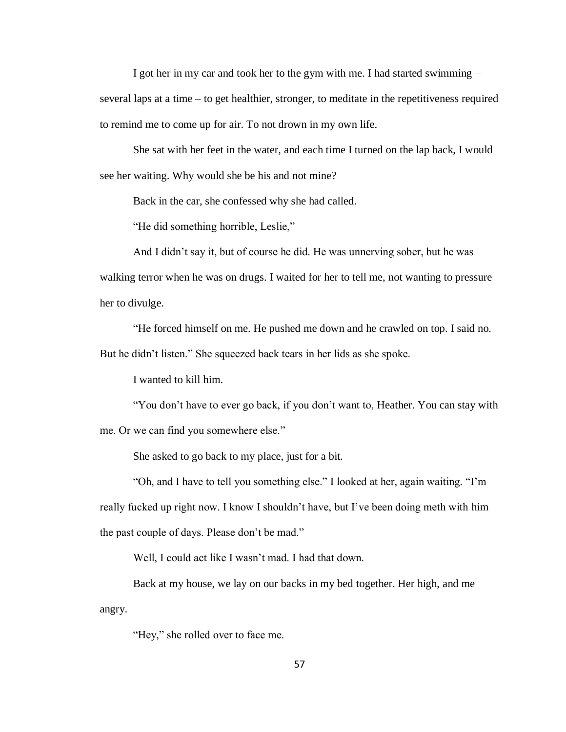I got her in my car and took her to the gym with me. I had started swimming – several laps at a time – to get healthier, stronger, to meditate in the repetitiveness required to remind me to come up for air. To not drown in my own life.

She sat with her feet in the water, and each time I turned on the lap back, I would see her waiting. Why would she be his and not mine?

Back in the car, she confessed why she had called.

"He did something horrible, Leslie,"

And I didn't say it, but of course he did. He was unnerving sober, but he was walking terror when he was on drugs. I waited for her to tell me, not wanting to pressure her to divulge.

"He forced himself on me. He pushed me down and he crawled on top. I said no. But he didn't listen." She squeezed back tears in her lids as she spoke.

I wanted to kill him.

"You don't have to ever go back, if you don't want to, Heather. You can stay with me. Or we can find you somewhere else."

She asked to go back to my place, just for a bit.

"Oh, and I have to tell you something else." I looked at her, again waiting. "I'm really fucked up right now. I know I shouldn't have, but I've been doing meth with him the past couple of days. Please don't be mad."

Well, I could act like I wasn't mad. I had that down.

Back at my house, we lay on our backs in my bed together. Her high, and me angry.

"Hey," she rolled over to face me.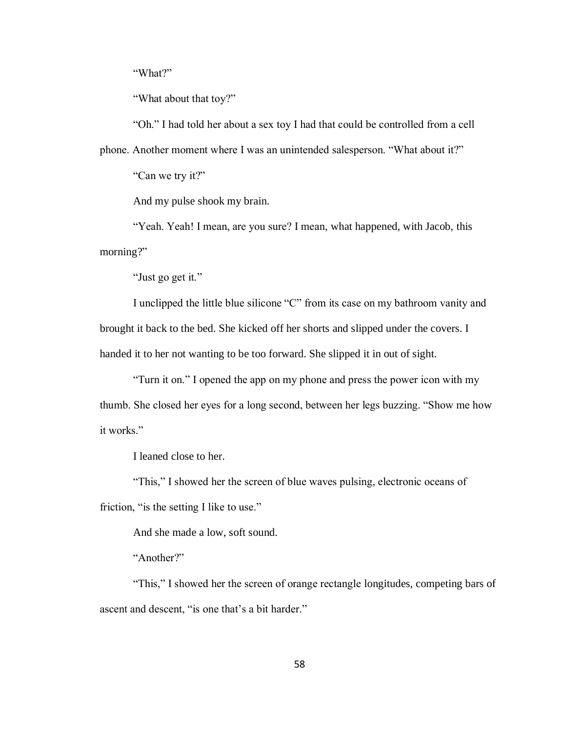"What?"

"What about that toy?"

"Oh." I had told her about a sex toy I had that could be controlled from a cell phone. Another moment where I was an unintended salesperson. "What about it?"

"Can we try it?"

And my pulse shook my brain.

"Yeah. Yeah! I mean, are you sure? I mean, what happened, with Jacob, this morning?"

"Just go get it."

I unclipped the little blue silicone "C" from its case on my bathroom vanity and brought it back to the bed. She kicked off her shorts and slipped under the covers. I handed it to her not wanting to be too forward. She slipped it in out of sight.

"Turn it on." I opened the app on my phone and press the power icon with my thumb. She closed her eyes for a long second, between her legs buzzing. "Show me how it works."

I leaned close to her.

"This," I showed her the screen of blue waves pulsing, electronic oceans of friction, "is the setting I like to use."

And she made a low, soft sound.

"Another?"

"This," I showed her the screen of orange rectangle longitudes, competing bars of ascent and descent, "is one that's a bit harder."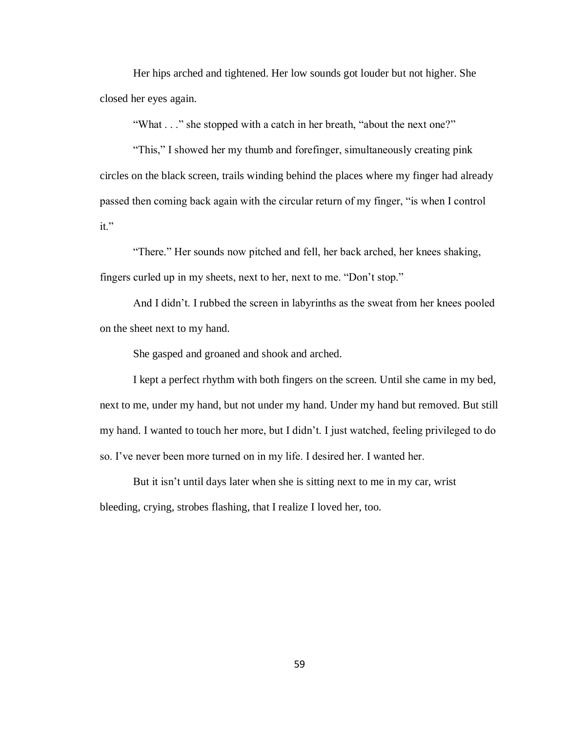Her hips arched and tightened. Her low sounds got louder but not higher. She closed her eyes again.

"What . . ." she stopped with a catch in her breath, "about the next one?"

"This," I showed her my thumb and forefinger, simultaneously creating pink circles on the black screen, trails winding behind the places where my finger had already passed then coming back again with the circular return of my finger, "is when I control it."

"There." Her sounds now pitched and fell, her back arched, her knees shaking, fingers curled up in my sheets, next to her, next to me. "Don't stop."

And I didn't. I rubbed the screen in labyrinths as the sweat from her knees pooled on the sheet next to my hand.

She gasped and groaned and shook and arched.

I kept a perfect rhythm with both fingers on the screen. Until she came in my bed, next to me, under my hand, but not under my hand. Under my hand but removed. But still my hand. I wanted to touch her more, but I didn't. I just watched, feeling privileged to do so. I've never been more turned on in my life. I desired her. I wanted her.

But it isn't until days later when she is sitting next to me in my car, wrist bleeding, crying, strobes flashing, that I realize I loved her, too.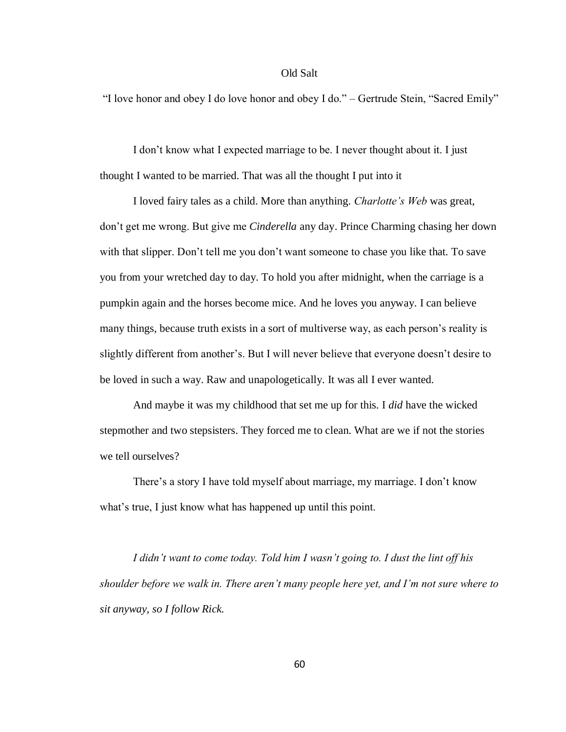## Old Salt

"I love honor and obey I do love honor and obey I do." – Gertrude Stein, "Sacred Emily"

I don't know what I expected marriage to be. I never thought about it. I just thought I wanted to be married. That was all the thought I put into it

I loved fairy tales as a child. More than anything. *Charlotte's Web* was great, don't get me wrong. But give me *Cinderella* any day. Prince Charming chasing her down with that slipper. Don't tell me you don't want someone to chase you like that. To save you from your wretched day to day. To hold you after midnight, when the carriage is a pumpkin again and the horses become mice. And he loves you anyway. I can believe many things, because truth exists in a sort of multiverse way, as each person's reality is slightly different from another's. But I will never believe that everyone doesn't desire to be loved in such a way. Raw and unapologetically. It was all I ever wanted.

And maybe it was my childhood that set me up for this. I *did* have the wicked stepmother and two stepsisters. They forced me to clean. What are we if not the stories we tell ourselves?

There's a story I have told myself about marriage, my marriage. I don't know what's true, I just know what has happened up until this point.

*I didn't want to come today. Told him I wasn't going to. I dust the lint off his shoulder before we walk in. There aren't many people here yet, and I'm not sure where to sit anyway, so I follow Rick.*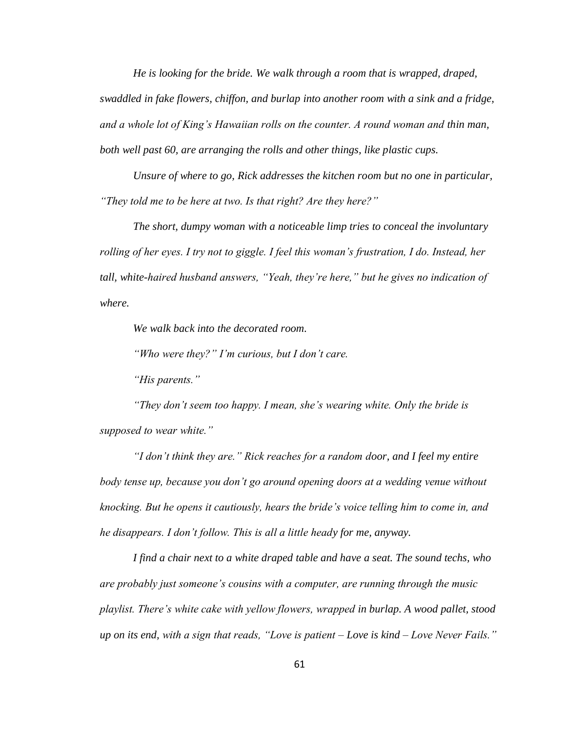*He is looking for the bride. We walk through a room that is wrapped, draped, swaddled in fake flowers, chiffon, and burlap into another room with a sink and a fridge, and a whole lot of King's Hawaiian rolls on the counter. A round woman and thin man, both well past 60, are arranging the rolls and other things, like plastic cups.*

*Unsure of where to go, Rick addresses the kitchen room but no one in particular, "They told me to be here at two. Is that right? Are they here?"* 

*The short, dumpy woman with a noticeable limp tries to conceal the involuntary rolling of her eyes. I try not to giggle. I feel this woman's frustration, I do. Instead, her tall, white-haired husband answers, "Yeah, they're here," but he gives no indication of where.* 

*We walk back into the decorated room.*

*"Who were they?" I'm curious, but I don't care.*

*"His parents."*

*"They don't seem too happy. I mean, she's wearing white. Only the bride is supposed to wear white."* 

*"I don't think they are." Rick reaches for a random door, and I feel my entire*  body tense up, because you don't go around opening doors at a wedding venue without *knocking. But he opens it cautiously, hears the bride's voice telling him to come in, and he disappears. I don't follow. This is all a little heady for me, anyway.*

*I find a chair next to a white draped table and have a seat. The sound techs, who are probably just someone's cousins with a computer, are running through the music playlist. There's white cake with yellow flowers, wrapped in burlap. A wood pallet, stood up on its end, with a sign that reads, "Love is patient – Love is kind – Love Never Fails."*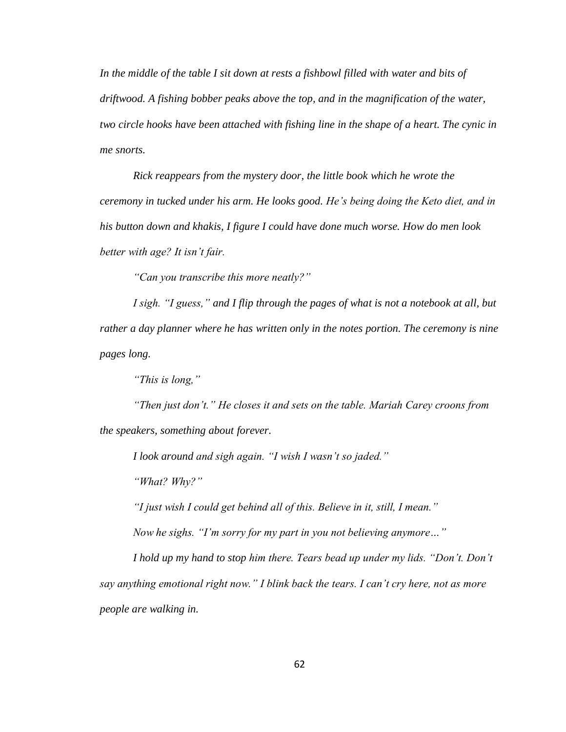*In the middle of the table I sit down at rests a fishbowl filled with water and bits of driftwood. A fishing bobber peaks above the top, and in the magnification of the water, two circle hooks have been attached with fishing line in the shape of a heart. The cynic in me snorts.*

*Rick reappears from the mystery door, the little book which he wrote the ceremony in tucked under his arm. He looks good. He's being doing the Keto diet, and in his button down and khakis, I figure I could have done much worse. How do men look better with age? It isn't fair.* 

*"Can you transcribe this more neatly?"*

*I sigh. "I guess," and I flip through the pages of what is not a notebook at all, but rather a day planner where he has written only in the notes portion. The ceremony is nine pages long.* 

*"This is long,"*

*"Then just don't." He closes it and sets on the table. Mariah Carey croons from the speakers, something about forever.*

*I look around and sigh again. "I wish I wasn't so jaded."*

*"What? Why?"*

*"I just wish I could get behind all of this. Believe in it, still, I mean."*

*Now he sighs. "I'm sorry for my part in you not believing anymore…"*

*I hold up my hand to stop him there. Tears bead up under my lids. "Don't. Don't say anything emotional right now." I blink back the tears. I can't cry here, not as more people are walking in.*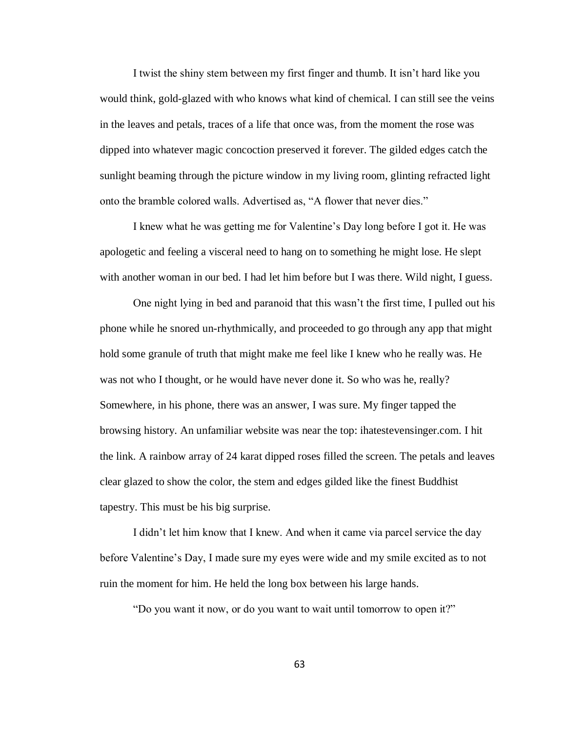I twist the shiny stem between my first finger and thumb. It isn't hard like you would think, gold-glazed with who knows what kind of chemical. I can still see the veins in the leaves and petals, traces of a life that once was, from the moment the rose was dipped into whatever magic concoction preserved it forever. The gilded edges catch the sunlight beaming through the picture window in my living room, glinting refracted light onto the bramble colored walls. Advertised as, "A flower that never dies."

I knew what he was getting me for Valentine's Day long before I got it. He was apologetic and feeling a visceral need to hang on to something he might lose. He slept with another woman in our bed. I had let him before but I was there. Wild night, I guess.

One night lying in bed and paranoid that this wasn't the first time, I pulled out his phone while he snored un-rhythmically, and proceeded to go through any app that might hold some granule of truth that might make me feel like I knew who he really was. He was not who I thought, or he would have never done it. So who was he, really? Somewhere, in his phone, there was an answer, I was sure. My finger tapped the browsing history. An unfamiliar website was near the top: ihatestevensinger.com. I hit the link. A rainbow array of 24 karat dipped roses filled the screen. The petals and leaves clear glazed to show the color, the stem and edges gilded like the finest Buddhist tapestry. This must be his big surprise.

I didn't let him know that I knew. And when it came via parcel service the day before Valentine's Day, I made sure my eyes were wide and my smile excited as to not ruin the moment for him. He held the long box between his large hands.

"Do you want it now, or do you want to wait until tomorrow to open it?"

63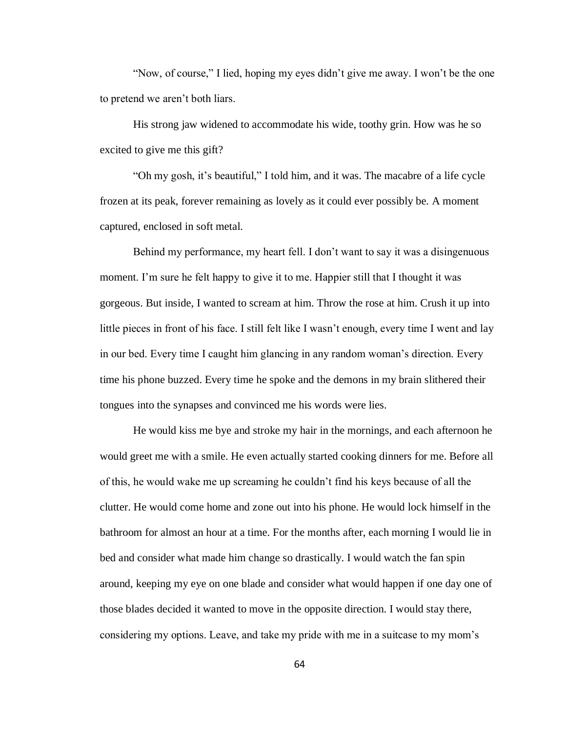"Now, of course," I lied, hoping my eyes didn't give me away. I won't be the one to pretend we aren't both liars.

His strong jaw widened to accommodate his wide, toothy grin. How was he so excited to give me this gift?

"Oh my gosh, it's beautiful," I told him, and it was. The macabre of a life cycle frozen at its peak, forever remaining as lovely as it could ever possibly be. A moment captured, enclosed in soft metal.

Behind my performance, my heart fell. I don't want to say it was a disingenuous moment. I'm sure he felt happy to give it to me. Happier still that I thought it was gorgeous. But inside, I wanted to scream at him. Throw the rose at him. Crush it up into little pieces in front of his face. I still felt like I wasn't enough, every time I went and lay in our bed. Every time I caught him glancing in any random woman's direction. Every time his phone buzzed. Every time he spoke and the demons in my brain slithered their tongues into the synapses and convinced me his words were lies.

He would kiss me bye and stroke my hair in the mornings, and each afternoon he would greet me with a smile. He even actually started cooking dinners for me. Before all of this, he would wake me up screaming he couldn't find his keys because of all the clutter. He would come home and zone out into his phone. He would lock himself in the bathroom for almost an hour at a time. For the months after, each morning I would lie in bed and consider what made him change so drastically. I would watch the fan spin around, keeping my eye on one blade and consider what would happen if one day one of those blades decided it wanted to move in the opposite direction. I would stay there, considering my options. Leave, and take my pride with me in a suitcase to my mom's

64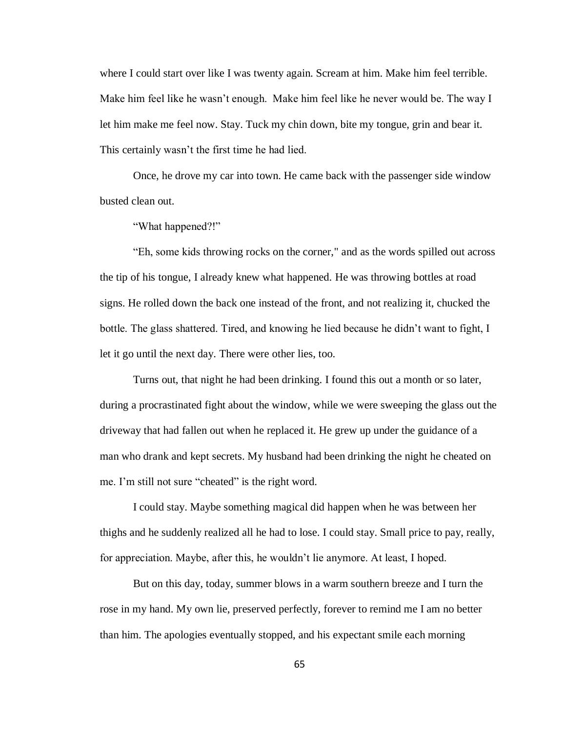where I could start over like I was twenty again. Scream at him. Make him feel terrible. Make him feel like he wasn't enough. Make him feel like he never would be. The way I let him make me feel now. Stay. Tuck my chin down, bite my tongue, grin and bear it. This certainly wasn't the first time he had lied.

Once, he drove my car into town. He came back with the passenger side window busted clean out.

"What happened?!"

"Eh, some kids throwing rocks on the corner," and as the words spilled out across the tip of his tongue, I already knew what happened. He was throwing bottles at road signs. He rolled down the back one instead of the front, and not realizing it, chucked the bottle. The glass shattered. Tired, and knowing he lied because he didn't want to fight, I let it go until the next day. There were other lies, too.

Turns out, that night he had been drinking. I found this out a month or so later, during a procrastinated fight about the window, while we were sweeping the glass out the driveway that had fallen out when he replaced it. He grew up under the guidance of a man who drank and kept secrets. My husband had been drinking the night he cheated on me. I'm still not sure "cheated" is the right word.

I could stay. Maybe something magical did happen when he was between her thighs and he suddenly realized all he had to lose. I could stay. Small price to pay, really, for appreciation. Maybe, after this, he wouldn't lie anymore. At least, I hoped.

But on this day, today, summer blows in a warm southern breeze and I turn the rose in my hand. My own lie, preserved perfectly, forever to remind me I am no better than him. The apologies eventually stopped, and his expectant smile each morning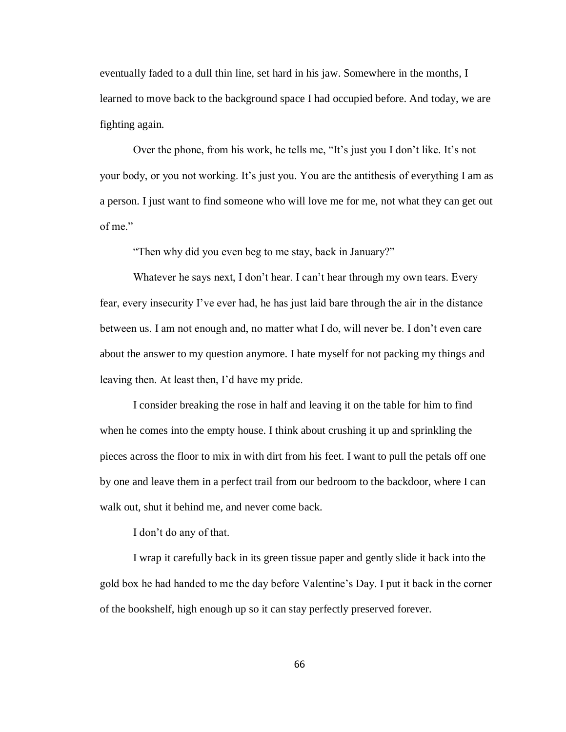eventually faded to a dull thin line, set hard in his jaw. Somewhere in the months, I learned to move back to the background space I had occupied before. And today, we are fighting again.

Over the phone, from his work, he tells me, "It's just you I don't like. It's not your body, or you not working. It's just you. You are the antithesis of everything I am as a person. I just want to find someone who will love me for me, not what they can get out of me."

"Then why did you even beg to me stay, back in January?"

Whatever he says next, I don't hear. I can't hear through my own tears. Every fear, every insecurity I've ever had, he has just laid bare through the air in the distance between us. I am not enough and, no matter what I do, will never be. I don't even care about the answer to my question anymore. I hate myself for not packing my things and leaving then. At least then, I'd have my pride.

I consider breaking the rose in half and leaving it on the table for him to find when he comes into the empty house. I think about crushing it up and sprinkling the pieces across the floor to mix in with dirt from his feet. I want to pull the petals off one by one and leave them in a perfect trail from our bedroom to the backdoor, where I can walk out, shut it behind me, and never come back.

I don't do any of that.

I wrap it carefully back in its green tissue paper and gently slide it back into the gold box he had handed to me the day before Valentine's Day. I put it back in the corner of the bookshelf, high enough up so it can stay perfectly preserved forever.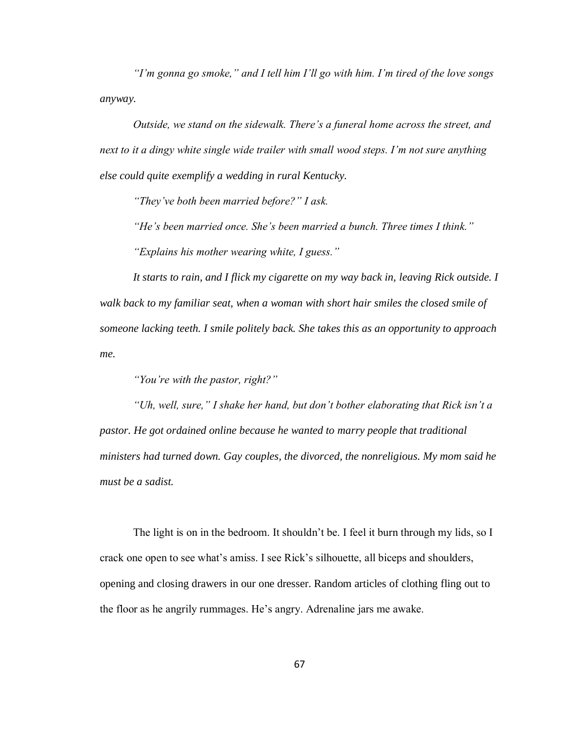*"I'm gonna go smoke," and I tell him I'll go with him. I'm tired of the love songs anyway.*

*Outside, we stand on the sidewalk. There's a funeral home across the street, and next to it a dingy white single wide trailer with small wood steps. I'm not sure anything else could quite exemplify a wedding in rural Kentucky.* 

*"They've both been married before?" I ask.*

*"He's been married once. She's been married a bunch. Three times I think."*

*"Explains his mother wearing white, I guess."*

*It starts to rain, and I flick my cigarette on my way back in, leaving Rick outside. I walk back to my familiar seat, when a woman with short hair smiles the closed smile of someone lacking teeth. I smile politely back. She takes this as an opportunity to approach me.*

*"You're with the pastor, right?"*

*"Uh, well, sure," I shake her hand, but don't bother elaborating that Rick isn't a pastor. He got ordained online because he wanted to marry people that traditional ministers had turned down. Gay couples, the divorced, the nonreligious. My mom said he must be a sadist.* 

The light is on in the bedroom. It shouldn't be. I feel it burn through my lids, so I crack one open to see what's amiss. I see Rick's silhouette, all biceps and shoulders, opening and closing drawers in our one dresser. Random articles of clothing fling out to the floor as he angrily rummages. He's angry. Adrenaline jars me awake.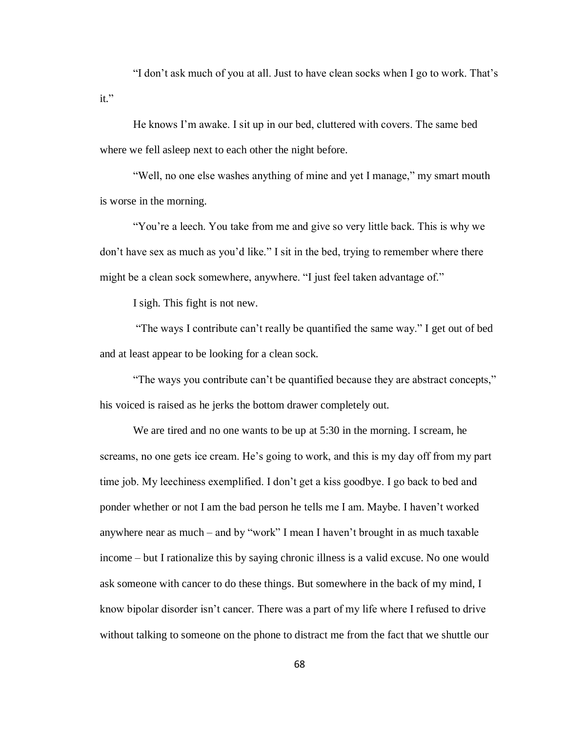"I don't ask much of you at all. Just to have clean socks when I go to work. That's it."

He knows I'm awake. I sit up in our bed, cluttered with covers. The same bed where we fell asleep next to each other the night before.

"Well, no one else washes anything of mine and yet I manage," my smart mouth is worse in the morning.

"You're a leech. You take from me and give so very little back. This is why we don't have sex as much as you'd like." I sit in the bed, trying to remember where there might be a clean sock somewhere, anywhere. "I just feel taken advantage of."

I sigh. This fight is not new.

"The ways I contribute can't really be quantified the same way." I get out of bed and at least appear to be looking for a clean sock.

"The ways you contribute can't be quantified because they are abstract concepts," his voiced is raised as he jerks the bottom drawer completely out.

We are tired and no one wants to be up at 5:30 in the morning. I scream, he screams, no one gets ice cream. He's going to work, and this is my day off from my part time job. My leechiness exemplified. I don't get a kiss goodbye. I go back to bed and ponder whether or not I am the bad person he tells me I am. Maybe. I haven't worked anywhere near as much – and by "work" I mean I haven't brought in as much taxable income – but I rationalize this by saying chronic illness is a valid excuse. No one would ask someone with cancer to do these things. But somewhere in the back of my mind, I know bipolar disorder isn't cancer. There was a part of my life where I refused to drive without talking to someone on the phone to distract me from the fact that we shuttle our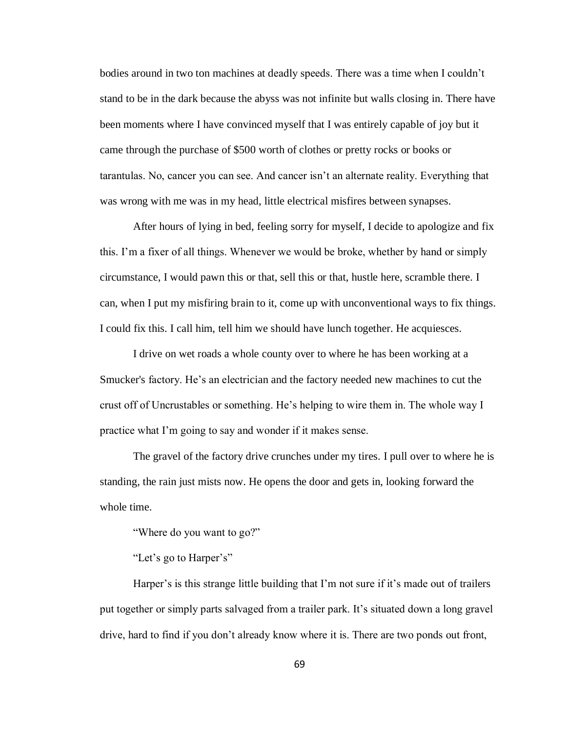bodies around in two ton machines at deadly speeds. There was a time when I couldn't stand to be in the dark because the abyss was not infinite but walls closing in. There have been moments where I have convinced myself that I was entirely capable of joy but it came through the purchase of \$500 worth of clothes or pretty rocks or books or tarantulas. No, cancer you can see. And cancer isn't an alternate reality. Everything that was wrong with me was in my head, little electrical misfires between synapses.

After hours of lying in bed, feeling sorry for myself, I decide to apologize and fix this. I'm a fixer of all things. Whenever we would be broke, whether by hand or simply circumstance, I would pawn this or that, sell this or that, hustle here, scramble there. I can, when I put my misfiring brain to it, come up with unconventional ways to fix things. I could fix this. I call him, tell him we should have lunch together. He acquiesces.

I drive on wet roads a whole county over to where he has been working at a Smucker's factory. He's an electrician and the factory needed new machines to cut the crust off of Uncrustables or something. He's helping to wire them in. The whole way I practice what I'm going to say and wonder if it makes sense.

The gravel of the factory drive crunches under my tires. I pull over to where he is standing, the rain just mists now. He opens the door and gets in, looking forward the whole time.

"Where do you want to go?"

"Let's go to Harper's"

Harper's is this strange little building that I'm not sure if it's made out of trailers put together or simply parts salvaged from a trailer park. It's situated down a long gravel drive, hard to find if you don't already know where it is. There are two ponds out front,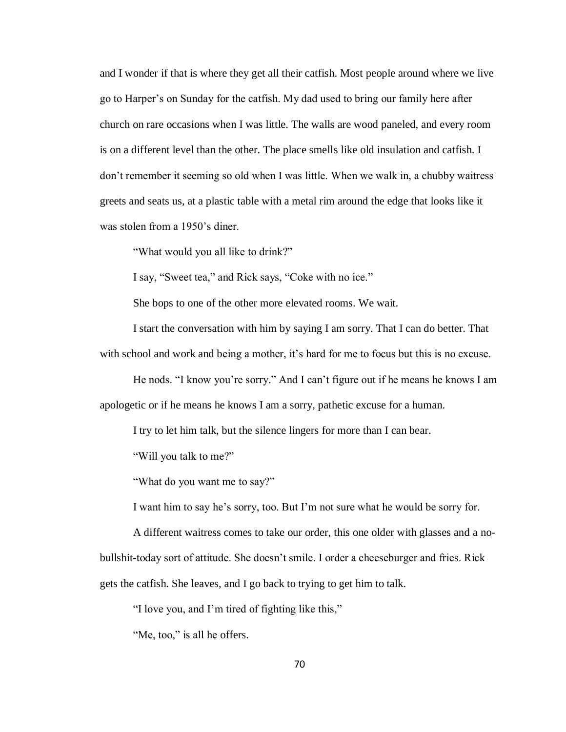and I wonder if that is where they get all their catfish. Most people around where we live go to Harper's on Sunday for the catfish. My dad used to bring our family here after church on rare occasions when I was little. The walls are wood paneled, and every room is on a different level than the other. The place smells like old insulation and catfish. I don't remember it seeming so old when I was little. When we walk in, a chubby waitress greets and seats us, at a plastic table with a metal rim around the edge that looks like it was stolen from a 1950's diner.

"What would you all like to drink?"

I say, "Sweet tea," and Rick says, "Coke with no ice."

She bops to one of the other more elevated rooms. We wait.

I start the conversation with him by saying I am sorry. That I can do better. That with school and work and being a mother, it's hard for me to focus but this is no excuse.

He nods. "I know you're sorry." And I can't figure out if he means he knows I am apologetic or if he means he knows I am a sorry, pathetic excuse for a human.

I try to let him talk, but the silence lingers for more than I can bear.

"Will you talk to me?"

"What do you want me to say?"

I want him to say he's sorry, too. But I'm not sure what he would be sorry for.

A different waitress comes to take our order, this one older with glasses and a nobullshit-today sort of attitude. She doesn't smile. I order a cheeseburger and fries. Rick gets the catfish. She leaves, and I go back to trying to get him to talk.

"I love you, and I'm tired of fighting like this,"

"Me, too," is all he offers.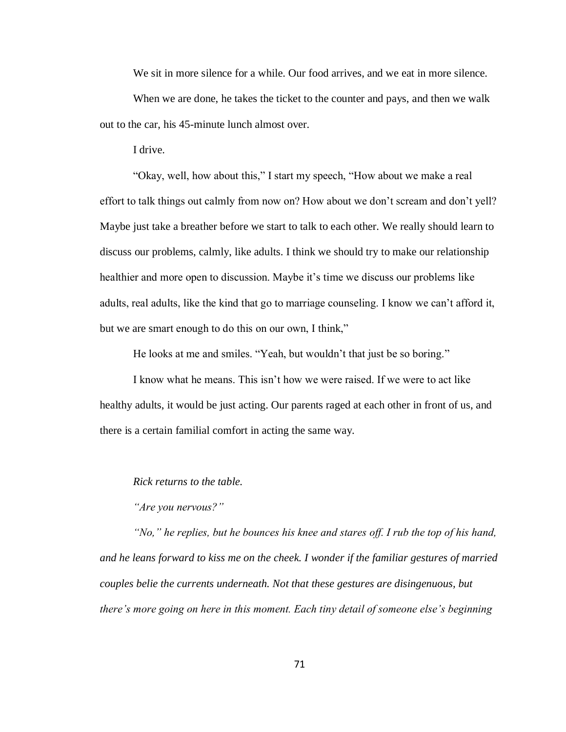We sit in more silence for a while. Our food arrives, and we eat in more silence.

When we are done, he takes the ticket to the counter and pays, and then we walk out to the car, his 45-minute lunch almost over.

I drive.

"Okay, well, how about this," I start my speech, "How about we make a real effort to talk things out calmly from now on? How about we don't scream and don't yell? Maybe just take a breather before we start to talk to each other. We really should learn to discuss our problems, calmly, like adults. I think we should try to make our relationship healthier and more open to discussion. Maybe it's time we discuss our problems like adults, real adults, like the kind that go to marriage counseling. I know we can't afford it, but we are smart enough to do this on our own, I think,"

He looks at me and smiles. "Yeah, but wouldn't that just be so boring."

I know what he means. This isn't how we were raised. If we were to act like healthy adults, it would be just acting. Our parents raged at each other in front of us, and there is a certain familial comfort in acting the same way.

*Rick returns to the table.*

*"Are you nervous?"*

*"No," he replies, but he bounces his knee and stares off. I rub the top of his hand, and he leans forward to kiss me on the cheek. I wonder if the familiar gestures of married couples belie the currents underneath. Not that these gestures are disingenuous, but there's more going on here in this moment. Each tiny detail of someone else's beginning*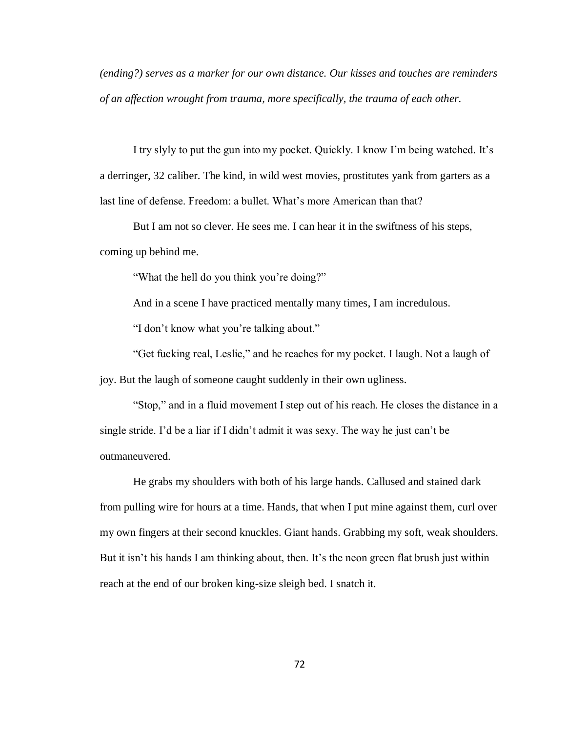*(ending?) serves as a marker for our own distance. Our kisses and touches are reminders of an affection wrought from trauma, more specifically, the trauma of each other.*

I try slyly to put the gun into my pocket. Quickly. I know I'm being watched. It's a derringer, 32 caliber. The kind, in wild west movies, prostitutes yank from garters as a last line of defense. Freedom: a bullet. What's more American than that?

But I am not so clever. He sees me. I can hear it in the swiftness of his steps, coming up behind me.

"What the hell do you think you're doing?"

And in a scene I have practiced mentally many times, I am incredulous.

"I don't know what you're talking about."

"Get fucking real, Leslie," and he reaches for my pocket. I laugh. Not a laugh of joy. But the laugh of someone caught suddenly in their own ugliness.

"Stop," and in a fluid movement I step out of his reach. He closes the distance in a single stride. I'd be a liar if I didn't admit it was sexy. The way he just can't be outmaneuvered.

He grabs my shoulders with both of his large hands. Callused and stained dark from pulling wire for hours at a time. Hands, that when I put mine against them, curl over my own fingers at their second knuckles. Giant hands. Grabbing my soft, weak shoulders. But it isn't his hands I am thinking about, then. It's the neon green flat brush just within reach at the end of our broken king-size sleigh bed. I snatch it.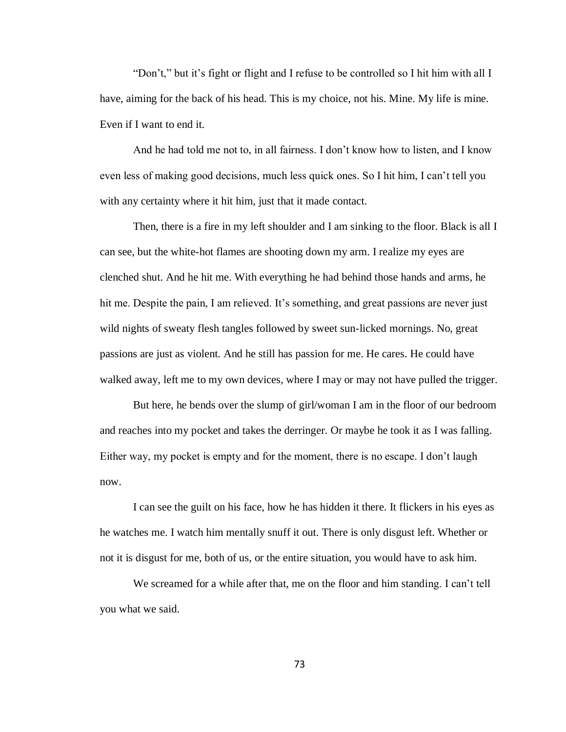"Don't," but it's fight or flight and I refuse to be controlled so I hit him with all I have, aiming for the back of his head. This is my choice, not his. Mine. My life is mine. Even if I want to end it.

And he had told me not to, in all fairness. I don't know how to listen, and I know even less of making good decisions, much less quick ones. So I hit him, I can't tell you with any certainty where it hit him, just that it made contact.

Then, there is a fire in my left shoulder and I am sinking to the floor. Black is all I can see, but the white-hot flames are shooting down my arm. I realize my eyes are clenched shut. And he hit me. With everything he had behind those hands and arms, he hit me. Despite the pain, I am relieved. It's something, and great passions are never just wild nights of sweaty flesh tangles followed by sweet sun-licked mornings. No, great passions are just as violent. And he still has passion for me. He cares. He could have walked away, left me to my own devices, where I may or may not have pulled the trigger.

But here, he bends over the slump of girl/woman I am in the floor of our bedroom and reaches into my pocket and takes the derringer. Or maybe he took it as I was falling. Either way, my pocket is empty and for the moment, there is no escape. I don't laugh now.

I can see the guilt on his face, how he has hidden it there. It flickers in his eyes as he watches me. I watch him mentally snuff it out. There is only disgust left. Whether or not it is disgust for me, both of us, or the entire situation, you would have to ask him.

We screamed for a while after that, me on the floor and him standing. I can't tell you what we said.

73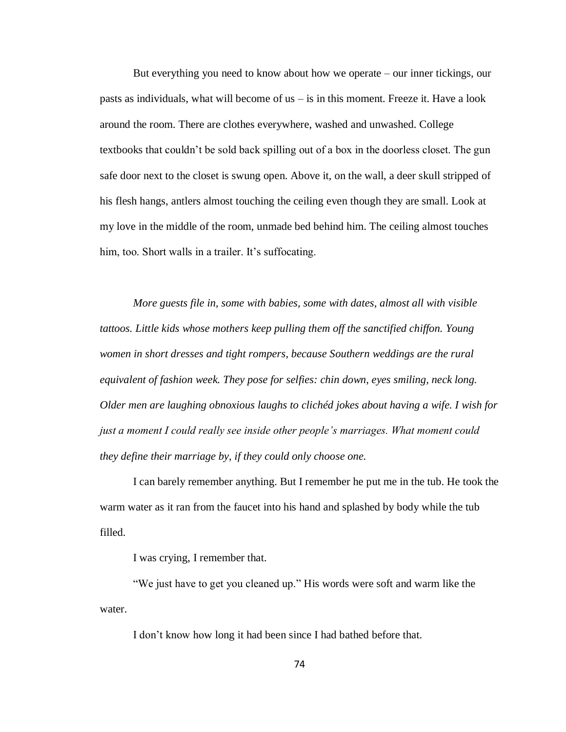But everything you need to know about how we operate – our inner tickings, our pasts as individuals, what will become of  $us - is$  in this moment. Freeze it. Have a look around the room. There are clothes everywhere, washed and unwashed. College textbooks that couldn't be sold back spilling out of a box in the doorless closet. The gun safe door next to the closet is swung open. Above it, on the wall, a deer skull stripped of his flesh hangs, antlers almost touching the ceiling even though they are small. Look at my love in the middle of the room, unmade bed behind him. The ceiling almost touches him, too. Short walls in a trailer. It's suffocating.

*More guests file in, some with babies, some with dates, almost all with visible tattoos. Little kids whose mothers keep pulling them off the sanctified chiffon. Young women in short dresses and tight rompers, because Southern weddings are the rural equivalent of fashion week. They pose for selfies: chin down, eyes smiling, neck long. Older men are laughing obnoxious laughs to clichéd jokes about having a wife. I wish for just a moment I could really see inside other people's marriages. What moment could they define their marriage by, if they could only choose one.*

I can barely remember anything. But I remember he put me in the tub. He took the warm water as it ran from the faucet into his hand and splashed by body while the tub filled.

I was crying, I remember that.

"We just have to get you cleaned up." His words were soft and warm like the water.

I don't know how long it had been since I had bathed before that.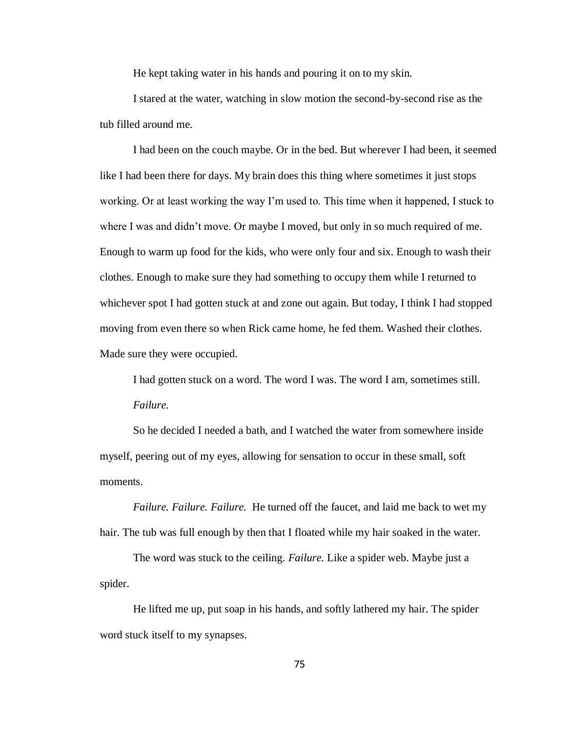He kept taking water in his hands and pouring it on to my skin.

I stared at the water, watching in slow motion the second-by-second rise as the tub filled around me.

I had been on the couch maybe. Or in the bed. But wherever I had been, it seemed like I had been there for days. My brain does this thing where sometimes it just stops working. Or at least working the way I'm used to. This time when it happened, I stuck to where I was and didn't move. Or maybe I moved, but only in so much required of me. Enough to warm up food for the kids, who were only four and six. Enough to wash their clothes. Enough to make sure they had something to occupy them while I returned to whichever spot I had gotten stuck at and zone out again. But today, I think I had stopped moving from even there so when Rick came home, he fed them. Washed their clothes. Made sure they were occupied.

I had gotten stuck on a word. The word I was. The word I am, sometimes still. *Failure.* 

So he decided I needed a bath, and I watched the water from somewhere inside myself, peering out of my eyes, allowing for sensation to occur in these small, soft moments.

*Failure. Failure. Failure.* He turned off the faucet, and laid me back to wet my hair. The tub was full enough by then that I floated while my hair soaked in the water.

The word was stuck to the ceiling. *Failure.* Like a spider web. Maybe just a spider.

He lifted me up, put soap in his hands, and softly lathered my hair. The spider word stuck itself to my synapses.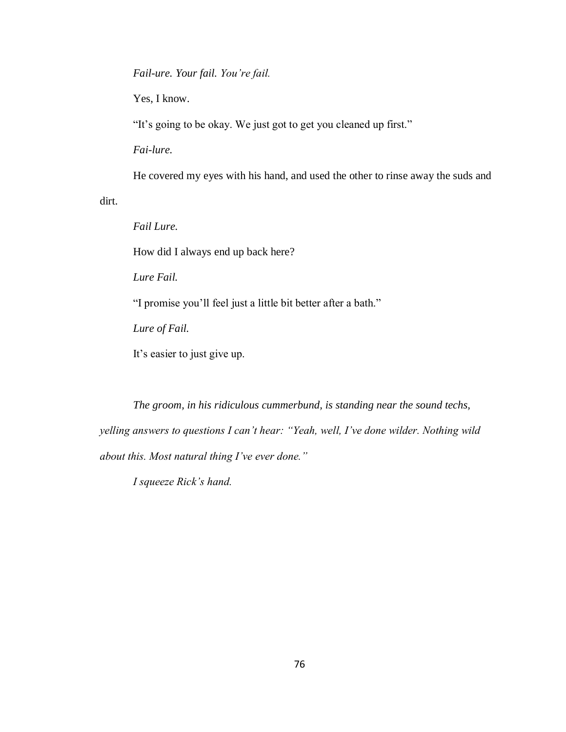*Fail-ure. Your fail. You're fail.*

Yes, I know.

"It's going to be okay. We just got to get you cleaned up first."

*Fai-lure.* 

He covered my eyes with his hand, and used the other to rinse away the suds and

dirt.

*Fail Lure.*

How did I always end up back here?

*Lure Fail.* 

"I promise you'll feel just a little bit better after a bath."

*Lure of Fail.* 

It's easier to just give up.

*The groom, in his ridiculous cummerbund, is standing near the sound techs, yelling answers to questions I can't hear: "Yeah, well, I've done wilder. Nothing wild about this. Most natural thing I've ever done."*

*I squeeze Rick's hand.*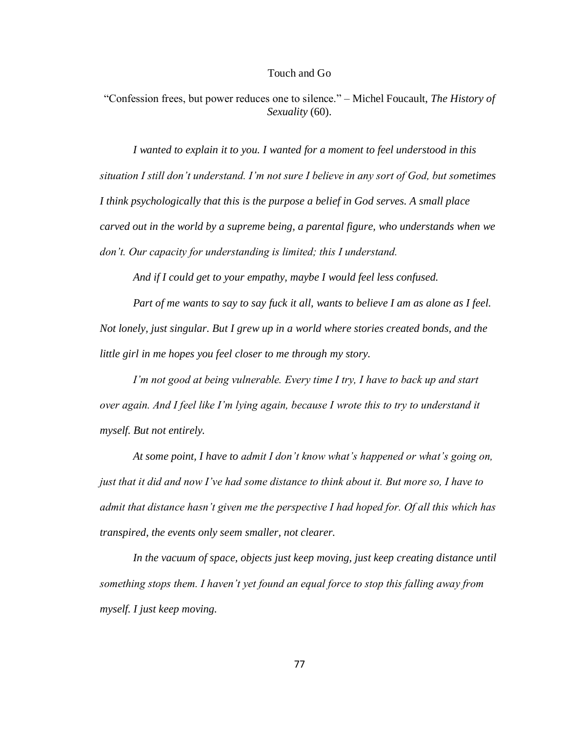## Touch and Go

"Confession frees, but power reduces one to silence." – Michel Foucault, *The History of Sexuality* (60).

*I wanted to explain it to you. I wanted for a moment to feel understood in this situation I still don't understand. I'm not sure I believe in any sort of God, but sometimes I think psychologically that this is the purpose a belief in God serves. A small place carved out in the world by a supreme being, a parental figure, who understands when we don't. Our capacity for understanding is limited; this I understand.* 

*And if I could get to your empathy, maybe I would feel less confused.* 

*Part of me wants to say to say fuck it all, wants to believe I am as alone as I feel. Not lonely, just singular. But I grew up in a world where stories created bonds, and the little girl in me hopes you feel closer to me through my story.* 

*I'm not good at being vulnerable. Every time I try, I have to back up and start over again. And I feel like I'm lying again, because I wrote this to try to understand it myself. But not entirely.* 

*At some point, I have to admit I don't know what's happened or what's going on, just that it did and now I've had some distance to think about it. But more so, I have to admit that distance hasn't given me the perspective I had hoped for. Of all this which has transpired, the events only seem smaller, not clearer.*

*In the vacuum of space, objects just keep moving, just keep creating distance until something stops them. I haven't yet found an equal force to stop this falling away from myself. I just keep moving.*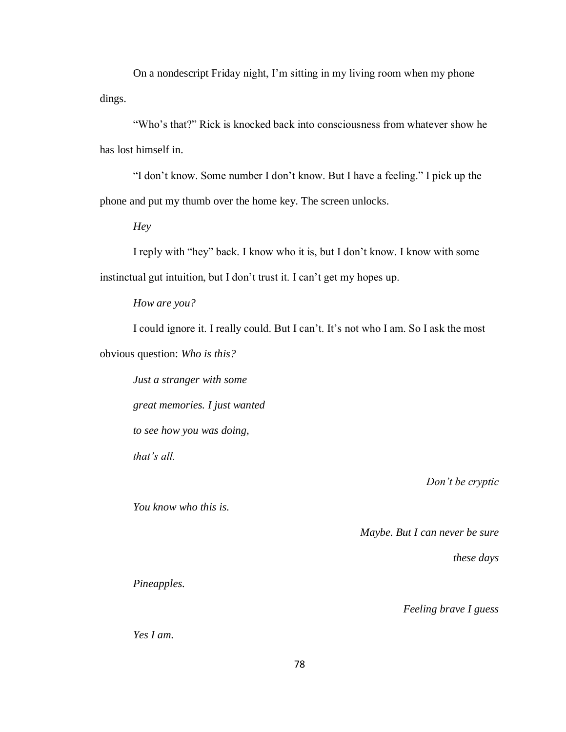On a nondescript Friday night, I'm sitting in my living room when my phone dings.

"Who's that?" Rick is knocked back into consciousness from whatever show he has lost himself in.

"I don't know. Some number I don't know. But I have a feeling." I pick up the phone and put my thumb over the home key. The screen unlocks.

*Hey*

I reply with "hey" back. I know who it is, but I don't know. I know with some instinctual gut intuition, but I don't trust it. I can't get my hopes up.

*How are you?*

I could ignore it. I really could. But I can't. It's not who I am. So I ask the most obvious question: *Who is this?*

*Just a stranger with some great memories. I just wanted to see how you was doing, that's all.*

*You know who this is.*

*Don't be cryptic*

*Maybe. But I can never be sure*

*these days*

*Pineapples.*

*Feeling brave I guess*

*Yes I am.*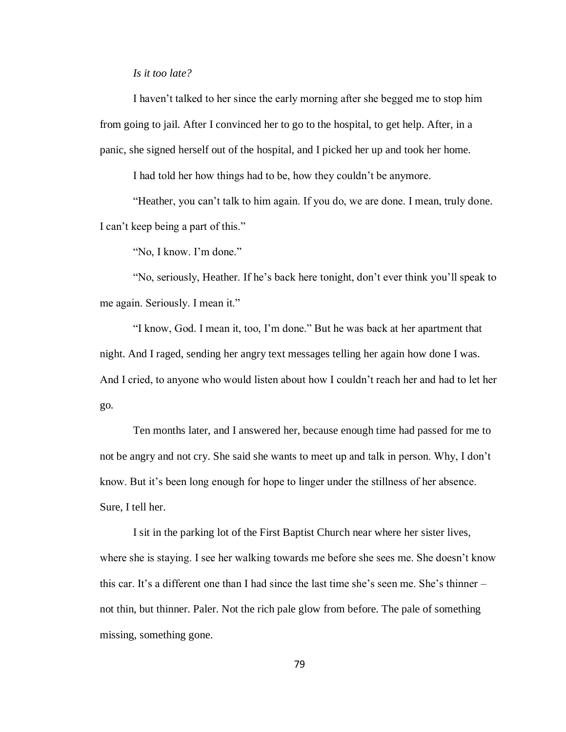## *Is it too late?*

I haven't talked to her since the early morning after she begged me to stop him from going to jail. After I convinced her to go to the hospital, to get help. After, in a panic, she signed herself out of the hospital, and I picked her up and took her home.

I had told her how things had to be, how they couldn't be anymore.

"Heather, you can't talk to him again. If you do, we are done. I mean, truly done. I can't keep being a part of this."

"No, I know. I'm done."

"No, seriously, Heather. If he's back here tonight, don't ever think you'll speak to me again. Seriously. I mean it."

"I know, God. I mean it, too, I'm done." But he was back at her apartment that night. And I raged, sending her angry text messages telling her again how done I was. And I cried, to anyone who would listen about how I couldn't reach her and had to let her go.

Ten months later, and I answered her, because enough time had passed for me to not be angry and not cry. She said she wants to meet up and talk in person. Why, I don't know. But it's been long enough for hope to linger under the stillness of her absence. Sure, I tell her.

I sit in the parking lot of the First Baptist Church near where her sister lives, where she is staying. I see her walking towards me before she sees me. She doesn't know this car. It's a different one than I had since the last time she's seen me. She's thinner – not thin, but thinner. Paler. Not the rich pale glow from before. The pale of something missing, something gone.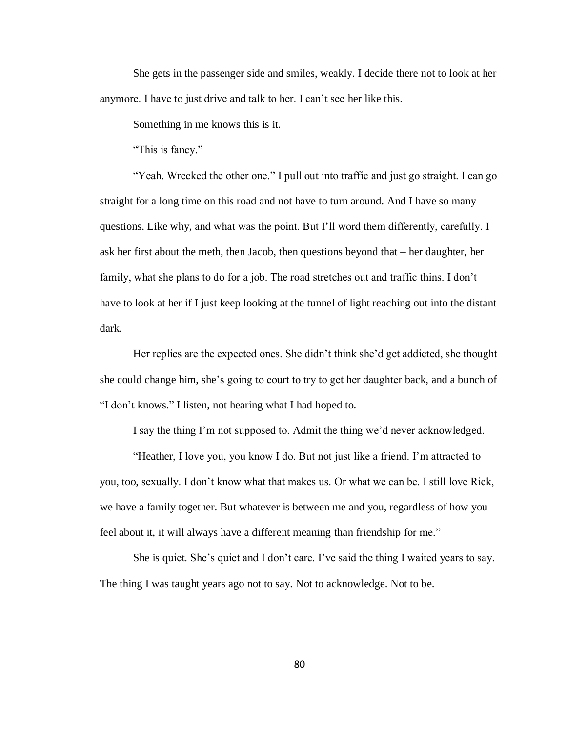She gets in the passenger side and smiles, weakly. I decide there not to look at her anymore. I have to just drive and talk to her. I can't see her like this.

Something in me knows this is it.

"This is fancy."

"Yeah. Wrecked the other one." I pull out into traffic and just go straight. I can go straight for a long time on this road and not have to turn around. And I have so many questions. Like why, and what was the point. But I'll word them differently, carefully. I ask her first about the meth, then Jacob, then questions beyond that – her daughter, her family, what she plans to do for a job. The road stretches out and traffic thins. I don't have to look at her if I just keep looking at the tunnel of light reaching out into the distant dark.

Her replies are the expected ones. She didn't think she'd get addicted, she thought she could change him, she's going to court to try to get her daughter back, and a bunch of "I don't knows." I listen, not hearing what I had hoped to.

I say the thing I'm not supposed to. Admit the thing we'd never acknowledged.

"Heather, I love you, you know I do. But not just like a friend. I'm attracted to you, too, sexually. I don't know what that makes us. Or what we can be. I still love Rick, we have a family together. But whatever is between me and you, regardless of how you feel about it, it will always have a different meaning than friendship for me."

She is quiet. She's quiet and I don't care. I've said the thing I waited years to say. The thing I was taught years ago not to say. Not to acknowledge. Not to be.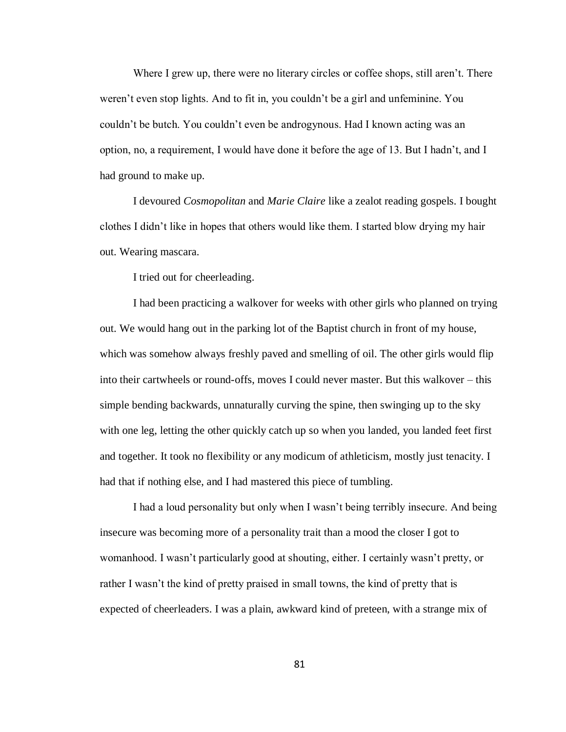Where I grew up, there were no literary circles or coffee shops, still aren't. There weren't even stop lights. And to fit in, you couldn't be a girl and unfeminine. You couldn't be butch. You couldn't even be androgynous. Had I known acting was an option, no, a requirement, I would have done it before the age of 13. But I hadn't, and I had ground to make up.

I devoured *Cosmopolitan* and *Marie Claire* like a zealot reading gospels. I bought clothes I didn't like in hopes that others would like them. I started blow drying my hair out. Wearing mascara.

I tried out for cheerleading.

I had been practicing a walkover for weeks with other girls who planned on trying out. We would hang out in the parking lot of the Baptist church in front of my house, which was somehow always freshly paved and smelling of oil. The other girls would flip into their cartwheels or round-offs, moves I could never master. But this walkover – this simple bending backwards, unnaturally curving the spine, then swinging up to the sky with one leg, letting the other quickly catch up so when you landed, you landed feet first and together. It took no flexibility or any modicum of athleticism, mostly just tenacity. I had that if nothing else, and I had mastered this piece of tumbling.

I had a loud personality but only when I wasn't being terribly insecure. And being insecure was becoming more of a personality trait than a mood the closer I got to womanhood. I wasn't particularly good at shouting, either. I certainly wasn't pretty, or rather I wasn't the kind of pretty praised in small towns, the kind of pretty that is expected of cheerleaders. I was a plain, awkward kind of preteen, with a strange mix of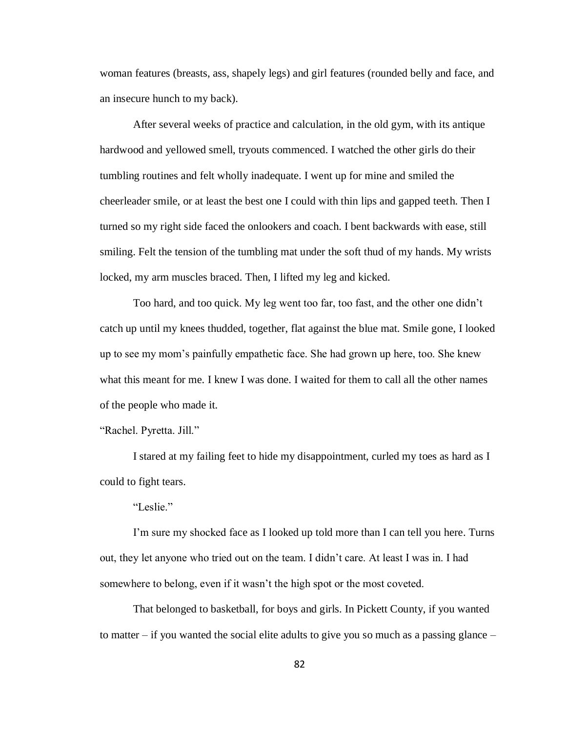woman features (breasts, ass, shapely legs) and girl features (rounded belly and face, and an insecure hunch to my back).

After several weeks of practice and calculation, in the old gym, with its antique hardwood and yellowed smell, tryouts commenced. I watched the other girls do their tumbling routines and felt wholly inadequate. I went up for mine and smiled the cheerleader smile, or at least the best one I could with thin lips and gapped teeth. Then I turned so my right side faced the onlookers and coach. I bent backwards with ease, still smiling. Felt the tension of the tumbling mat under the soft thud of my hands. My wrists locked, my arm muscles braced. Then, I lifted my leg and kicked.

Too hard, and too quick. My leg went too far, too fast, and the other one didn't catch up until my knees thudded, together, flat against the blue mat. Smile gone, I looked up to see my mom's painfully empathetic face. She had grown up here, too. She knew what this meant for me. I knew I was done. I waited for them to call all the other names of the people who made it.

"Rachel. Pyretta. Jill."

I stared at my failing feet to hide my disappointment, curled my toes as hard as I could to fight tears.

"Leslie."

I'm sure my shocked face as I looked up told more than I can tell you here. Turns out, they let anyone who tried out on the team. I didn't care. At least I was in. I had somewhere to belong, even if it wasn't the high spot or the most coveted.

That belonged to basketball, for boys and girls. In Pickett County, if you wanted to matter – if you wanted the social elite adults to give you so much as a passing glance –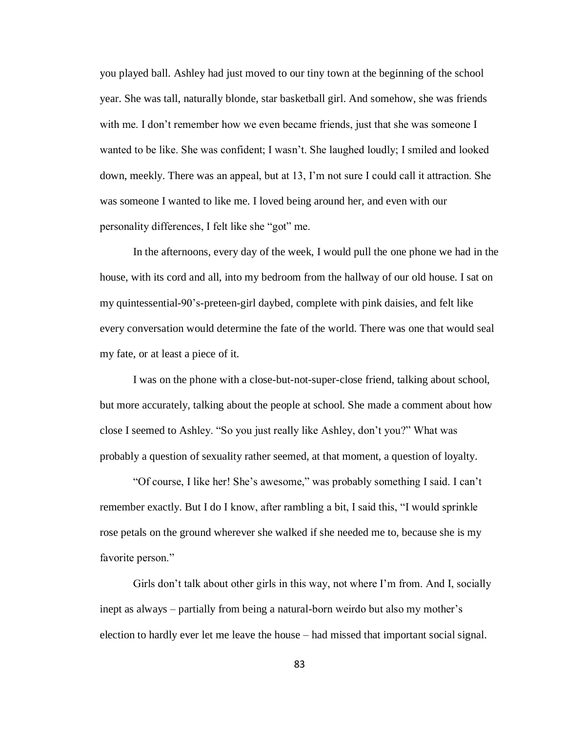you played ball. Ashley had just moved to our tiny town at the beginning of the school year. She was tall, naturally blonde, star basketball girl. And somehow, she was friends with me. I don't remember how we even became friends, just that she was someone I wanted to be like. She was confident; I wasn't. She laughed loudly; I smiled and looked down, meekly. There was an appeal, but at 13, I'm not sure I could call it attraction. She was someone I wanted to like me. I loved being around her, and even with our personality differences, I felt like she "got" me.

In the afternoons, every day of the week, I would pull the one phone we had in the house, with its cord and all, into my bedroom from the hallway of our old house. I sat on my quintessential-90's-preteen-girl daybed, complete with pink daisies, and felt like every conversation would determine the fate of the world. There was one that would seal my fate, or at least a piece of it.

I was on the phone with a close-but-not-super-close friend, talking about school, but more accurately, talking about the people at school. She made a comment about how close I seemed to Ashley. "So you just really like Ashley, don't you?" What was probably a question of sexuality rather seemed, at that moment, a question of loyalty.

"Of course, I like her! She's awesome," was probably something I said. I can't remember exactly. But I do I know, after rambling a bit, I said this, "I would sprinkle rose petals on the ground wherever she walked if she needed me to, because she is my favorite person."

Girls don't talk about other girls in this way, not where I'm from. And I, socially inept as always – partially from being a natural-born weirdo but also my mother's election to hardly ever let me leave the house – had missed that important social signal.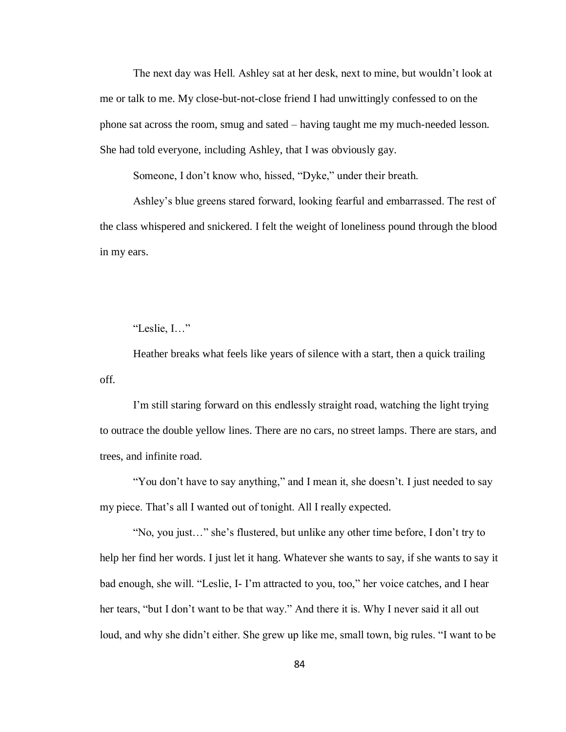The next day was Hell. Ashley sat at her desk, next to mine, but wouldn't look at me or talk to me. My close-but-not-close friend I had unwittingly confessed to on the phone sat across the room, smug and sated – having taught me my much-needed lesson. She had told everyone, including Ashley, that I was obviously gay.

Someone, I don't know who, hissed, "Dyke," under their breath.

Ashley's blue greens stared forward, looking fearful and embarrassed. The rest of the class whispered and snickered. I felt the weight of loneliness pound through the blood in my ears.

"Leslie, I…"

Heather breaks what feels like years of silence with a start, then a quick trailing off.

I'm still staring forward on this endlessly straight road, watching the light trying to outrace the double yellow lines. There are no cars, no street lamps. There are stars, and trees, and infinite road.

"You don't have to say anything," and I mean it, she doesn't. I just needed to say my piece. That's all I wanted out of tonight. All I really expected.

"No, you just…" she's flustered, but unlike any other time before, I don't try to help her find her words. I just let it hang. Whatever she wants to say, if she wants to say it bad enough, she will. "Leslie, I- I'm attracted to you, too," her voice catches, and I hear her tears, "but I don't want to be that way." And there it is. Why I never said it all out loud, and why she didn't either. She grew up like me, small town, big rules. "I want to be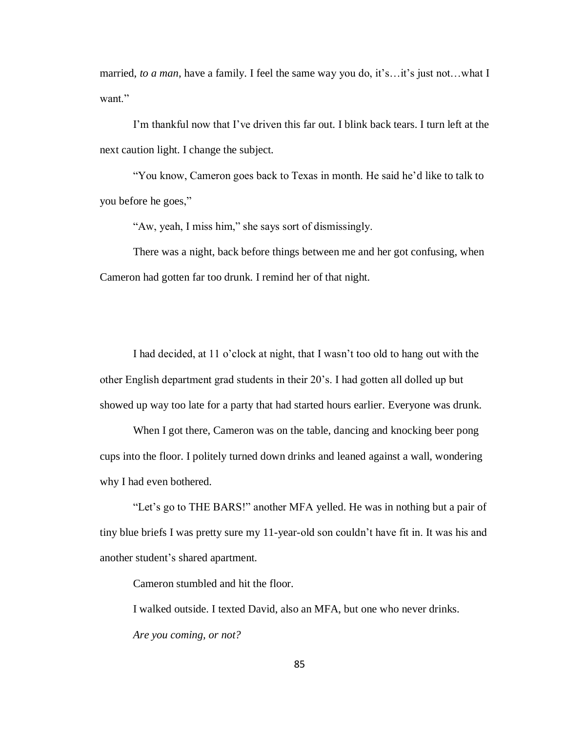married, *to a man*, have a family. I feel the same way you do, it's…it's just not…what I want."

I'm thankful now that I've driven this far out. I blink back tears. I turn left at the next caution light. I change the subject.

"You know, Cameron goes back to Texas in month. He said he'd like to talk to you before he goes,"

"Aw, yeah, I miss him," she says sort of dismissingly.

There was a night, back before things between me and her got confusing, when Cameron had gotten far too drunk. I remind her of that night.

I had decided, at 11 o'clock at night, that I wasn't too old to hang out with the other English department grad students in their 20's. I had gotten all dolled up but showed up way too late for a party that had started hours earlier. Everyone was drunk.

When I got there, Cameron was on the table, dancing and knocking beer pong cups into the floor. I politely turned down drinks and leaned against a wall, wondering why I had even bothered.

"Let's go to THE BARS!" another MFA yelled. He was in nothing but a pair of tiny blue briefs I was pretty sure my 11-year-old son couldn't have fit in. It was his and another student's shared apartment.

Cameron stumbled and hit the floor.

I walked outside. I texted David, also an MFA, but one who never drinks. *Are you coming, or not?*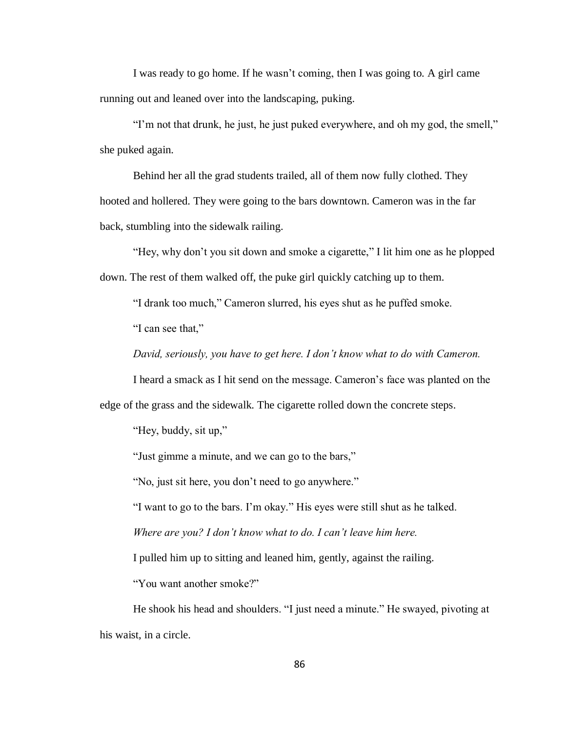I was ready to go home. If he wasn't coming, then I was going to. A girl came running out and leaned over into the landscaping, puking.

"I'm not that drunk, he just, he just puked everywhere, and oh my god, the smell," she puked again.

Behind her all the grad students trailed, all of them now fully clothed. They hooted and hollered. They were going to the bars downtown. Cameron was in the far back, stumbling into the sidewalk railing.

"Hey, why don't you sit down and smoke a cigarette," I lit him one as he plopped down. The rest of them walked off, the puke girl quickly catching up to them.

"I drank too much," Cameron slurred, his eyes shut as he puffed smoke.

"I can see that,"

*David, seriously, you have to get here. I don't know what to do with Cameron.*

I heard a smack as I hit send on the message. Cameron's face was planted on the

edge of the grass and the sidewalk. The cigarette rolled down the concrete steps.

"Hey, buddy, sit up,"

"Just gimme a minute, and we can go to the bars,"

"No, just sit here, you don't need to go anywhere."

"I want to go to the bars. I'm okay." His eyes were still shut as he talked.

*Where are you? I don't know what to do. I can't leave him here.*

I pulled him up to sitting and leaned him, gently, against the railing.

"You want another smoke?"

He shook his head and shoulders. "I just need a minute." He swayed, pivoting at his waist, in a circle.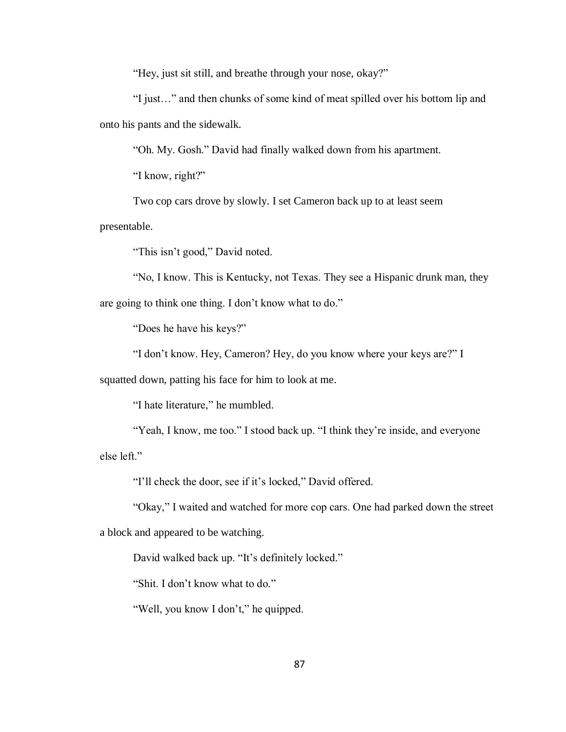"Hey, just sit still, and breathe through your nose, okay?"

"I just…" and then chunks of some kind of meat spilled over his bottom lip and onto his pants and the sidewalk.

"Oh. My. Gosh." David had finally walked down from his apartment.

"I know, right?"

Two cop cars drove by slowly. I set Cameron back up to at least seem

presentable.

"This isn't good," David noted.

"No, I know. This is Kentucky, not Texas. They see a Hispanic drunk man, they are going to think one thing. I don't know what to do."

"Does he have his keys?"

"I don't know. Hey, Cameron? Hey, do you know where your keys are?" I

squatted down, patting his face for him to look at me.

"I hate literature," he mumbled.

"Yeah, I know, me too." I stood back up. "I think they're inside, and everyone else left."

"I'll check the door, see if it's locked," David offered.

"Okay," I waited and watched for more cop cars. One had parked down the street a block and appeared to be watching.

David walked back up. "It's definitely locked."

"Shit. I don't know what to do."

"Well, you know I don't," he quipped.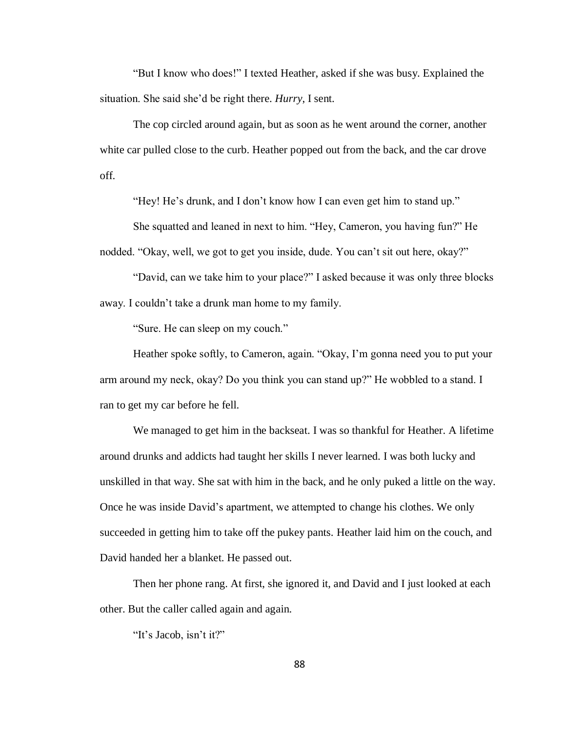"But I know who does!" I texted Heather, asked if she was busy. Explained the situation. She said she'd be right there. *Hurry*, I sent.

The cop circled around again, but as soon as he went around the corner, another white car pulled close to the curb. Heather popped out from the back, and the car drove off.

"Hey! He's drunk, and I don't know how I can even get him to stand up."

She squatted and leaned in next to him. "Hey, Cameron, you having fun?" He nodded. "Okay, well, we got to get you inside, dude. You can't sit out here, okay?"

"David, can we take him to your place?" I asked because it was only three blocks away. I couldn't take a drunk man home to my family.

"Sure. He can sleep on my couch."

Heather spoke softly, to Cameron, again. "Okay, I'm gonna need you to put your arm around my neck, okay? Do you think you can stand up?" He wobbled to a stand. I ran to get my car before he fell.

We managed to get him in the backseat. I was so thankful for Heather. A lifetime around drunks and addicts had taught her skills I never learned. I was both lucky and unskilled in that way. She sat with him in the back, and he only puked a little on the way. Once he was inside David's apartment, we attempted to change his clothes. We only succeeded in getting him to take off the pukey pants. Heather laid him on the couch, and David handed her a blanket. He passed out.

Then her phone rang. At first, she ignored it, and David and I just looked at each other. But the caller called again and again.

"It's Jacob, isn't it?"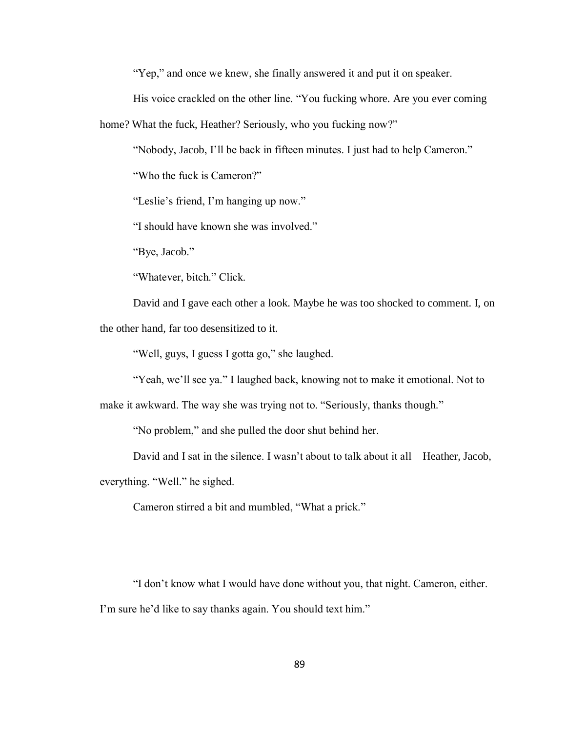"Yep," and once we knew, she finally answered it and put it on speaker.

His voice crackled on the other line. "You fucking whore. Are you ever coming

home? What the fuck, Heather? Seriously, who you fucking now?"

"Nobody, Jacob, I'll be back in fifteen minutes. I just had to help Cameron."

"Who the fuck is Cameron?"

"Leslie's friend, I'm hanging up now."

"I should have known she was involved."

"Bye, Jacob."

"Whatever, bitch." Click.

David and I gave each other a look. Maybe he was too shocked to comment. I, on the other hand, far too desensitized to it.

"Well, guys, I guess I gotta go," she laughed.

"Yeah, we'll see ya." I laughed back, knowing not to make it emotional. Not to

make it awkward. The way she was trying not to. "Seriously, thanks though."

"No problem," and she pulled the door shut behind her.

David and I sat in the silence. I wasn't about to talk about it all – Heather, Jacob,

everything. "Well." he sighed.

Cameron stirred a bit and mumbled, "What a prick."

"I don't know what I would have done without you, that night. Cameron, either. I'm sure he'd like to say thanks again. You should text him."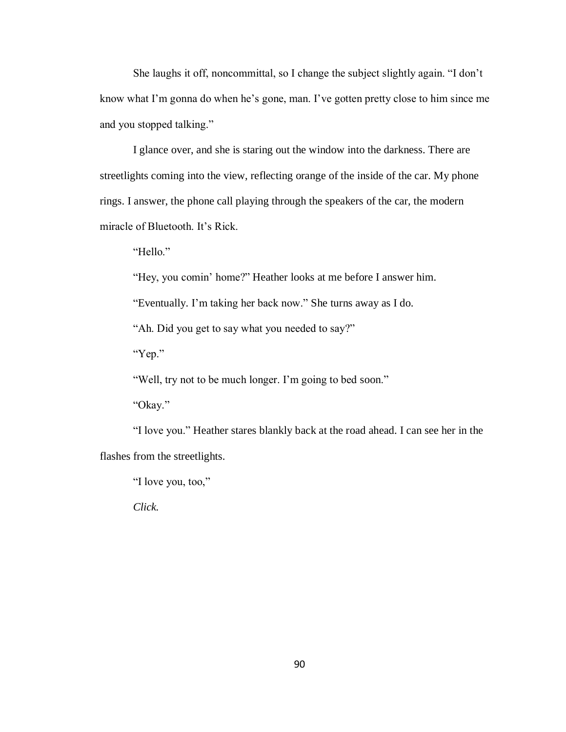She laughs it off, noncommittal, so I change the subject slightly again. "I don't know what I'm gonna do when he's gone, man. I've gotten pretty close to him since me and you stopped talking."

I glance over, and she is staring out the window into the darkness. There are streetlights coming into the view, reflecting orange of the inside of the car. My phone rings. I answer, the phone call playing through the speakers of the car, the modern miracle of Bluetooth. It's Rick.

"Hello"

"Hey, you comin' home?" Heather looks at me before I answer him.

"Eventually. I'm taking her back now." She turns away as I do.

"Ah. Did you get to say what you needed to say?"

"Yep."

"Well, try not to be much longer. I'm going to bed soon."

"Okay."

"I love you." Heather stares blankly back at the road ahead. I can see her in the flashes from the streetlights.

"I love you, too,"

*Click.*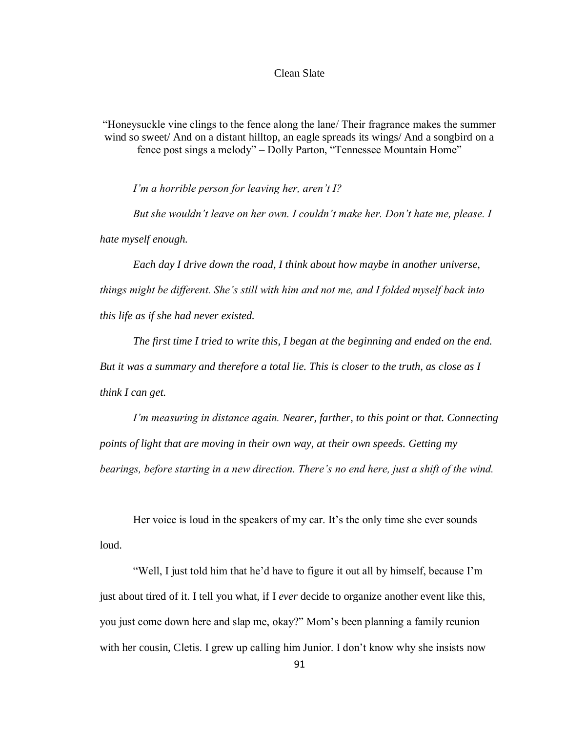## Clean Slate

"Honeysuckle vine clings to the fence along the lane/ Their fragrance makes the summer wind so sweet/ And on a distant hilltop, an eagle spreads its wings/ And a songbird on a fence post sings a melody" – Dolly Parton, "Tennessee Mountain Home"

*I'm a horrible person for leaving her, aren't I?*

*But she wouldn't leave on her own. I couldn't make her. Don't hate me, please. I hate myself enough.* 

*Each day I drive down the road, I think about how maybe in another universe, things might be different. She's still with him and not me, and I folded myself back into this life as if she had never existed.* 

*The first time I tried to write this, I began at the beginning and ended on the end. But it was a summary and therefore a total lie. This is closer to the truth, as close as I think I can get.*

*I'm measuring in distance again. Nearer, farther, to this point or that. Connecting points of light that are moving in their own way, at their own speeds. Getting my bearings, before starting in a new direction. There's no end here, just a shift of the wind.*

Her voice is loud in the speakers of my car. It's the only time she ever sounds loud.

"Well, I just told him that he'd have to figure it out all by himself, because I'm just about tired of it. I tell you what, if I *ever* decide to organize another event like this, you just come down here and slap me, okay?" Mom's been planning a family reunion with her cousin, Cletis. I grew up calling him Junior. I don't know why she insists now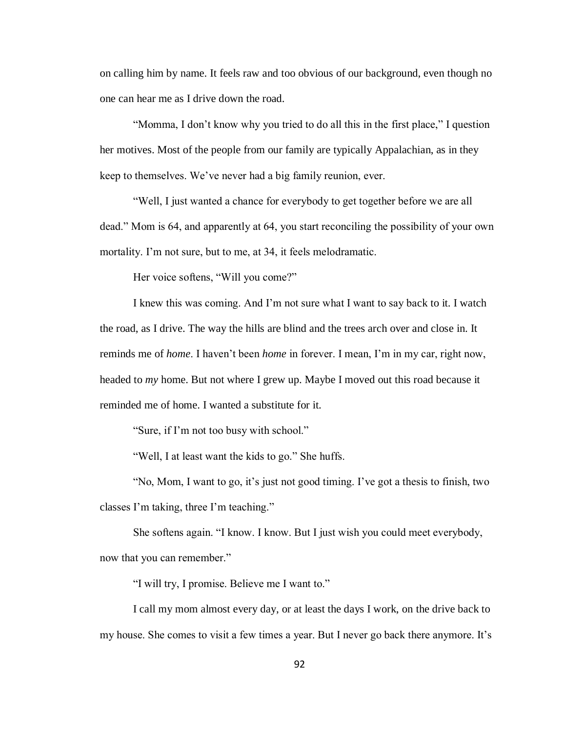on calling him by name. It feels raw and too obvious of our background, even though no one can hear me as I drive down the road.

"Momma, I don't know why you tried to do all this in the first place," I question her motives. Most of the people from our family are typically Appalachian, as in they keep to themselves. We've never had a big family reunion, ever.

"Well, I just wanted a chance for everybody to get together before we are all dead." Mom is 64, and apparently at 64, you start reconciling the possibility of your own mortality. I'm not sure, but to me, at 34, it feels melodramatic.

Her voice softens, "Will you come?"

I knew this was coming. And I'm not sure what I want to say back to it. I watch the road, as I drive. The way the hills are blind and the trees arch over and close in. It reminds me of *home*. I haven't been *home* in forever. I mean, I'm in my car, right now, headed to *my* home. But not where I grew up. Maybe I moved out this road because it reminded me of home. I wanted a substitute for it.

"Sure, if I'm not too busy with school."

"Well, I at least want the kids to go." She huffs.

"No, Mom, I want to go, it's just not good timing. I've got a thesis to finish, two classes I'm taking, three I'm teaching."

She softens again. "I know. I know. But I just wish you could meet everybody, now that you can remember."

"I will try, I promise. Believe me I want to."

I call my mom almost every day, or at least the days I work, on the drive back to my house. She comes to visit a few times a year. But I never go back there anymore. It's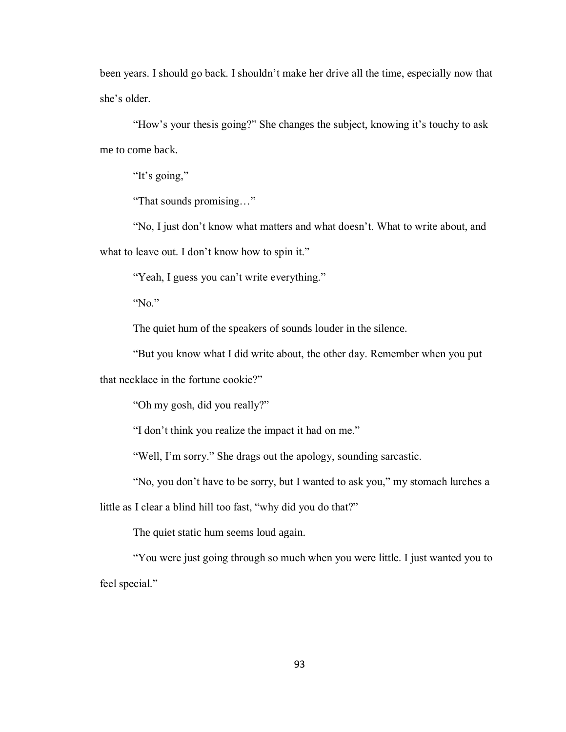been years. I should go back. I shouldn't make her drive all the time, especially now that she's older.

"How's your thesis going?" She changes the subject, knowing it's touchy to ask me to come back.

"It's going,"

"That sounds promising…"

"No, I just don't know what matters and what doesn't. What to write about, and what to leave out. I don't know how to spin it."

"Yeah, I guess you can't write everything."

"No."

The quiet hum of the speakers of sounds louder in the silence.

"But you know what I did write about, the other day. Remember when you put

that necklace in the fortune cookie?"

"Oh my gosh, did you really?"

"I don't think you realize the impact it had on me."

"Well, I'm sorry." She drags out the apology, sounding sarcastic.

"No, you don't have to be sorry, but I wanted to ask you," my stomach lurches a

little as I clear a blind hill too fast, "why did you do that?"

The quiet static hum seems loud again.

"You were just going through so much when you were little. I just wanted you to feel special."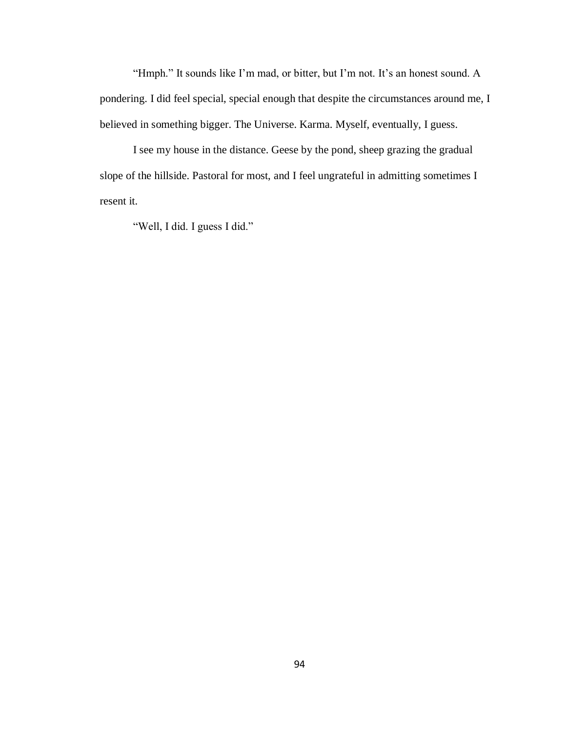"Hmph." It sounds like I'm mad, or bitter, but I'm not. It's an honest sound. A pondering. I did feel special, special enough that despite the circumstances around me, I believed in something bigger. The Universe. Karma. Myself, eventually, I guess.

I see my house in the distance. Geese by the pond, sheep grazing the gradual slope of the hillside. Pastoral for most, and I feel ungrateful in admitting sometimes I resent it.

"Well, I did. I guess I did."